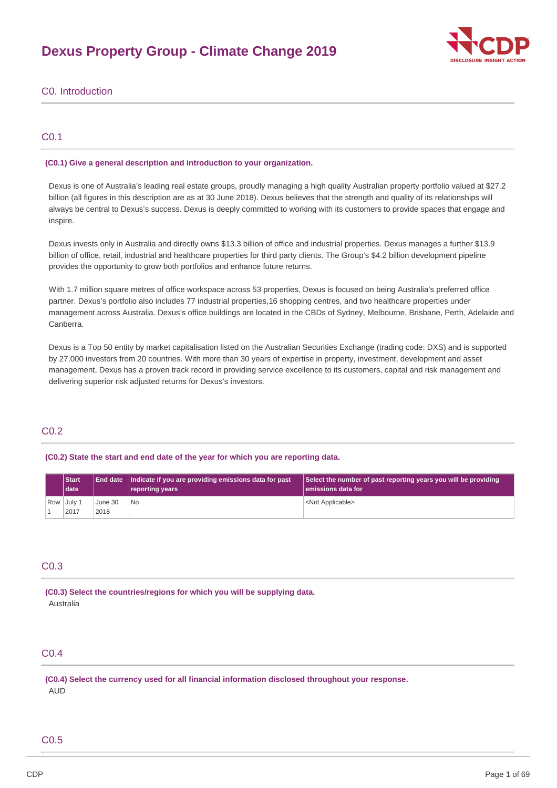# **Dexus Property Group - Climate Change 2019**



# C0. Introduction

# C0.1

# **(C0.1) Give a general description and introduction to your organization.**

Dexus is one of Australia's leading real estate groups, proudly managing a high quality Australian property portfolio valued at \$27.2 billion (all figures in this description are as at 30 June 2018). Dexus believes that the strength and quality of its relationships will always be central to Dexus's success. Dexus is deeply committed to working with its customers to provide spaces that engage and inspire.

Dexus invests only in Australia and directly owns \$13.3 billion of office and industrial properties. Dexus manages a further \$13.9 billion of office, retail, industrial and healthcare properties for third party clients. The Group's \$4.2 billion development pipeline provides the opportunity to grow both portfolios and enhance future returns.

With 1.7 million square metres of office workspace across 53 properties, Dexus is focused on being Australia's preferred office partner. Dexus's portfolio also includes 77 industrial properties,16 shopping centres, and two healthcare properties under management across Australia. Dexus's office buildings are located in the CBDs of Sydney, Melbourne, Brisbane, Perth, Adelaide and Canberra.

Dexus is a Top 50 entity by market capitalisation listed on the Australian Securities Exchange (trading code: DXS) and is supported by 27,000 investors from 20 countries. With more than 30 years of expertise in property, investment, development and asset management, Dexus has a proven track record in providing service excellence to its customers, capital and risk management and delivering superior risk adjusted returns for Dexus's investors.

## C0.2

# **(C0.2) State the start and end date of the year for which you are reporting data.**

|  | <b>Start</b><br><b>Idate</b> |                 | End date   Indicate if you are providing emissions data for past<br>reporting years | Select the number of past reporting years you will be providing<br>lemissions data for |
|--|------------------------------|-----------------|-------------------------------------------------------------------------------------|----------------------------------------------------------------------------------------|
|  | Row July 1<br>2017           | June 30<br>2018 | l No                                                                                | <not applicable=""></not>                                                              |

# C0.3

**(C0.3) Select the countries/regions for which you will be supplying data.** Australia

# C0.4

**(C0.4) Select the currency used for all financial information disclosed throughout your response.** AUD

# C0.5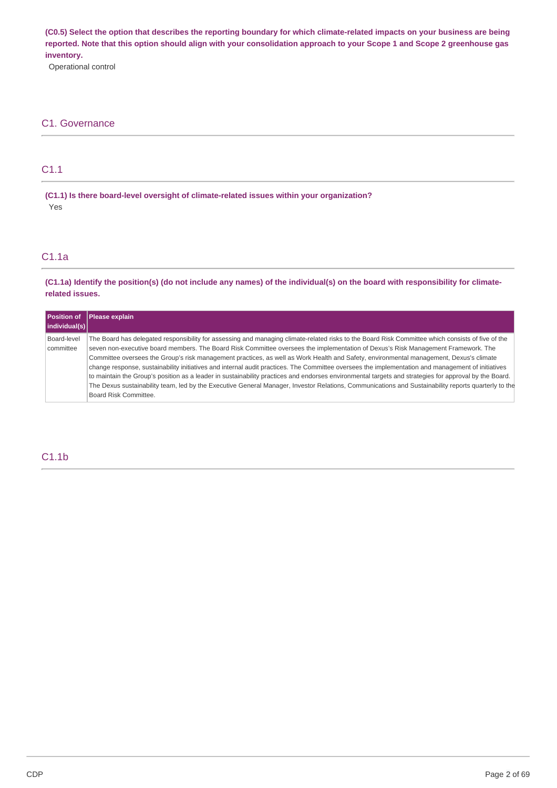(C0.5) Select the option that describes the reporting boundary for which climate-related impacts on your business are being reported. Note that this option should align with your consolidation approach to your Scope 1 and Scope 2 greenhouse gas **inventory.**

Operational control

# C1. Governance

# C1.1

**(C1.1) Is there board-level oversight of climate-related issues within your organization?** Yes

# C1.1a

(C1.1a) Identify the position(s) (do not include any names) of the individual(s) on the board with responsibility for climate**related issues.**

| <b>Position of</b>       | Please explain                                                                                                                                                                                                                                                                                                                                                                                                                                                                                                                                                                                                                                                                                                                                                                                                                                                                                                                 |
|--------------------------|--------------------------------------------------------------------------------------------------------------------------------------------------------------------------------------------------------------------------------------------------------------------------------------------------------------------------------------------------------------------------------------------------------------------------------------------------------------------------------------------------------------------------------------------------------------------------------------------------------------------------------------------------------------------------------------------------------------------------------------------------------------------------------------------------------------------------------------------------------------------------------------------------------------------------------|
| individual(s)            |                                                                                                                                                                                                                                                                                                                                                                                                                                                                                                                                                                                                                                                                                                                                                                                                                                                                                                                                |
| Board-level<br>committee | The Board has delegated responsibility for assessing and managing climate-related risks to the Board Risk Committee which consists of five of the<br>seven non-executive board members. The Board Risk Committee oversees the implementation of Dexus's Risk Management Framework. The<br>Committee oversees the Group's risk management practices, as well as Work Health and Safety, environmental management, Dexus's climate<br>change response, sustainability initiatives and internal audit practices. The Committee oversees the implementation and management of initiatives<br>to maintain the Group's position as a leader in sustainability practices and endorses environmental targets and strategies for approval by the Board.<br>The Dexus sustainability team, led by the Executive General Manager, Investor Relations, Communications and Sustainability reports quarterly to the<br>Board Risk Committee. |

# C1.1b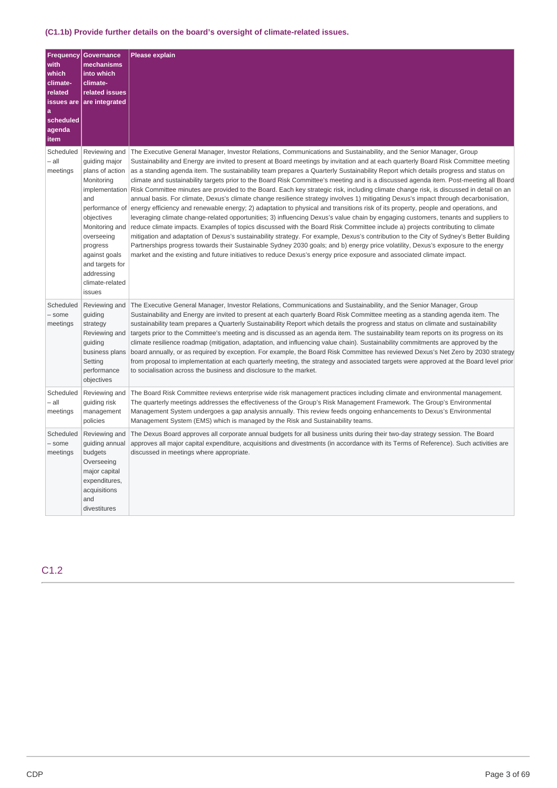# **(C1.1b) Provide further details on the board's oversight of climate-related issues.**

| <b>Frequency</b><br>with<br>which<br>climate-<br>related<br>a<br>scheduled<br>agenda<br>item | <b>Governance</b><br>mechanisms<br>into which<br>climate-<br>related issues<br>issues are are integrated                                                                                                        | <b>Please explain</b>                                                                                                                                                                                                                                                                                                                                                                                                                                                                                                                                                                                                                                                                                                                                                                                                                                                                                                                                                                                                                                                                                                                                                                                                                                                                                                                                                                                                                                                                                                                                                                                                                                                             |
|----------------------------------------------------------------------------------------------|-----------------------------------------------------------------------------------------------------------------------------------------------------------------------------------------------------------------|-----------------------------------------------------------------------------------------------------------------------------------------------------------------------------------------------------------------------------------------------------------------------------------------------------------------------------------------------------------------------------------------------------------------------------------------------------------------------------------------------------------------------------------------------------------------------------------------------------------------------------------------------------------------------------------------------------------------------------------------------------------------------------------------------------------------------------------------------------------------------------------------------------------------------------------------------------------------------------------------------------------------------------------------------------------------------------------------------------------------------------------------------------------------------------------------------------------------------------------------------------------------------------------------------------------------------------------------------------------------------------------------------------------------------------------------------------------------------------------------------------------------------------------------------------------------------------------------------------------------------------------------------------------------------------------|
| Scheduled<br>– all<br>meetings                                                               | Reviewing and<br>guiding major<br>plans of action<br>Monitoring<br>and<br>objectives<br>Monitoring and<br>overseeing<br>progress<br>against goals<br>and targets for<br>addressing<br>climate-related<br>issues | The Executive General Manager, Investor Relations, Communications and Sustainability, and the Senior Manager, Group<br>Sustainability and Energy are invited to present at Board meetings by invitation and at each quarterly Board Risk Committee meeting<br>as a standing agenda item. The sustainability team prepares a Quarterly Sustainability Report which details progress and status on<br>climate and sustainability targets prior to the Board Risk Committee's meeting and is a discussed agenda item. Post-meeting all Board<br>implementation Risk Committee minutes are provided to the Board. Each key strategic risk, including climate change risk, is discussed in detail on an<br>annual basis. For climate, Dexus's climate change resilience strategy involves 1) mitigating Dexus's impact through decarbonisation,<br>performance of energy efficiency and renewable energy; 2) adaptation to physical and transitions risk of its property, people and operations, and<br>leveraging climate change-related opportunities; 3) influencing Dexus's value chain by engaging customers, tenants and suppliers to<br>reduce climate impacts. Examples of topics discussed with the Board Risk Committee include a) projects contributing to climate<br>mitigation and adaptation of Dexus's sustainability strategy. For example, Dexus's contribution to the City of Sydney's Better Building<br>Partnerships progress towards their Sustainable Sydney 2030 goals; and b) energy price volatility, Dexus's exposure to the energy<br>market and the existing and future initiatives to reduce Dexus's energy price exposure and associated climate impact. |
| Scheduled<br>- some<br>meetings                                                              | Reviewing and<br>guiding<br>strategy<br>Reviewing and<br>guiding<br>business plans<br>Setting<br>performance<br>objectives                                                                                      | The Executive General Manager, Investor Relations, Communications and Sustainability, and the Senior Manager, Group<br>Sustainability and Energy are invited to present at each quarterly Board Risk Committee meeting as a standing agenda item. The<br>sustainability team prepares a Quarterly Sustainability Report which details the progress and status on climate and sustainability<br>targets prior to the Committee's meeting and is discussed as an agenda item. The sustainability team reports on its progress on its<br>climate resilience roadmap (mitigation, adaptation, and influencing value chain). Sustainability commitments are approved by the<br>board annually, or as required by exception. For example, the Board Risk Committee has reviewed Dexus's Net Zero by 2030 strategy<br>from proposal to implementation at each quarterly meeting, the strategy and associated targets were approved at the Board level prior<br>to socialisation across the business and disclosure to the market.                                                                                                                                                                                                                                                                                                                                                                                                                                                                                                                                                                                                                                                        |
| Scheduled<br>– all<br>meetings                                                               | Reviewing and<br>guiding risk<br>management<br>policies                                                                                                                                                         | The Board Risk Committee reviews enterprise wide risk management practices including climate and environmental management.<br>The quarterly meetings addresses the effectiveness of the Group's Risk Management Framework. The Group's Environmental<br>Management System undergoes a gap analysis annually. This review feeds ongoing enhancements to Dexus's Environmental<br>Management System (EMS) which is managed by the Risk and Sustainability teams.                                                                                                                                                                                                                                                                                                                                                                                                                                                                                                                                                                                                                                                                                                                                                                                                                                                                                                                                                                                                                                                                                                                                                                                                                    |
| Scheduled<br>- some<br>meetings                                                              | Reviewing and<br>guiding annual<br>budgets<br>Overseeing<br>major capital<br>expenditures,<br>acquisitions<br>and<br>divestitures                                                                               | The Dexus Board approves all corporate annual budgets for all business units during their two-day strategy session. The Board<br>approves all major capital expenditure, acquisitions and divestments (in accordance with its Terms of Reference). Such activities are<br>discussed in meetings where appropriate.                                                                                                                                                                                                                                                                                                                                                                                                                                                                                                                                                                                                                                                                                                                                                                                                                                                                                                                                                                                                                                                                                                                                                                                                                                                                                                                                                                |

# C1.2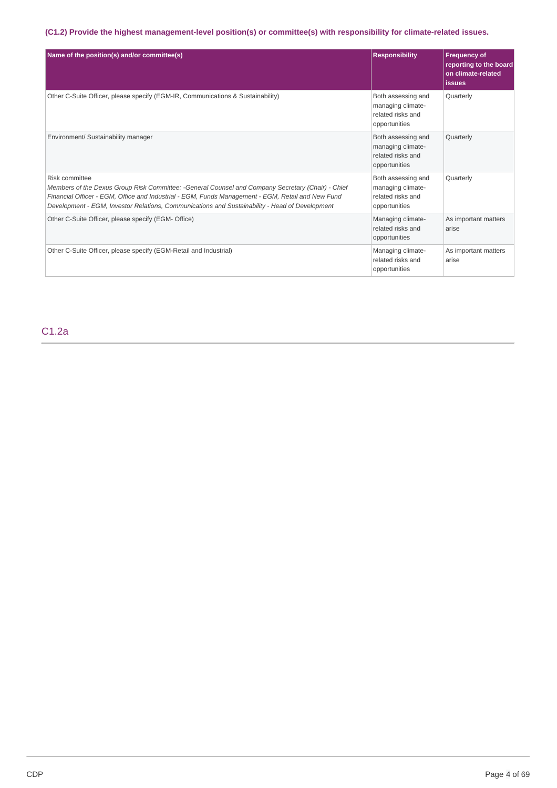# **(C1.2) Provide the highest management-level position(s) or committee(s) with responsibility for climate-related issues.**

| Name of the position(s) and/or committee(s)                                                                                                                                                                                                                                                                                | <b>Responsibility</b>                                                         | <b>Frequency of</b><br>reporting to the board<br>on climate-related<br><i>issues</i> |
|----------------------------------------------------------------------------------------------------------------------------------------------------------------------------------------------------------------------------------------------------------------------------------------------------------------------------|-------------------------------------------------------------------------------|--------------------------------------------------------------------------------------|
| Other C-Suite Officer, please specify (EGM-IR, Communications & Sustainability)                                                                                                                                                                                                                                            | Both assessing and<br>managing climate-<br>related risks and<br>opportunities | Quarterly                                                                            |
| Environment/ Sustainability manager                                                                                                                                                                                                                                                                                        | Both assessing and<br>managing climate-<br>related risks and<br>opportunities | Quarterly                                                                            |
| Risk committee<br>Members of the Dexus Group Risk Committee: -General Counsel and Company Secretary (Chair) - Chief<br>Financial Officer - EGM, Office and Industrial - EGM, Funds Management - EGM, Retail and New Fund<br>Development - EGM, Investor Relations, Communications and Sustainability - Head of Development | Both assessing and<br>managing climate-<br>related risks and<br>opportunities | Quarterly                                                                            |
| Other C-Suite Officer, please specify (EGM- Office)                                                                                                                                                                                                                                                                        | Managing climate-<br>related risks and<br>opportunities                       | As important matters<br>arise                                                        |
| Other C-Suite Officer, please specify (EGM-Retail and Industrial)                                                                                                                                                                                                                                                          | Managing climate-<br>related risks and<br>opportunities                       | As important matters<br>arise                                                        |

C1.2a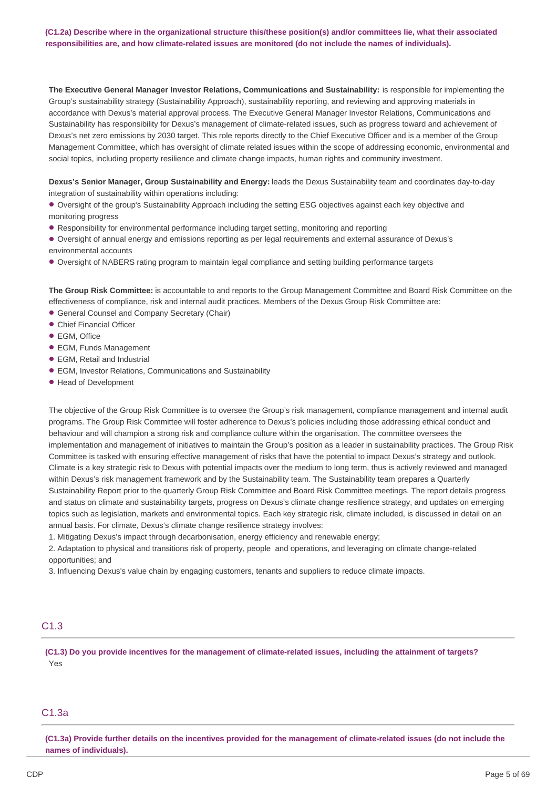# (C1.2a) Describe where in the organizational structure this/these position(s) and/or committees lie, what their associated **responsibilities are, and how climate-related issues are monitored (do not include the names of individuals).**

**The Executive General Manager Investor Relations, Communications and Sustainability:** is responsible for implementing the Group's sustainability strategy (Sustainability Approach), sustainability reporting, and reviewing and approving materials in accordance with Dexus's material approval process. The Executive General Manager Investor Relations, Communications and Sustainability has responsibility for Dexus's management of climate-related issues, such as progress toward and achievement of Dexus's net zero emissions by 2030 target. This role reports directly to the Chief Executive Officer and is a member of the Group Management Committee, which has oversight of climate related issues within the scope of addressing economic, environmental and social topics, including property resilience and climate change impacts, human rights and community investment.

**Dexus's Senior Manager, Group Sustainability and Energy:** leads the Dexus Sustainability team and coordinates day-to-day integration of sustainability within operations including:

• Oversight of the group's Sustainability Approach including the setting ESG objectives against each key objective and monitoring progress

- Responsibility for environmental performance including target setting, monitoring and reporting
- Oversight of annual energy and emissions reporting as per legal requirements and external assurance of Dexus's environmental accounts
- Oversight of NABERS rating program to maintain legal compliance and setting building performance targets •

**The Group Risk Committee:** is accountable to and reports to the Group Management Committee and Board Risk Committee on the effectiveness of compliance, risk and internal audit practices. Members of the Dexus Group Risk Committee are:

- **General Counsel and Company Secretary (Chair)**
- Chief Financial Officer
- EGM, Office
- EGM, Funds Management •
- EGM, Retail and Industrial
- EGM, Investor Relations, Communications and Sustainability •
- Head of Development •

The objective of the Group Risk Committee is to oversee the Group's risk management, compliance management and internal audit programs. The Group Risk Committee will foster adherence to Dexus's policies including those addressing ethical conduct and behaviour and will champion a strong risk and compliance culture within the organisation. The committee oversees the implementation and management of initiatives to maintain the Group's position as a leader in sustainability practices. The Group Risk Committee is tasked with ensuring effective management of risks that have the potential to impact Dexus's strategy and outlook. Climate is a key strategic risk to Dexus with potential impacts over the medium to long term, thus is actively reviewed and managed within Dexus's risk management framework and by the Sustainability team. The Sustainability team prepares a Quarterly Sustainability Report prior to the quarterly Group Risk Committee and Board Risk Committee meetings. The report details progress and status on climate and sustainability targets, progress on Dexus's climate change resilience strategy, and updates on emerging topics such as legislation, markets and environmental topics. Each key strategic risk, climate included, is discussed in detail on an annual basis. For climate, Dexus's climate change resilience strategy involves:

1. Mitigating Dexus's impact through decarbonisation, energy efficiency and renewable energy;

2. Adaptation to physical and transitions risk of property, people and operations, and leveraging on climate change-related opportunities; and

3. Influencing Dexus's value chain by engaging customers, tenants and suppliers to reduce climate impacts.

# C1.3

(C1.3) Do you provide incentives for the management of climate-related issues, including the attainment of targets? Yes

# C1.3a

(C1.3a) Provide further details on the incentives provided for the management of climate-related issues (do not include the **names of individuals).**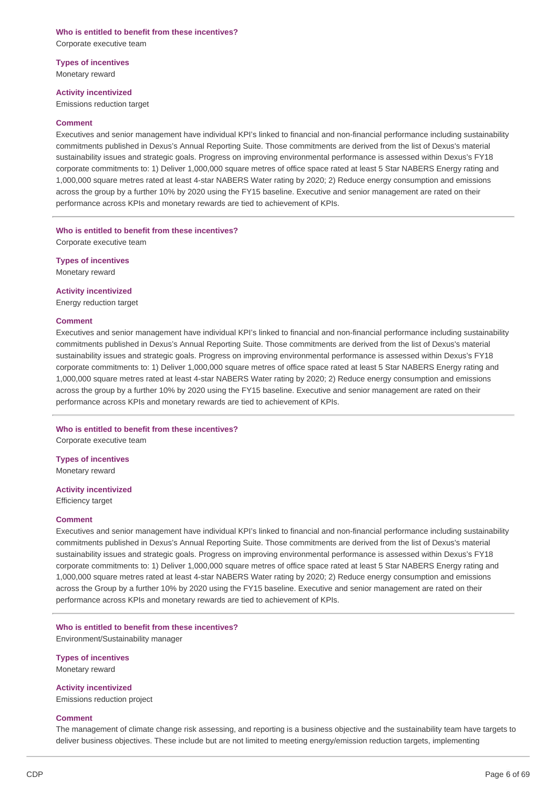# **Who is entitled to benefit from these incentives?** Corporate executive team

**Types of incentives** Monetary reward

#### **Activity incentivized**

Emissions reduction target

#### **Comment**

Executives and senior management have individual KPI's linked to financial and non-financial performance including sustainability commitments published in Dexus's Annual Reporting Suite. Those commitments are derived from the list of Dexus's material sustainability issues and strategic goals. Progress on improving environmental performance is assessed within Dexus's FY18 corporate commitments to: 1) Deliver 1,000,000 square metres of office space rated at least 5 Star NABERS Energy rating and 1,000,000 square metres rated at least 4-star NABERS Water rating by 2020; 2) Reduce energy consumption and emissions across the group by a further 10% by 2020 using the FY15 baseline. Executive and senior management are rated on their performance across KPIs and monetary rewards are tied to achievement of KPIs.

## **Who is entitled to benefit from these incentives?** Corporate executive team

**Types of incentives**

Monetary reward

## **Activity incentivized**

Energy reduction target

## **Comment**

Executives and senior management have individual KPI's linked to financial and non-financial performance including sustainability commitments published in Dexus's Annual Reporting Suite. Those commitments are derived from the list of Dexus's material sustainability issues and strategic goals. Progress on improving environmental performance is assessed within Dexus's FY18 corporate commitments to: 1) Deliver 1,000,000 square metres of office space rated at least 5 Star NABERS Energy rating and 1,000,000 square metres rated at least 4-star NABERS Water rating by 2020; 2) Reduce energy consumption and emissions across the group by a further 10% by 2020 using the FY15 baseline. Executive and senior management are rated on their performance across KPIs and monetary rewards are tied to achievement of KPIs.

# **Who is entitled to benefit from these incentives?**

Corporate executive team

**Types of incentives** Monetary reward

# **Activity incentivized**

Efficiency target

#### **Comment**

Executives and senior management have individual KPI's linked to financial and non-financial performance including sustainability commitments published in Dexus's Annual Reporting Suite. Those commitments are derived from the list of Dexus's material sustainability issues and strategic goals. Progress on improving environmental performance is assessed within Dexus's FY18 corporate commitments to: 1) Deliver 1,000,000 square metres of office space rated at least 5 Star NABERS Energy rating and 1,000,000 square metres rated at least 4-star NABERS Water rating by 2020; 2) Reduce energy consumption and emissions across the Group by a further 10% by 2020 using the FY15 baseline. Executive and senior management are rated on their performance across KPIs and monetary rewards are tied to achievement of KPIs.

#### **Who is entitled to benefit from these incentives?**

Environment/Sustainability manager

**Types of incentives** Monetary reward

**Activity incentivized** Emissions reduction project

#### **Comment**

The management of climate change risk assessing, and reporting is a business objective and the sustainability team have targets to deliver business objectives. These include but are not limited to meeting energy/emission reduction targets, implementing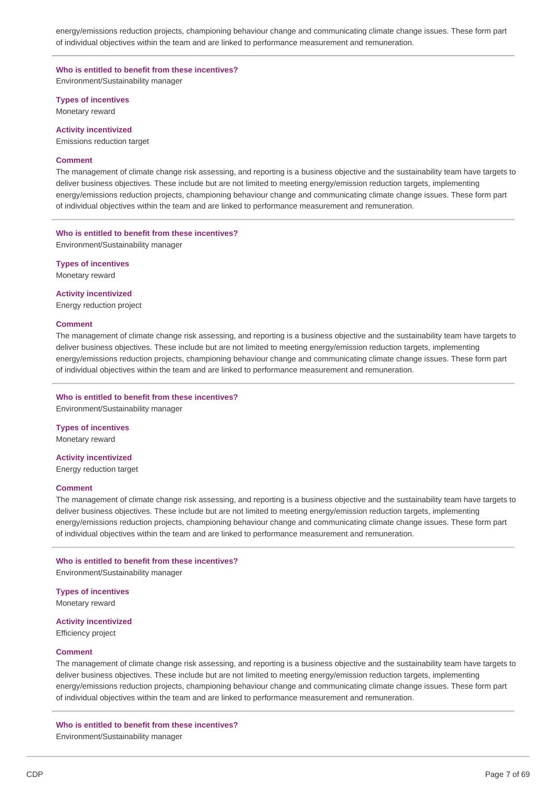energy/emissions reduction projects, championing behaviour change and communicating climate change issues. These form part of individual objectives within the team and are linked to performance measurement and remuneration.

# **Who is entitled to benefit from these incentives?**

Environment/Sustainability manager

**Types of incentives**

Monetary reward

# **Activity incentivized**

Emissions reduction target

## **Comment**

The management of climate change risk assessing, and reporting is a business objective and the sustainability team have targets to deliver business objectives. These include but are not limited to meeting energy/emission reduction targets, implementing energy/emissions reduction projects, championing behaviour change and communicating climate change issues. These form part of individual objectives within the team and are linked to performance measurement and remuneration.

# **Who is entitled to benefit from these incentives?**

Environment/Sustainability manager

**Types of incentives** Monetary reward

**Activity incentivized**

Energy reduction project

## **Comment**

The management of climate change risk assessing, and reporting is a business objective and the sustainability team have targets to deliver business objectives. These include but are not limited to meeting energy/emission reduction targets, implementing energy/emissions reduction projects, championing behaviour change and communicating climate change issues. These form part of individual objectives within the team and are linked to performance measurement and remuneration.

## **Who is entitled to benefit from these incentives?**

Environment/Sustainability manager

**Types of incentives** Monetary reward

**Activity incentivized**

Energy reduction target

#### **Comment**

The management of climate change risk assessing, and reporting is a business objective and the sustainability team have targets to deliver business objectives. These include but are not limited to meeting energy/emission reduction targets, implementing energy/emissions reduction projects, championing behaviour change and communicating climate change issues. These form part of individual objectives within the team and are linked to performance measurement and remuneration.

## **Who is entitled to benefit from these incentives?** Environment/Sustainability manager

**Types of incentives** Monetary reward

## **Activity incentivized**

Efficiency project

## **Comment**

The management of climate change risk assessing, and reporting is a business objective and the sustainability team have targets to deliver business objectives. These include but are not limited to meeting energy/emission reduction targets, implementing energy/emissions reduction projects, championing behaviour change and communicating climate change issues. These form part of individual objectives within the team and are linked to performance measurement and remuneration.

## **Who is entitled to benefit from these incentives?**

Environment/Sustainability manager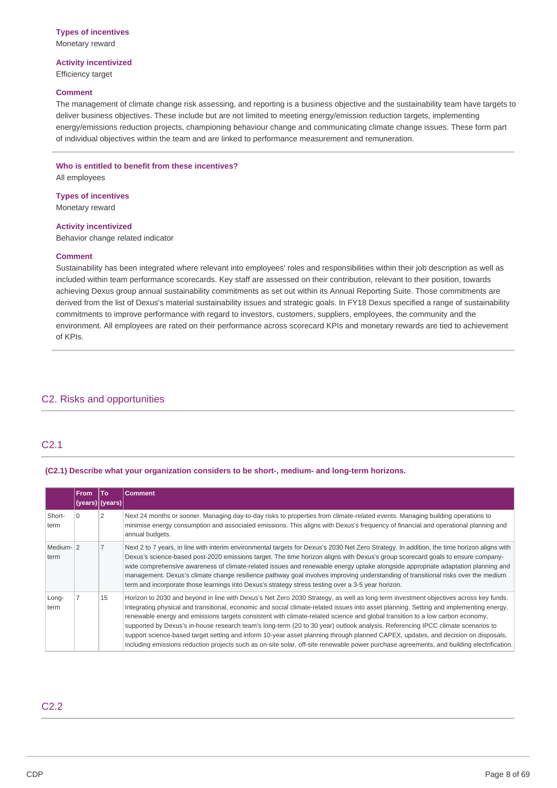# **Activity incentivized**

Efficiency target

# **Comment**

The management of climate change risk assessing, and reporting is a business objective and the sustainability team have targets to deliver business objectives. These include but are not limited to meeting energy/emission reduction targets, implementing energy/emissions reduction projects, championing behaviour change and communicating climate change issues. These form part of individual objectives within the team and are linked to performance measurement and remuneration.

# **Who is entitled to benefit from these incentives?**

All employees

**Types of incentives** Monetary reward

# **Activity incentivized**

Behavior change related indicator

#### **Comment**

Sustainability has been integrated where relevant into employees' roles and responsibilities within their job description as well as included within team performance scorecards. Key staff are assessed on their contribution, relevant to their position, towards achieving Dexus group annual sustainability commitments as set out within its Annual Reporting Suite. Those commitments are derived from the list of Dexus's material sustainability issues and strategic goals. In FY18 Dexus specified a range of sustainability commitments to improve performance with regard to investors, customers, suppliers, employees, the community and the environment. All employees are rated on their performance across scorecard KPIs and monetary rewards are tied to achievement of KPIs.

# C2. Risks and opportunities

# C2.1

## **(C2.1) Describe what your organization considers to be short-, medium- and long-term horizons.**

|                   | <b>From</b> | To<br>(years)   (years) | <b>Comment</b>                                                                                                                                                                                                                                                                                                                                                                                                                                                                                                                                                                                                                                                                                                                                                                                                                        |
|-------------------|-------------|-------------------------|---------------------------------------------------------------------------------------------------------------------------------------------------------------------------------------------------------------------------------------------------------------------------------------------------------------------------------------------------------------------------------------------------------------------------------------------------------------------------------------------------------------------------------------------------------------------------------------------------------------------------------------------------------------------------------------------------------------------------------------------------------------------------------------------------------------------------------------|
| Short-<br>term    | $\Omega$    | 2                       | Next 24 months or sooner. Managing day-to-day risks to properties from climate-related events. Managing building operations to<br>minimise energy consumption and associated emissions. This aligns with Dexus's frequency of financial and operational planning and<br>annual budgets.                                                                                                                                                                                                                                                                                                                                                                                                                                                                                                                                               |
| Medium-12<br>term |             |                         | Next 2 to 7 years, in line with interim environmental targets for Dexus's 2030 Net Zero Strategy. In addition, the time horizon aligns with<br>Dexus's science-based post-2020 emissions target. The time horizon aligns with Dexus's group scorecard goals to ensure company-<br>wide comprehensive awareness of climate-related issues and renewable energy uptake alongside appropriate adaptation planning and<br>management. Dexus's climate change resilience pathway goal involves improving understanding of transitional risks over the medium<br>term and incorporate those learnings into Dexus's strategy stress testing over a 3-5 year horizon.                                                                                                                                                                         |
| Long-<br>term     |             | 15                      | Horizon to 2030 and beyond in line with Dexus's Net Zero 2030 Strategy, as well as long term investment objectives across key funds.<br>Integrating physical and transitional, economic and social climate-related issues into asset planning. Setting and implementing energy,<br>renewable energy and emissions targets consistent with climate-related science and global transition to a low carbon economy,<br>supported by Dexus's in-house research team's long-term (20 to 30 year) outlook analysis. Referencing IPCC climate scenarios to<br>support science-based target setting and inform 10-year asset planning through planned CAPEX, updates, and decision on disposals,<br>including emissions reduction projects such as on-site solar, off-site renewable power purchase agreements, and building electrification. |

# C2.2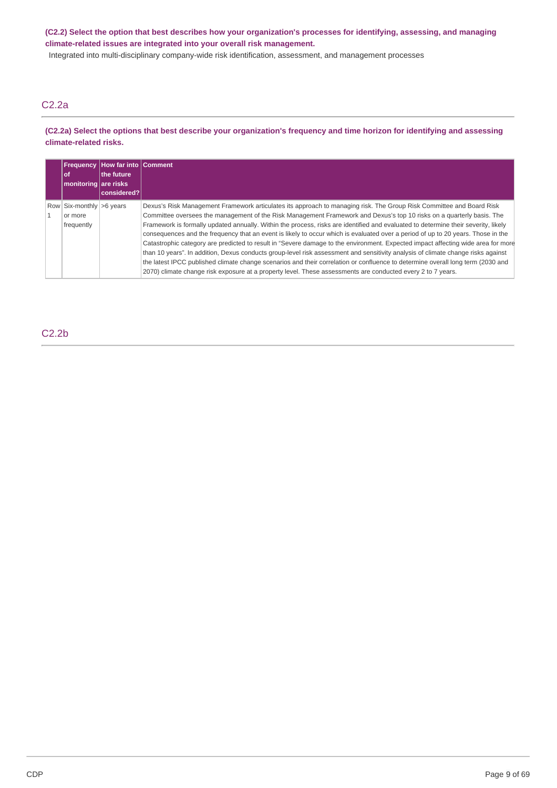(C2.2) Select the option that best describes how your organization's processes for identifying, assessing, and managing **climate-related issues are integrated into your overall risk management.**

Integrated into multi-disciplinary company-wide risk identification, assessment, and management processes

# C2.2a

# (C2.2a) Select the options that best describe your organization's frequency and time horizon for identifying and assessing **climate-related risks.**

| 0f<br>monitoring are risks                        | <b>Frequency How far into Comment</b><br>the future<br> considered? |                                                                                                                                                                                                                                                                                                                                                                                                                                                                                                                                                                                                                                                                                                                                                                                                                                                                                                                                                                                                                                                   |
|---------------------------------------------------|---------------------------------------------------------------------|---------------------------------------------------------------------------------------------------------------------------------------------------------------------------------------------------------------------------------------------------------------------------------------------------------------------------------------------------------------------------------------------------------------------------------------------------------------------------------------------------------------------------------------------------------------------------------------------------------------------------------------------------------------------------------------------------------------------------------------------------------------------------------------------------------------------------------------------------------------------------------------------------------------------------------------------------------------------------------------------------------------------------------------------------|
| Row Six-monthly >6 years<br>or more<br>frequently |                                                                     | Dexus's Risk Management Framework articulates its approach to managing risk. The Group Risk Committee and Board Risk<br>Committee oversees the management of the Risk Management Framework and Dexus's top 10 risks on a quarterly basis. The<br>Framework is formally updated annually. Within the process, risks are identified and evaluated to determine their severity, likely<br>consequences and the frequency that an event is likely to occur which is evaluated over a period of up to 20 years. Those in the<br>Catastrophic category are predicted to result in "Severe damage to the environment. Expected impact affecting wide area for more<br>than 10 years". In addition, Dexus conducts group-level risk assessment and sensitivity analysis of climate change risks against<br>the latest IPCC published climate change scenarios and their correlation or confluence to determine overall long term (2030 and<br>2070) climate change risk exposure at a property level. These assessments are conducted every 2 to 7 years. |

C2.2b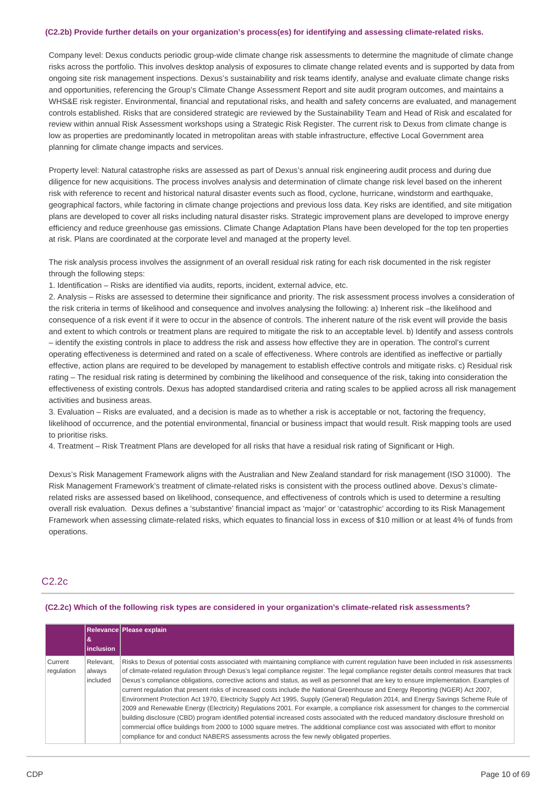#### **(C2.2b) Provide further details on your organization's process(es) for identifying and assessing climate-related risks.**

Company level: Dexus conducts periodic group-wide climate change risk assessments to determine the magnitude of climate change risks across the portfolio. This involves desktop analysis of exposures to climate change related events and is supported by data from ongoing site risk management inspections. Dexus's sustainability and risk teams identify, analyse and evaluate climate change risks and opportunities, referencing the Group's Climate Change Assessment Report and site audit program outcomes, and maintains a WHS&E risk register. Environmental, financial and reputational risks, and health and safety concerns are evaluated, and management controls established. Risks that are considered strategic are reviewed by the Sustainability Team and Head of Risk and escalated for review within annual Risk Assessment workshops using a Strategic Risk Register. The current risk to Dexus from climate change is low as properties are predominantly located in metropolitan areas with stable infrastructure, effective Local Government area planning for climate change impacts and services.

Property level: Natural catastrophe risks are assessed as part of Dexus's annual risk engineering audit process and during due diligence for new acquisitions. The process involves analysis and determination of climate change risk level based on the inherent risk with reference to recent and historical natural disaster events such as flood, cyclone, hurricane, windstorm and earthquake, geographical factors, while factoring in climate change projections and previous loss data. Key risks are identified, and site mitigation plans are developed to cover all risks including natural disaster risks. Strategic improvement plans are developed to improve energy efficiency and reduce greenhouse gas emissions. Climate Change Adaptation Plans have been developed for the top ten properties at risk. Plans are coordinated at the corporate level and managed at the property level.

The risk analysis process involves the assignment of an overall residual risk rating for each risk documented in the risk register through the following steps:

1. Identification – Risks are identified via audits, reports, incident, external advice, etc.

2. Analysis – Risks are assessed to determine their significance and priority. The risk assessment process involves a consideration of the risk criteria in terms of likelihood and consequence and involves analysing the following: a) Inherent risk –the likelihood and consequence of a risk event if it were to occur in the absence of controls. The inherent nature of the risk event will provide the basis and extent to which controls or treatment plans are required to mitigate the risk to an acceptable level. b) Identify and assess controls – identify the existing controls in place to address the risk and assess how effective they are in operation. The control's current operating effectiveness is determined and rated on a scale of effectiveness. Where controls are identified as ineffective or partially effective, action plans are required to be developed by management to establish effective controls and mitigate risks. c) Residual risk rating – The residual risk rating is determined by combining the likelihood and consequence of the risk, taking into consideration the effectiveness of existing controls. Dexus has adopted standardised criteria and rating scales to be applied across all risk management activities and business areas.

3. Evaluation – Risks are evaluated, and a decision is made as to whether a risk is acceptable or not, factoring the frequency, likelihood of occurrence, and the potential environmental, financial or business impact that would result. Risk mapping tools are used to prioritise risks.

4. Treatment – Risk Treatment Plans are developed for all risks that have a residual risk rating of Significant or High.

Dexus's Risk Management Framework aligns with the Australian and New Zealand standard for risk management (ISO 31000). The Risk Management Framework's treatment of climate-related risks is consistent with the process outlined above. Dexus's climaterelated risks are assessed based on likelihood, consequence, and effectiveness of controls which is used to determine a resulting overall risk evaluation. Dexus defines a 'substantive' financial impact as 'major' or 'catastrophic' according to its Risk Management Framework when assessing climate-related risks, which equates to financial loss in excess of \$10 million or at least 4% of funds from operations.

# C2.2c

#### **(C2.2c) Which of the following risk types are considered in your organization's climate-related risk assessments?**

|                       |                                 | Relevance Please explain                                                                                                                                                                                                                                                                                                                                                                                                                                                                                                                                                                                                                                                                                                                                                                                                                                                                                                                                                                                                                                                                                                                                                                                             |
|-----------------------|---------------------------------|----------------------------------------------------------------------------------------------------------------------------------------------------------------------------------------------------------------------------------------------------------------------------------------------------------------------------------------------------------------------------------------------------------------------------------------------------------------------------------------------------------------------------------------------------------------------------------------------------------------------------------------------------------------------------------------------------------------------------------------------------------------------------------------------------------------------------------------------------------------------------------------------------------------------------------------------------------------------------------------------------------------------------------------------------------------------------------------------------------------------------------------------------------------------------------------------------------------------|
| &                     | <i>inclusion</i>                |                                                                                                                                                                                                                                                                                                                                                                                                                                                                                                                                                                                                                                                                                                                                                                                                                                                                                                                                                                                                                                                                                                                                                                                                                      |
| Current<br>regulation | Relevant.<br>always<br>included | Risks to Dexus of potential costs associated with maintaining compliance with current regulation have been included in risk assessments<br>of climate-related regulation through Dexus's legal compliance register. The legal compliance register details control measures that track<br>Dexus's compliance obligations, corrective actions and status, as well as personnel that are key to ensure implementation. Examples of<br>current regulation that present risks of increased costs include the National Greenhouse and Energy Reporting (NGER) Act 2007,<br>Environment Protection Act 1970, Electricity Supply Act 1995, Supply (General) Regulation 2014, and Energy Savings Scheme Rule of<br>2009 and Renewable Energy (Electricity) Regulations 2001. For example, a compliance risk assessment for changes to the commercial<br>building disclosure (CBD) program identified potential increased costs associated with the reduced mandatory disclosure threshold on<br>commercial office buildings from 2000 to 1000 square metres. The additional compliance cost was associated with effort to monitor<br>compliance for and conduct NABERS assessments across the few newly obligated properties. |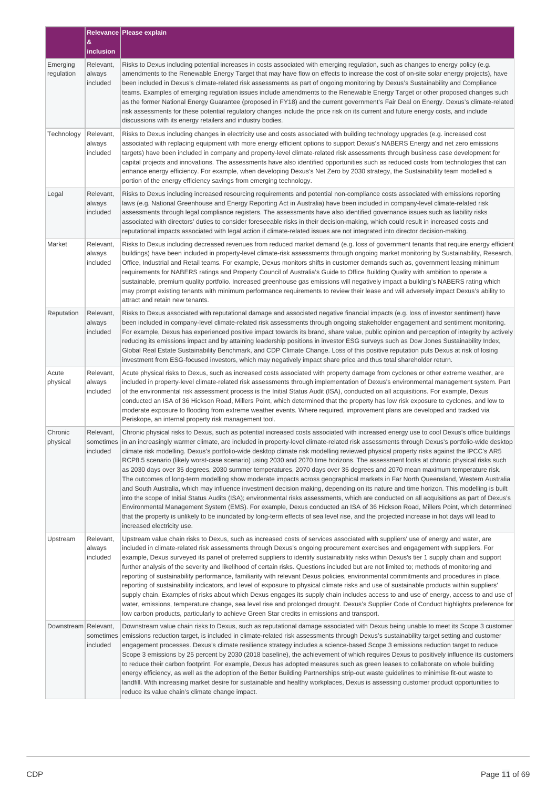|                        |                                 | Relevance Please explain                                                                                                                                                                                                                                                                                                                                                                                                                                                                                                                                                                                                                                                                                                                                                                                                                                                                                                                                                                                                                                                                                                                                                                                                                                                                                                                                                                                                                              |
|------------------------|---------------------------------|-------------------------------------------------------------------------------------------------------------------------------------------------------------------------------------------------------------------------------------------------------------------------------------------------------------------------------------------------------------------------------------------------------------------------------------------------------------------------------------------------------------------------------------------------------------------------------------------------------------------------------------------------------------------------------------------------------------------------------------------------------------------------------------------------------------------------------------------------------------------------------------------------------------------------------------------------------------------------------------------------------------------------------------------------------------------------------------------------------------------------------------------------------------------------------------------------------------------------------------------------------------------------------------------------------------------------------------------------------------------------------------------------------------------------------------------------------|
|                        | &<br>inclusion                  |                                                                                                                                                                                                                                                                                                                                                                                                                                                                                                                                                                                                                                                                                                                                                                                                                                                                                                                                                                                                                                                                                                                                                                                                                                                                                                                                                                                                                                                       |
| Emerging<br>regulation | Relevant,<br>always<br>included | Risks to Dexus including potential increases in costs associated with emerging regulation, such as changes to energy policy (e.g.<br>amendments to the Renewable Energy Target that may have flow on effects to increase the cost of on-site solar energy projects), have<br>been included in Dexus's climate-related risk assessments as part of ongoing monitoring by Dexus's Sustainability and Compliance<br>teams. Examples of emerging regulation issues include amendments to the Renewable Energy Target or other proposed changes such<br>as the former National Energy Guarantee (proposed in FY18) and the current government's Fair Deal on Energy. Dexus's climate-related<br>risk assessments for these potential regulatory changes include the price risk on its current and future energy costs, and include<br>discussions with its energy retailers and industry bodies.                                                                                                                                                                                                                                                                                                                                                                                                                                                                                                                                                           |
| Technology             | Relevant,<br>always<br>included | Risks to Dexus including changes in electricity use and costs associated with building technology upgrades (e.g. increased cost<br>associated with replacing equipment with more energy efficient options to support Dexus's NABERS Energy and net zero emissions<br>targets) have been included in company and property-level climate-related risk assessments through business case development for<br>capital projects and innovations. The assessments have also identified opportunities such as reduced costs from technologies that can<br>enhance energy efficiency. For example, when developing Dexus's Net Zero by 2030 strategy, the Sustainability team modelled a<br>portion of the energy efficiency savings from emerging technology.                                                                                                                                                                                                                                                                                                                                                                                                                                                                                                                                                                                                                                                                                                 |
| Legal                  | Relevant,<br>always<br>included | Risks to Dexus including increased resourcing requirements and potential non-compliance costs associated with emissions reporting<br>laws (e.g. National Greenhouse and Energy Reporting Act in Australia) have been included in company-level climate-related risk<br>assessments through legal compliance registers. The assessments have also identified governance issues such as liability risks<br>associated with directors' duties to consider foreseeable risks in their decision-making, which could result in increased costs and<br>reputational impacts associated with legal action if climate-related issues are not integrated into director decision-making.                                                                                                                                                                                                                                                                                                                                                                                                                                                                                                                                                                                                                                                                                                                                                                         |
| Market                 | Relevant,<br>always<br>included | Risks to Dexus including decreased revenues from reduced market demand (e.g. loss of government tenants that require energy efficient<br>buildings) have been included in property-level climate-risk assessments through ongoing market monitoring by Sustainability, Research,<br>Office, Industrial and Retail teams. For example, Dexus monitors shifts in customer demands such as, government leasing minimum<br>requirements for NABERS ratings and Property Council of Australia's Guide to Office Building Quality with ambition to operate a<br>sustainable, premium quality portfolio. Increased greenhouse gas emissions will negatively impact a building's NABERS rating which<br>may prompt existing tenants with minimum performance requirements to review their lease and will adversely impact Dexus's ability to<br>attract and retain new tenants.                                                                                                                                                                                                                                                                                                                                                                                                                                                                                                                                                                               |
| Reputation             | Relevant,<br>always<br>included | Risks to Dexus associated with reputational damage and associated negative financial impacts (e.g. loss of investor sentiment) have<br>been included in company-level climate-related risk assessments through ongoing stakeholder engagement and sentiment monitoring.<br>For example, Dexus has experienced positive impact towards its brand, share value, public opinion and perception of integrity by actively<br>reducing its emissions impact and by attaining leadership positions in investor ESG surveys such as Dow Jones Sustainability Index,<br>Global Real Estate Sustainability Benchmark, and CDP Climate Change. Loss of this positive reputation puts Dexus at risk of losing<br>investment from ESG-focused investors, which may negatively impact share price and thus total shareholder return.                                                                                                                                                                                                                                                                                                                                                                                                                                                                                                                                                                                                                                |
| Acute<br>physical      | Relevant,<br>always<br>included | Acute physical risks to Dexus, such as increased costs associated with property damage from cyclones or other extreme weather, are<br>included in property-level climate-related risk assessments through implementation of Dexus's environmental management system. Part<br>of the environmental risk assessment process is the Initial Status Audit (ISA), conducted on all acquisitions. For example, Dexus<br>conducted an ISA of 36 Hickson Road, Millers Point, which determined that the property has low risk exposure to cyclones, and low to<br>moderate exposure to flooding from extreme weather events. Where required, improvement plans are developed and tracked via<br>Periskope, an internal property risk management tool.                                                                                                                                                                                                                                                                                                                                                                                                                                                                                                                                                                                                                                                                                                         |
| Chronic<br>physical    | Relevant,<br>included           | Chronic physical risks to Dexus, such as potential increased costs associated with increased energy use to cool Dexus's office buildings<br>sometimes in an increasingly warmer climate, are included in property-level climate-related risk assessments through Dexus's portfolio-wide desktop<br>climate risk modelling. Dexus's portfolio-wide desktop climate risk modelling reviewed physical property risks against the IPCC's AR5<br>RCP8.5 scenario (likely worst-case scenario) using 2030 and 2070 time horizons. The assessment looks at chronic physical risks such<br>as 2030 days over 35 degrees, 2030 summer temperatures, 2070 days over 35 degrees and 2070 mean maximum temperature risk.<br>The outcomes of long-term modelling show moderate impacts across geographical markets in Far North Queensland, Western Australia<br>and South Australia, which may influence investment decision making, depending on its nature and time horizon. This modelling is built<br>into the scope of Initial Status Audits (ISA); environmental risks assessments, which are conducted on all acquisitions as part of Dexus's<br>Environmental Management System (EMS). For example, Dexus conducted an ISA of 36 Hickson Road, Millers Point, which determined<br>that the property is unlikely to be inundated by long-term effects of sea level rise, and the projected increase in hot days will lead to<br>increased electricity use. |
| Upstream               | Relevant,<br>always<br>included | Upstream value chain risks to Dexus, such as increased costs of services associated with suppliers' use of energy and water, are<br>included in climate-related risk assessments through Dexus's ongoing procurement exercises and engagement with suppliers. For<br>example, Dexus surveyed its panel of preferred suppliers to identify sustainability risks within Dexus's tier 1 supply chain and support<br>further analysis of the severity and likelihood of certain risks. Questions included but are not limited to; methods of monitoring and<br>reporting of sustainability performance, familiarity with relevant Dexus policies, environmental commitments and procedures in place,<br>reporting of sustainability indicators, and level of exposure to physical climate risks and use of sustainable products within suppliers'<br>supply chain. Examples of risks about which Dexus engages its supply chain includes access to and use of energy, access to and use of<br>water, emissions, temperature change, sea level rise and prolonged drought. Dexus's Supplier Code of Conduct highlights preference for<br>low carbon products, particularly to achieve Green Star credits in emissions and transport.                                                                                                                                                                                                                       |
| Downstream Relevant,   | sometimes<br>included           | Downstream value chain risks to Dexus, such as reputational damage associated with Dexus being unable to meet its Scope 3 customer<br>emissions reduction target, is included in climate-related risk assessments through Dexus's sustainability target setting and customer<br>engagement processes. Dexus's climate resilience strategy includes a science-based Scope 3 emissions reduction target to reduce<br>Scope 3 emissions by 25 percent by 2030 (2018 baseline), the achievement of which requires Dexus to positively influence its customers<br>to reduce their carbon footprint. For example, Dexus has adopted measures such as green leases to collaborate on whole building<br>energy efficiency, as well as the adoption of the Better Building Partnerships strip-out waste guidelines to minimise fit-out waste to<br>landfill. With increasing market desire for sustainable and healthy workplaces, Dexus is assessing customer product opportunities to<br>reduce its value chain's climate change impact.                                                                                                                                                                                                                                                                                                                                                                                                                     |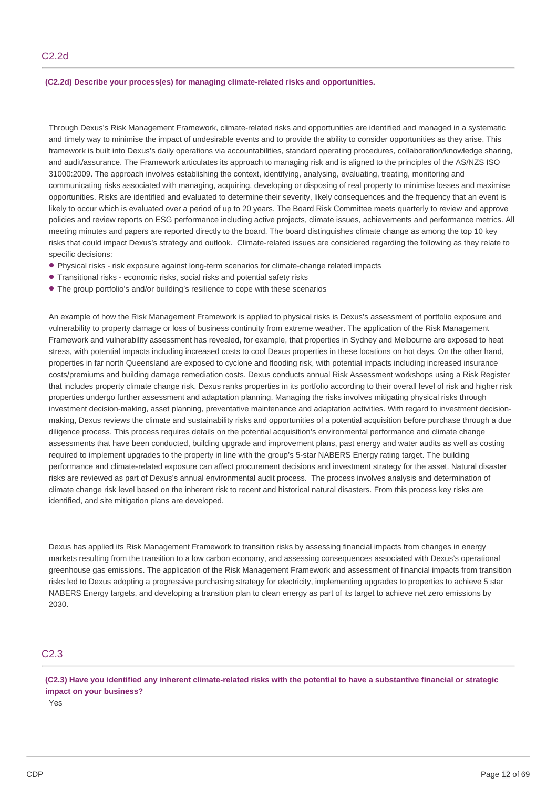## **(C2.2d) Describe your process(es) for managing climate-related risks and opportunities.**

Through Dexus's Risk Management Framework, climate-related risks and opportunities are identified and managed in a systematic and timely way to minimise the impact of undesirable events and to provide the ability to consider opportunities as they arise. This framework is built into Dexus's daily operations via accountabilities, standard operating procedures, collaboration/knowledge sharing, and audit/assurance. The Framework articulates its approach to managing risk and is aligned to the principles of the AS/NZS ISO 31000:2009. The approach involves establishing the context, identifying, analysing, evaluating, treating, monitoring and communicating risks associated with managing, acquiring, developing or disposing of real property to minimise losses and maximise opportunities. Risks are identified and evaluated to determine their severity, likely consequences and the frequency that an event is likely to occur which is evaluated over a period of up to 20 years. The Board Risk Committee meets quarterly to review and approve policies and review reports on ESG performance including active projects, climate issues, achievements and performance metrics. All meeting minutes and papers are reported directly to the board. The board distinguishes climate change as among the top 10 key risks that could impact Dexus's strategy and outlook. Climate-related issues are considered regarding the following as they relate to specific decisions:

- Physical risks risk exposure against long-term scenarios for climate-change related impacts
- Transitional risks economic risks, social risks and potential safety risks
- The group portfolio's and/or building's resilience to cope with these scenarios

An example of how the Risk Management Framework is applied to physical risks is Dexus's assessment of portfolio exposure and vulnerability to property damage or loss of business continuity from extreme weather. The application of the Risk Management Framework and vulnerability assessment has revealed, for example, that properties in Sydney and Melbourne are exposed to heat stress, with potential impacts including increased costs to cool Dexus properties in these locations on hot days. On the other hand, properties in far north Queensland are exposed to cyclone and flooding risk, with potential impacts including increased insurance costs/premiums and building damage remediation costs. Dexus conducts annual Risk Assessment workshops using a Risk Register that includes property climate change risk. Dexus ranks properties in its portfolio according to their overall level of risk and higher risk properties undergo further assessment and adaptation planning. Managing the risks involves mitigating physical risks through investment decision-making, asset planning, preventative maintenance and adaptation activities. With regard to investment decisionmaking, Dexus reviews the climate and sustainability risks and opportunities of a potential acquisition before purchase through a due diligence process. This process requires details on the potential acquisition's environmental performance and climate change assessments that have been conducted, building upgrade and improvement plans, past energy and water audits as well as costing required to implement upgrades to the property in line with the group's 5-star NABERS Energy rating target. The building performance and climate-related exposure can affect procurement decisions and investment strategy for the asset. Natural disaster risks are reviewed as part of Dexus's annual environmental audit process. The process involves analysis and determination of climate change risk level based on the inherent risk to recent and historical natural disasters. From this process key risks are identified, and site mitigation plans are developed.

Dexus has applied its Risk Management Framework to transition risks by assessing financial impacts from changes in energy markets resulting from the transition to a low carbon economy, and assessing consequences associated with Dexus's operational greenhouse gas emissions. The application of the Risk Management Framework and assessment of financial impacts from transition risks led to Dexus adopting a progressive purchasing strategy for electricity, implementing upgrades to properties to achieve 5 star NABERS Energy targets, and developing a transition plan to clean energy as part of its target to achieve net zero emissions by 2030.

# C2.3

(C2.3) Have you identified any inherent climate-related risks with the potential to have a substantive financial or strategic **impact on your business?**

Yes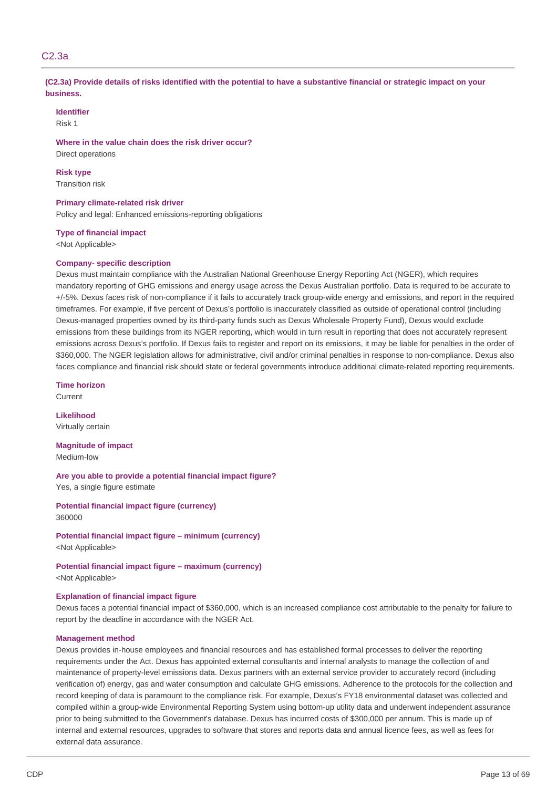# C2.3a

(C2.3a) Provide details of risks identified with the potential to have a substantive financial or strategic impact on your **business.**

#### **Identifier**

Risk 1

## **Where in the value chain does the risk driver occur?** Direct operations

**Risk type** Transition risk

# **Primary climate-related risk driver**

Policy and legal: Enhanced emissions-reporting obligations

#### **Type of financial impact**

<Not Applicable>

## **Company- specific description**

Dexus must maintain compliance with the Australian National Greenhouse Energy Reporting Act (NGER), which requires mandatory reporting of GHG emissions and energy usage across the Dexus Australian portfolio. Data is required to be accurate to +/-5%. Dexus faces risk of non-compliance if it fails to accurately track group-wide energy and emissions, and report in the required timeframes. For example, if five percent of Dexus's portfolio is inaccurately classified as outside of operational control (including Dexus-managed properties owned by its third-party funds such as Dexus Wholesale Property Fund), Dexus would exclude emissions from these buildings from its NGER reporting, which would in turn result in reporting that does not accurately represent emissions across Dexus's portfolio. If Dexus fails to register and report on its emissions, it may be liable for penalties in the order of \$360,000. The NGER legislation allows for administrative, civil and/or criminal penalties in response to non-compliance. Dexus also faces compliance and financial risk should state or federal governments introduce additional climate-related reporting requirements.

**Time horizon** Current

**Likelihood** Virtually certain

**Magnitude of impact** Medium-low

**Are you able to provide a potential financial impact figure?** Yes, a single figure estimate

**Potential financial impact figure (currency)** 360000

**Potential financial impact figure – minimum (currency)** <Not Applicable>

**Potential financial impact figure – maximum (currency)** <Not Applicable>

#### **Explanation of financial impact figure**

Dexus faces a potential financial impact of \$360,000, which is an increased compliance cost attributable to the penalty for failure to report by the deadline in accordance with the NGER Act.

### **Management method**

Dexus provides in-house employees and financial resources and has established formal processes to deliver the reporting requirements under the Act. Dexus has appointed external consultants and internal analysts to manage the collection of and maintenance of property-level emissions data. Dexus partners with an external service provider to accurately record (including verification of) energy, gas and water consumption and calculate GHG emissions. Adherence to the protocols for the collection and record keeping of data is paramount to the compliance risk. For example, Dexus's FY18 environmental dataset was collected and compiled within a group-wide Environmental Reporting System using bottom-up utility data and underwent independent assurance prior to being submitted to the Government's database. Dexus has incurred costs of \$300,000 per annum. This is made up of internal and external resources, upgrades to software that stores and reports data and annual licence fees, as well as fees for external data assurance.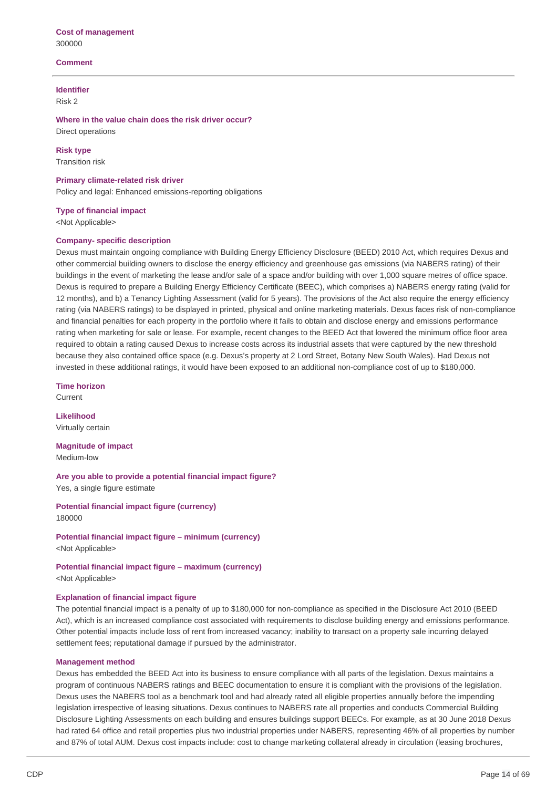## **Comment**

## **Identifier**

Risk 2

**Where in the value chain does the risk driver occur?** Direct operations

**Risk type** Transition risk

**Primary climate-related risk driver** Policy and legal: Enhanced emissions-reporting obligations

**Type of financial impact**

<Not Applicable>

## **Company- specific description**

Dexus must maintain ongoing compliance with Building Energy Efficiency Disclosure (BEED) 2010 Act, which requires Dexus and other commercial building owners to disclose the energy efficiency and greenhouse gas emissions (via NABERS rating) of their buildings in the event of marketing the lease and/or sale of a space and/or building with over 1,000 square metres of office space. Dexus is required to prepare a Building Energy Efficiency Certificate (BEEC), which comprises a) NABERS energy rating (valid for 12 months), and b) a Tenancy Lighting Assessment (valid for 5 years). The provisions of the Act also require the energy efficiency rating (via NABERS ratings) to be displayed in printed, physical and online marketing materials. Dexus faces risk of non-compliance and financial penalties for each property in the portfolio where it fails to obtain and disclose energy and emissions performance rating when marketing for sale or lease. For example, recent changes to the BEED Act that lowered the minimum office floor area required to obtain a rating caused Dexus to increase costs across its industrial assets that were captured by the new threshold because they also contained office space (e.g. Dexus's property at 2 Lord Street, Botany New South Wales). Had Dexus not invested in these additional ratings, it would have been exposed to an additional non-compliance cost of up to \$180,000.

**Time horizon** Current

**Likelihood** Virtually certain

**Magnitude of impact** Medium-low

**Are you able to provide a potential financial impact figure?** Yes, a single figure estimate

**Potential financial impact figure (currency)** 180000

**Potential financial impact figure – minimum (currency)** <Not Applicable>

**Potential financial impact figure – maximum (currency)** <Not Applicable>

## **Explanation of financial impact figure**

The potential financial impact is a penalty of up to \$180,000 for non-compliance as specified in the Disclosure Act 2010 (BEED Act), which is an increased compliance cost associated with requirements to disclose building energy and emissions performance. Other potential impacts include loss of rent from increased vacancy; inability to transact on a property sale incurring delayed settlement fees; reputational damage if pursued by the administrator.

#### **Management method**

Dexus has embedded the BEED Act into its business to ensure compliance with all parts of the legislation. Dexus maintains a program of continuous NABERS ratings and BEEC documentation to ensure it is compliant with the provisions of the legislation. Dexus uses the NABERS tool as a benchmark tool and had already rated all eligible properties annually before the impending legislation irrespective of leasing situations. Dexus continues to NABERS rate all properties and conducts Commercial Building Disclosure Lighting Assessments on each building and ensures buildings support BEECs. For example, as at 30 June 2018 Dexus had rated 64 office and retail properties plus two industrial properties under NABERS, representing 46% of all properties by number and 87% of total AUM. Dexus cost impacts include: cost to change marketing collateral already in circulation (leasing brochures,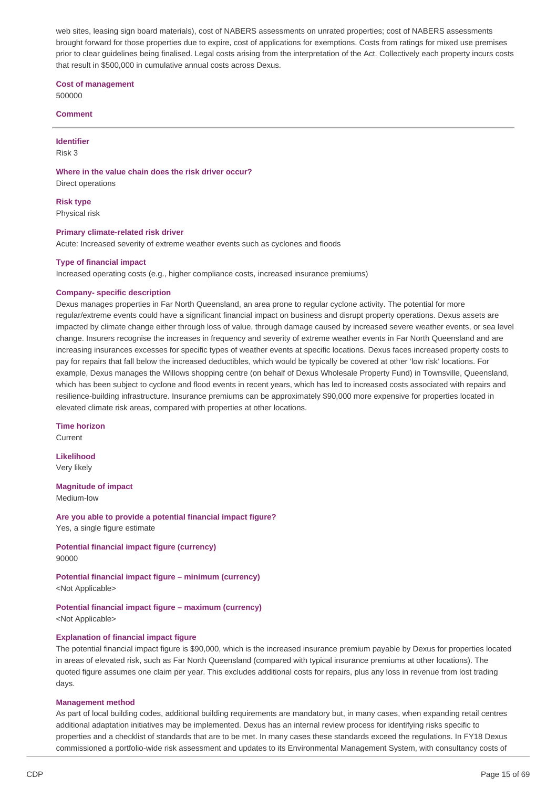web sites, leasing sign board materials), cost of NABERS assessments on unrated properties; cost of NABERS assessments brought forward for those properties due to expire, cost of applications for exemptions. Costs from ratings for mixed use premises prior to clear guidelines being finalised. Legal costs arising from the interpretation of the Act. Collectively each property incurs costs that result in \$500,000 in cumulative annual costs across Dexus.

**Cost of management**

500000

**Comment**

**Identifier**

Risk 3

**Where in the value chain does the risk driver occur?**

Direct operations

**Risk type** Physical risk

## **Primary climate-related risk driver**

Acute: Increased severity of extreme weather events such as cyclones and floods

## **Type of financial impact**

Increased operating costs (e.g., higher compliance costs, increased insurance premiums)

#### **Company- specific description**

Dexus manages properties in Far North Queensland, an area prone to regular cyclone activity. The potential for more regular/extreme events could have a significant financial impact on business and disrupt property operations. Dexus assets are impacted by climate change either through loss of value, through damage caused by increased severe weather events, or sea level change. Insurers recognise the increases in frequency and severity of extreme weather events in Far North Queensland and are increasing insurances excesses for specific types of weather events at specific locations. Dexus faces increased property costs to pay for repairs that fall below the increased deductibles, which would be typically be covered at other 'low risk' locations. For example, Dexus manages the Willows shopping centre (on behalf of Dexus Wholesale Property Fund) in Townsville, Queensland, which has been subject to cyclone and flood events in recent years, which has led to increased costs associated with repairs and resilience-building infrastructure. Insurance premiums can be approximately \$90,000 more expensive for properties located in elevated climate risk areas, compared with properties at other locations.

#### **Time horizon**

Current

**Likelihood** Very likely

## **Magnitude of impact**

Medium-low

**Are you able to provide a potential financial impact figure?** Yes, a single figure estimate

**Potential financial impact figure (currency)** 90000

**Potential financial impact figure – minimum (currency)** <Not Applicable>

**Potential financial impact figure – maximum (currency)** <Not Applicable>

#### **Explanation of financial impact figure**

The potential financial impact figure is \$90,000, which is the increased insurance premium payable by Dexus for properties located in areas of elevated risk, such as Far North Queensland (compared with typical insurance premiums at other locations). The quoted figure assumes one claim per year. This excludes additional costs for repairs, plus any loss in revenue from lost trading days.

#### **Management method**

As part of local building codes, additional building requirements are mandatory but, in many cases, when expanding retail centres additional adaptation initiatives may be implemented. Dexus has an internal review process for identifying risks specific to properties and a checklist of standards that are to be met. In many cases these standards exceed the regulations. In FY18 Dexus commissioned a portfolio-wide risk assessment and updates to its Environmental Management System, with consultancy costs of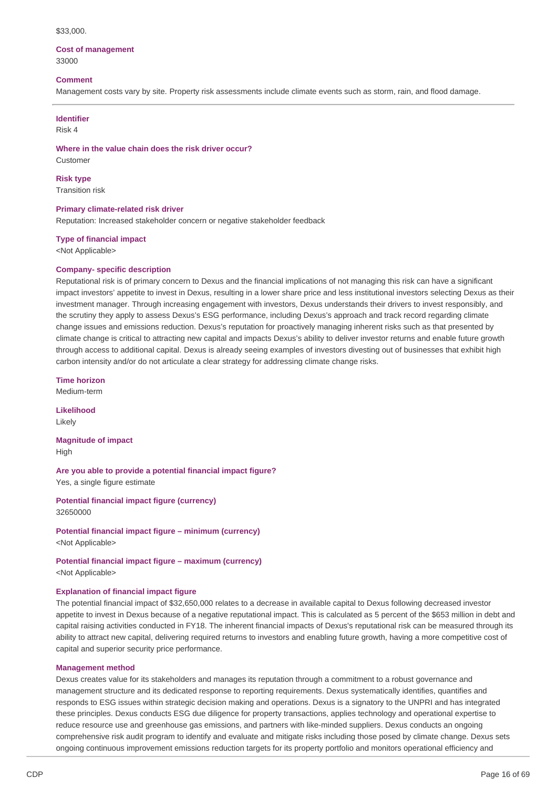#### \$33,000.

## **Cost of management** 33000

#### **Comment**

Management costs vary by site. Property risk assessments include climate events such as storm, rain, and flood damage.

#### **Identifier**

Risk 4

**Where in the value chain does the risk driver occur?** Customer

# **Risk type**

Transition risk

## **Primary climate-related risk driver**

Reputation: Increased stakeholder concern or negative stakeholder feedback

#### **Type of financial impact**

<Not Applicable>

#### **Company- specific description**

Reputational risk is of primary concern to Dexus and the financial implications of not managing this risk can have a significant impact investors' appetite to invest in Dexus, resulting in a lower share price and less institutional investors selecting Dexus as their investment manager. Through increasing engagement with investors, Dexus understands their drivers to invest responsibly, and the scrutiny they apply to assess Dexus's ESG performance, including Dexus's approach and track record regarding climate change issues and emissions reduction. Dexus's reputation for proactively managing inherent risks such as that presented by climate change is critical to attracting new capital and impacts Dexus's ability to deliver investor returns and enable future growth through access to additional capital. Dexus is already seeing examples of investors divesting out of businesses that exhibit high carbon intensity and/or do not articulate a clear strategy for addressing climate change risks.

**Time horizon**

Medium-term

**Likelihood** Likely

**Magnitude of impact** High

**Are you able to provide a potential financial impact figure?** Yes, a single figure estimate

**Potential financial impact figure (currency)** 32650000

**Potential financial impact figure – minimum (currency)** <Not Applicable>

**Potential financial impact figure – maximum (currency)** <Not Applicable>

## **Explanation of financial impact figure**

The potential financial impact of \$32,650,000 relates to a decrease in available capital to Dexus following decreased investor appetite to invest in Dexus because of a negative reputational impact. This is calculated as 5 percent of the \$653 million in debt and capital raising activities conducted in FY18. The inherent financial impacts of Dexus's reputational risk can be measured through its ability to attract new capital, delivering required returns to investors and enabling future growth, having a more competitive cost of capital and superior security price performance.

#### **Management method**

Dexus creates value for its stakeholders and manages its reputation through a commitment to a robust governance and management structure and its dedicated response to reporting requirements. Dexus systematically identifies, quantifies and responds to ESG issues within strategic decision making and operations. Dexus is a signatory to the UNPRI and has integrated these principles. Dexus conducts ESG due diligence for property transactions, applies technology and operational expertise to reduce resource use and greenhouse gas emissions, and partners with like-minded suppliers. Dexus conducts an ongoing comprehensive risk audit program to identify and evaluate and mitigate risks including those posed by climate change. Dexus sets ongoing continuous improvement emissions reduction targets for its property portfolio and monitors operational efficiency and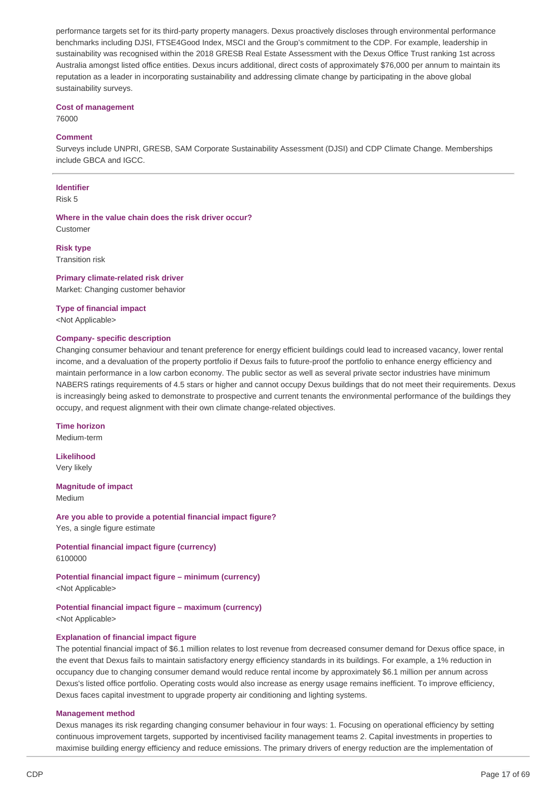performance targets set for its third-party property managers. Dexus proactively discloses through environmental performance benchmarks including DJSI, FTSE4Good Index, MSCI and the Group's commitment to the CDP. For example, leadership in sustainability was recognised within the 2018 GRESB Real Estate Assessment with the Dexus Office Trust ranking 1st across Australia amongst listed office entities. Dexus incurs additional, direct costs of approximately \$76,000 per annum to maintain its reputation as a leader in incorporating sustainability and addressing climate change by participating in the above global sustainability surveys.

## **Cost of management**

76000

## **Comment**

Surveys include UNPRI, GRESB, SAM Corporate Sustainability Assessment (DJSI) and CDP Climate Change. Memberships include GBCA and IGCC.

#### **Identifier**

Risk 5

**Where in the value chain does the risk driver occur?** Customer

# **Risk type**

Transition risk

# **Primary climate-related risk driver** Market: Changing customer behavior

## **Type of financial impact**

<Not Applicable>

## **Company- specific description**

Changing consumer behaviour and tenant preference for energy efficient buildings could lead to increased vacancy, lower rental income, and a devaluation of the property portfolio if Dexus fails to future-proof the portfolio to enhance energy efficiency and maintain performance in a low carbon economy. The public sector as well as several private sector industries have minimum NABERS ratings requirements of 4.5 stars or higher and cannot occupy Dexus buildings that do not meet their requirements. Dexus is increasingly being asked to demonstrate to prospective and current tenants the environmental performance of the buildings they occupy, and request alignment with their own climate change-related objectives.

#### **Time horizon**

Medium-term

**Likelihood** Very likely

# **Magnitude of impact**

Medium

**Are you able to provide a potential financial impact figure?** Yes, a single figure estimate

**Potential financial impact figure (currency)** 6100000

**Potential financial impact figure – minimum (currency)** <Not Applicable>

**Potential financial impact figure – maximum (currency)** <Not Applicable>

#### **Explanation of financial impact figure**

The potential financial impact of \$6.1 million relates to lost revenue from decreased consumer demand for Dexus office space, in the event that Dexus fails to maintain satisfactory energy efficiency standards in its buildings. For example, a 1% reduction in occupancy due to changing consumer demand would reduce rental income by approximately \$6.1 million per annum across Dexus's listed office portfolio. Operating costs would also increase as energy usage remains inefficient. To improve efficiency, Dexus faces capital investment to upgrade property air conditioning and lighting systems.

## **Management method**

Dexus manages its risk regarding changing consumer behaviour in four ways: 1. Focusing on operational efficiency by setting continuous improvement targets, supported by incentivised facility management teams 2. Capital investments in properties to maximise building energy efficiency and reduce emissions. The primary drivers of energy reduction are the implementation of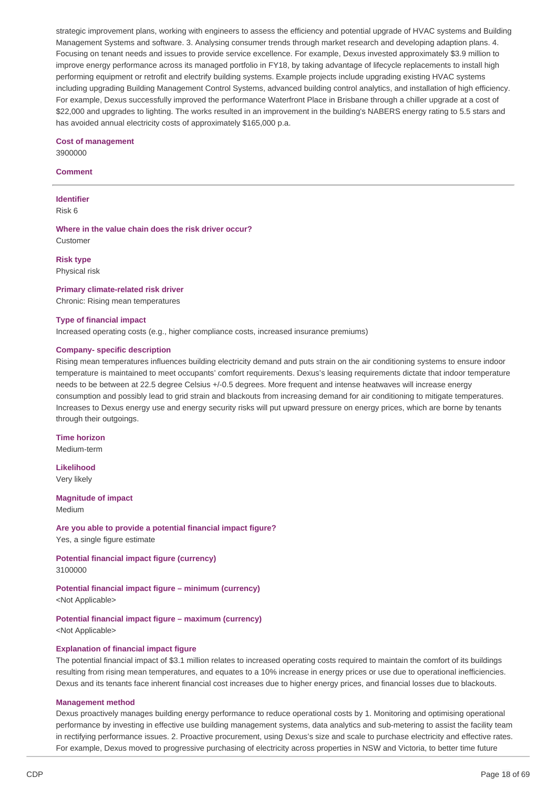strategic improvement plans, working with engineers to assess the efficiency and potential upgrade of HVAC systems and Building Management Systems and software. 3. Analysing consumer trends through market research and developing adaption plans. 4. Focusing on tenant needs and issues to provide service excellence. For example, Dexus invested approximately \$3.9 million to improve energy performance across its managed portfolio in FY18, by taking advantage of lifecycle replacements to install high performing equipment or retrofit and electrify building systems. Example projects include upgrading existing HVAC systems including upgrading Building Management Control Systems, advanced building control analytics, and installation of high efficiency. For example, Dexus successfully improved the performance Waterfront Place in Brisbane through a chiller upgrade at a cost of \$22,000 and upgrades to lighting. The works resulted in an improvement in the building's NABERS energy rating to 5.5 stars and has avoided annual electricity costs of approximately \$165,000 p.a.

# **Cost of management**

3900000

# **Comment**

**Identifier** Risk 6

**Where in the value chain does the risk driver occur?** Customer

**Risk type** Physical risk

# **Primary climate-related risk driver**

Chronic: Rising mean temperatures

## **Type of financial impact**

Increased operating costs (e.g., higher compliance costs, increased insurance premiums)

## **Company- specific description**

Rising mean temperatures influences building electricity demand and puts strain on the air conditioning systems to ensure indoor temperature is maintained to meet occupants' comfort requirements. Dexus's leasing requirements dictate that indoor temperature needs to be between at 22.5 degree Celsius +/-0.5 degrees. More frequent and intense heatwaves will increase energy consumption and possibly lead to grid strain and blackouts from increasing demand for air conditioning to mitigate temperatures. Increases to Dexus energy use and energy security risks will put upward pressure on energy prices, which are borne by tenants through their outgoings.

**Time horizon** Medium-term

**Likelihood** Very likely

# **Magnitude of impact**

Medium

**Are you able to provide a potential financial impact figure?** Yes, a single figure estimate

## **Potential financial impact figure (currency)** 3100000

**Potential financial impact figure – minimum (currency)**

<Not Applicable>

# **Potential financial impact figure – maximum (currency)**

<Not Applicable>

# **Explanation of financial impact figure**

The potential financial impact of \$3.1 million relates to increased operating costs required to maintain the comfort of its buildings resulting from rising mean temperatures, and equates to a 10% increase in energy prices or use due to operational inefficiencies. Dexus and its tenants face inherent financial cost increases due to higher energy prices, and financial losses due to blackouts.

## **Management method**

Dexus proactively manages building energy performance to reduce operational costs by 1. Monitoring and optimising operational performance by investing in effective use building management systems, data analytics and sub-metering to assist the facility team in rectifying performance issues. 2. Proactive procurement, using Dexus's size and scale to purchase electricity and effective rates. For example, Dexus moved to progressive purchasing of electricity across properties in NSW and Victoria, to better time future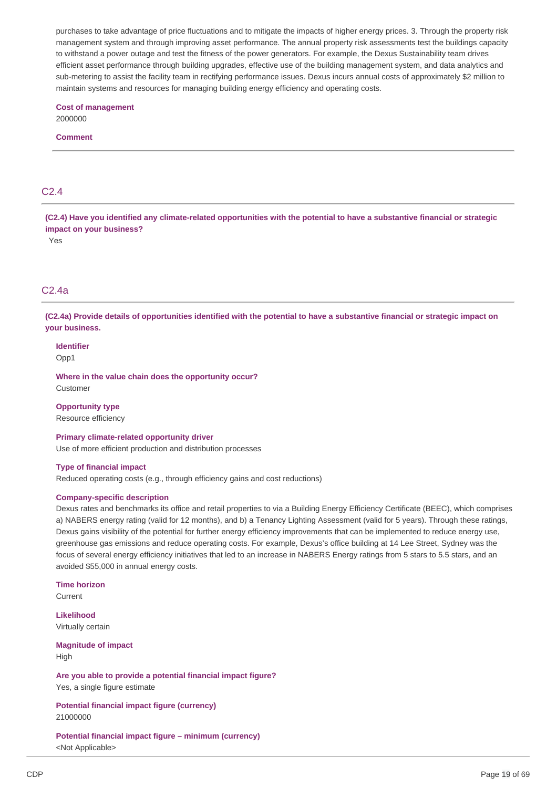purchases to take advantage of price fluctuations and to mitigate the impacts of higher energy prices. 3. Through the property risk management system and through improving asset performance. The annual property risk assessments test the buildings capacity to withstand a power outage and test the fitness of the power generators. For example, the Dexus Sustainability team drives efficient asset performance through building upgrades, effective use of the building management system, and data analytics and sub-metering to assist the facility team in rectifying performance issues. Dexus incurs annual costs of approximately \$2 million to maintain systems and resources for managing building energy efficiency and operating costs.

# **Cost of management**

2000000

# **Comment**

# $C<sub>2</sub>$  4

(C2.4) Have you identified any climate-related opportunities with the potential to have a substantive financial or strategic **impact on your business?**

Yes

# C2.4a

(C2.4a) Provide details of opportunities identified with the potential to have a substantive financial or strategic impact on **your business.**

**Identifier** Opp1

**Where in the value chain does the opportunity occur?** Customer

**Opportunity type** Resource efficiency

**Primary climate-related opportunity driver** Use of more efficient production and distribution processes

## **Type of financial impact**

Reduced operating costs (e.g., through efficiency gains and cost reductions)

## **Company-specific description**

Dexus rates and benchmarks its office and retail properties to via a Building Energy Efficiency Certificate (BEEC), which comprises a) NABERS energy rating (valid for 12 months), and b) a Tenancy Lighting Assessment (valid for 5 years). Through these ratings, Dexus gains visibility of the potential for further energy efficiency improvements that can be implemented to reduce energy use, greenhouse gas emissions and reduce operating costs. For example, Dexus's office building at 14 Lee Street, Sydney was the focus of several energy efficiency initiatives that led to an increase in NABERS Energy ratings from 5 stars to 5.5 stars, and an avoided \$55,000 in annual energy costs.

**Time horizon**

Current

**Likelihood** Virtually certain

**Magnitude of impact** High

**Are you able to provide a potential financial impact figure?** Yes, a single figure estimate

**Potential financial impact figure (currency)** 21000000

**Potential financial impact figure – minimum (currency)** <Not Applicable>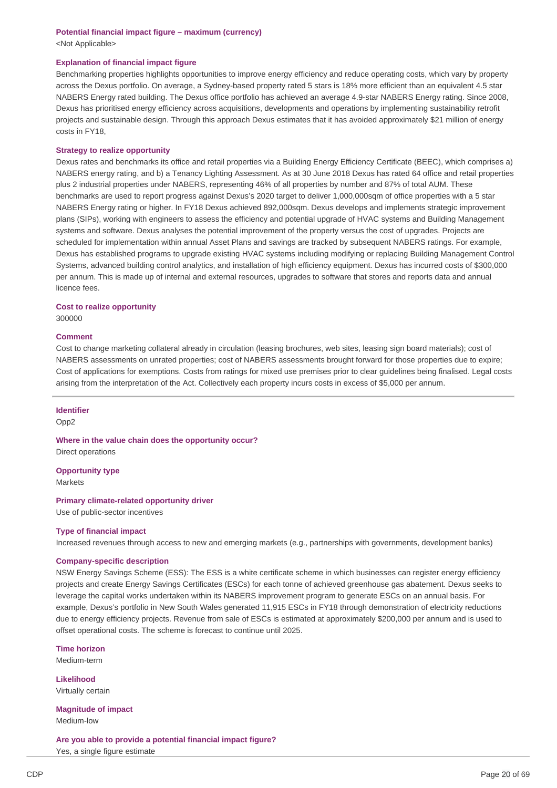## **Potential financial impact figure – maximum (currency)** <Not Applicable>

## **Explanation of financial impact figure**

Benchmarking properties highlights opportunities to improve energy efficiency and reduce operating costs, which vary by property across the Dexus portfolio. On average, a Sydney-based property rated 5 stars is 18% more efficient than an equivalent 4.5 star NABERS Energy rated building. The Dexus office portfolio has achieved an average 4.9-star NABERS Energy rating. Since 2008, Dexus has prioritised energy efficiency across acquisitions, developments and operations by implementing sustainability retrofit projects and sustainable design. Through this approach Dexus estimates that it has avoided approximately \$21 million of energy costs in FY18,

#### **Strategy to realize opportunity**

Dexus rates and benchmarks its office and retail properties via a Building Energy Efficiency Certificate (BEEC), which comprises a) NABERS energy rating, and b) a Tenancy Lighting Assessment. As at 30 June 2018 Dexus has rated 64 office and retail properties plus 2 industrial properties under NABERS, representing 46% of all properties by number and 87% of total AUM. These benchmarks are used to report progress against Dexus's 2020 target to deliver 1,000,000sqm of office properties with a 5 star NABERS Energy rating or higher. In FY18 Dexus achieved 892,000sqm. Dexus develops and implements strategic improvement plans (SIPs), working with engineers to assess the efficiency and potential upgrade of HVAC systems and Building Management systems and software. Dexus analyses the potential improvement of the property versus the cost of upgrades. Projects are scheduled for implementation within annual Asset Plans and savings are tracked by subsequent NABERS ratings. For example, Dexus has established programs to upgrade existing HVAC systems including modifying or replacing Building Management Control Systems, advanced building control analytics, and installation of high efficiency equipment. Dexus has incurred costs of \$300,000 per annum. This is made up of internal and external resources, upgrades to software that stores and reports data and annual licence fees.

#### **Cost to realize opportunity**

300000

# **Comment**

Cost to change marketing collateral already in circulation (leasing brochures, web sites, leasing sign board materials); cost of NABERS assessments on unrated properties; cost of NABERS assessments brought forward for those properties due to expire; Cost of applications for exemptions. Costs from ratings for mixed use premises prior to clear guidelines being finalised. Legal costs arising from the interpretation of the Act. Collectively each property incurs costs in excess of \$5,000 per annum.

# **Identifier**

Opp2

**Where in the value chain does the opportunity occur?** Direct operations

**Opportunity type Markets** 

#### **Primary climate-related opportunity driver**

Use of public-sector incentives

#### **Type of financial impact**

Increased revenues through access to new and emerging markets (e.g., partnerships with governments, development banks)

#### **Company-specific description**

NSW Energy Savings Scheme (ESS): The ESS is a white certificate scheme in which businesses can register energy efficiency projects and create Energy Savings Certificates (ESCs) for each tonne of achieved greenhouse gas abatement. Dexus seeks to leverage the capital works undertaken within its NABERS improvement program to generate ESCs on an annual basis. For example, Dexus's portfolio in New South Wales generated 11,915 ESCs in FY18 through demonstration of electricity reductions due to energy efficiency projects. Revenue from sale of ESCs is estimated at approximately \$200,000 per annum and is used to offset operational costs. The scheme is forecast to continue until 2025.

#### **Time horizon**

Medium-term

**Likelihood** Virtually certain

**Magnitude of impact** Medium-low

**Are you able to provide a potential financial impact figure?** Yes, a single figure estimate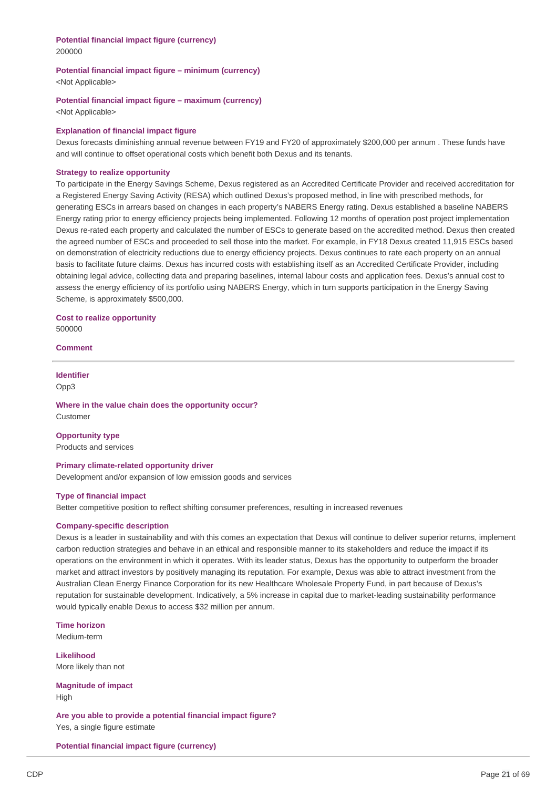# **Potential financial impact figure (currency)**

200000

## **Potential financial impact figure – minimum (currency)**

<Not Applicable>

## **Potential financial impact figure – maximum (currency)**

<Not Applicable>

## **Explanation of financial impact figure**

Dexus forecasts diminishing annual revenue between FY19 and FY20 of approximately \$200,000 per annum . These funds have and will continue to offset operational costs which benefit both Dexus and its tenants.

## **Strategy to realize opportunity**

To participate in the Energy Savings Scheme, Dexus registered as an Accredited Certificate Provider and received accreditation for a Registered Energy Saving Activity (RESA) which outlined Dexus's proposed method, in line with prescribed methods, for generating ESCs in arrears based on changes in each property's NABERS Energy rating. Dexus established a baseline NABERS Energy rating prior to energy efficiency projects being implemented. Following 12 months of operation post project implementation Dexus re-rated each property and calculated the number of ESCs to generate based on the accredited method. Dexus then created the agreed number of ESCs and proceeded to sell those into the market. For example, in FY18 Dexus created 11,915 ESCs based on demonstration of electricity reductions due to energy efficiency projects. Dexus continues to rate each property on an annual basis to facilitate future claims. Dexus has incurred costs with establishing itself as an Accredited Certificate Provider, including obtaining legal advice, collecting data and preparing baselines, internal labour costs and application fees. Dexus's annual cost to assess the energy efficiency of its portfolio using NABERS Energy, which in turn supports participation in the Energy Saving Scheme, is approximately \$500,000.

**Cost to realize opportunity** 500000

### **Comment**

**Identifier** Opp3

**Where in the value chain does the opportunity occur?** Customer

**Opportunity type** Products and services

#### **Primary climate-related opportunity driver**

Development and/or expansion of low emission goods and services

## **Type of financial impact**

Better competitive position to reflect shifting consumer preferences, resulting in increased revenues

## **Company-specific description**

Dexus is a leader in sustainability and with this comes an expectation that Dexus will continue to deliver superior returns, implement carbon reduction strategies and behave in an ethical and responsible manner to its stakeholders and reduce the impact if its operations on the environment in which it operates. With its leader status, Dexus has the opportunity to outperform the broader market and attract investors by positively managing its reputation. For example, Dexus was able to attract investment from the Australian Clean Energy Finance Corporation for its new Healthcare Wholesale Property Fund, in part because of Dexus's reputation for sustainable development. Indicatively, a 5% increase in capital due to market-leading sustainability performance would typically enable Dexus to access \$32 million per annum.

**Time horizon**

Medium-term

**Likelihood** More likely than not

**Magnitude of impact** High

**Are you able to provide a potential financial impact figure?** Yes, a single figure estimate

**Potential financial impact figure (currency)**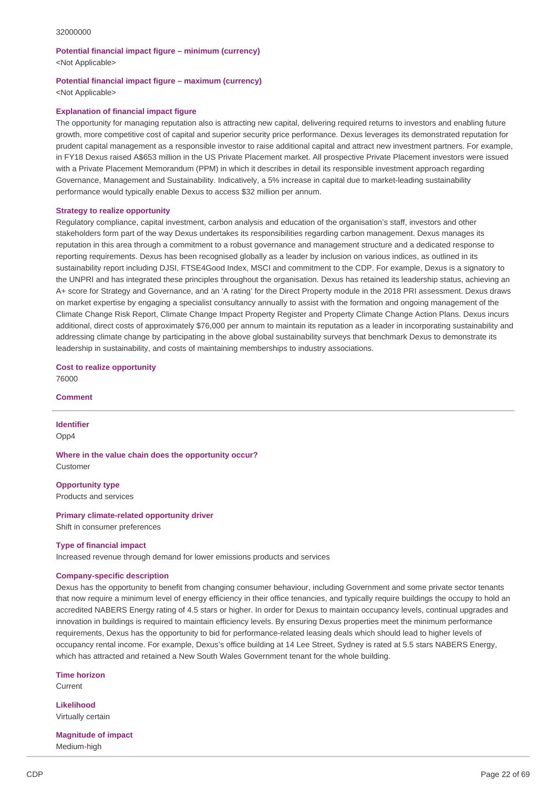# **Potential financial impact figure – minimum (currency)** <Not Applicable>

## **Potential financial impact figure – maximum (currency)** <Not Applicable>

#### **Explanation of financial impact figure**

The opportunity for managing reputation also is attracting new capital, delivering required returns to investors and enabling future growth, more competitive cost of capital and superior security price performance. Dexus leverages its demonstrated reputation for prudent capital management as a responsible investor to raise additional capital and attract new investment partners. For example, in FY18 Dexus raised A\$653 million in the US Private Placement market. All prospective Private Placement investors were issued with a Private Placement Memorandum (PPM) in which it describes in detail its responsible investment approach regarding Governance, Management and Sustainability. Indicatively, a 5% increase in capital due to market-leading sustainability performance would typically enable Dexus to access \$32 million per annum.

## **Strategy to realize opportunity**

Regulatory compliance, capital investment, carbon analysis and education of the organisation's staff, investors and other stakeholders form part of the way Dexus undertakes its responsibilities regarding carbon management. Dexus manages its reputation in this area through a commitment to a robust governance and management structure and a dedicated response to reporting requirements. Dexus has been recognised globally as a leader by inclusion on various indices, as outlined in its sustainability report including DJSI, FTSE4Good Index, MSCI and commitment to the CDP. For example, Dexus is a signatory to the UNPRI and has integrated these principles throughout the organisation. Dexus has retained its leadership status, achieving an A+ score for Strategy and Governance, and an 'A rating' for the Direct Property module in the 2018 PRI assessment. Dexus draws on market expertise by engaging a specialist consultancy annually to assist with the formation and ongoing management of the Climate Change Risk Report, Climate Change Impact Property Register and Property Climate Change Action Plans. Dexus incurs additional, direct costs of approximately \$76,000 per annum to maintain its reputation as a leader in incorporating sustainability and addressing climate change by participating in the above global sustainability surveys that benchmark Dexus to demonstrate its leadership in sustainability, and costs of maintaining memberships to industry associations.

# **Cost to realize opportunity**

76000

**Comment**

**Identifier** Opp4

**Where in the value chain does the opportunity occur?** Customer

**Opportunity type** Products and services

**Primary climate-related opportunity driver**

Shift in consumer preferences

#### **Type of financial impact**

Increased revenue through demand for lower emissions products and services

#### **Company-specific description**

Dexus has the opportunity to benefit from changing consumer behaviour, including Government and some private sector tenants that now require a minimum level of energy efficiency in their office tenancies, and typically require buildings the occupy to hold an accredited NABERS Energy rating of 4.5 stars or higher. In order for Dexus to maintain occupancy levels, continual upgrades and innovation in buildings is required to maintain efficiency levels. By ensuring Dexus properties meet the minimum performance requirements, Dexus has the opportunity to bid for performance-related leasing deals which should lead to higher levels of occupancy rental income. For example, Dexus's office building at 14 Lee Street, Sydney is rated at 5.5 stars NABERS Energy, which has attracted and retained a New South Wales Government tenant for the whole building.

**Time horizon** Current

**Likelihood** Virtually certain

**Magnitude of impact** Medium-high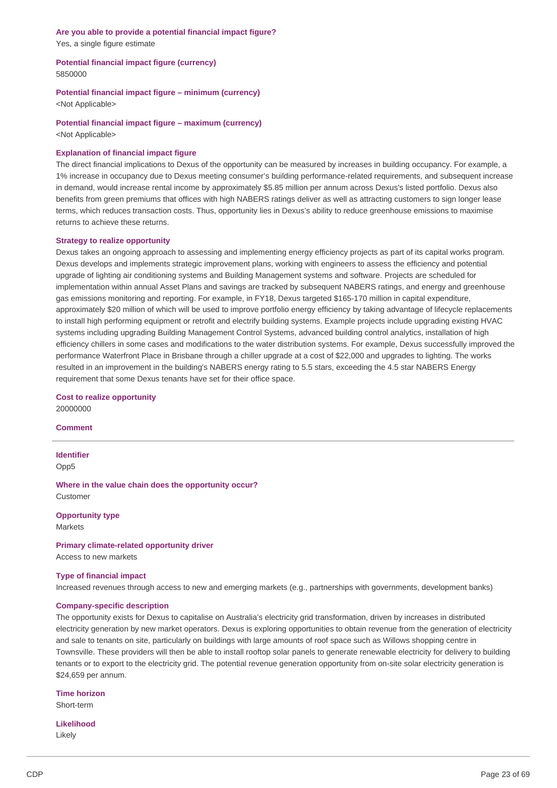## **Are you able to provide a potential financial impact figure?** Yes, a single figure estimate

**Potential financial impact figure (currency)** 5850000

**Potential financial impact figure – minimum (currency)**

<Not Applicable>

**Potential financial impact figure – maximum (currency)**

<Not Applicable>

# **Explanation of financial impact figure**

The direct financial implications to Dexus of the opportunity can be measured by increases in building occupancy. For example, a 1% increase in occupancy due to Dexus meeting consumer's building performance-related requirements, and subsequent increase in demand, would increase rental income by approximately \$5.85 million per annum across Dexus's listed portfolio. Dexus also benefits from green premiums that offices with high NABERS ratings deliver as well as attracting customers to sign longer lease terms, which reduces transaction costs. Thus, opportunity lies in Dexus's ability to reduce greenhouse emissions to maximise returns to achieve these returns.

## **Strategy to realize opportunity**

Dexus takes an ongoing approach to assessing and implementing energy efficiency projects as part of its capital works program. Dexus develops and implements strategic improvement plans, working with engineers to assess the efficiency and potential upgrade of lighting air conditioning systems and Building Management systems and software. Projects are scheduled for implementation within annual Asset Plans and savings are tracked by subsequent NABERS ratings, and energy and greenhouse gas emissions monitoring and reporting. For example, in FY18, Dexus targeted \$165-170 million in capital expenditure, approximately \$20 million of which will be used to improve portfolio energy efficiency by taking advantage of lifecycle replacements to install high performing equipment or retrofit and electrify building systems. Example projects include upgrading existing HVAC systems including upgrading Building Management Control Systems, advanced building control analytics, installation of high efficiency chillers in some cases and modifications to the water distribution systems. For example, Dexus successfully improved the performance Waterfront Place in Brisbane through a chiller upgrade at a cost of \$22,000 and upgrades to lighting. The works resulted in an improvement in the building's NABERS energy rating to 5.5 stars, exceeding the 4.5 star NABERS Energy requirement that some Dexus tenants have set for their office space.

**Cost to realize opportunity** 20000000

**Comment**

**Identifier** Opp5

**Where in the value chain does the opportunity occur?** Customer

**Opportunity type** Markets

**Primary climate-related opportunity driver**

Access to new markets

#### **Type of financial impact**

Increased revenues through access to new and emerging markets (e.g., partnerships with governments, development banks)

## **Company-specific description**

The opportunity exists for Dexus to capitalise on Australia's electricity grid transformation, driven by increases in distributed electricity generation by new market operators. Dexus is exploring opportunities to obtain revenue from the generation of electricity and sale to tenants on site, particularly on buildings with large amounts of roof space such as Willows shopping centre in Townsville. These providers will then be able to install rooftop solar panels to generate renewable electricity for delivery to building tenants or to export to the electricity grid. The potential revenue generation opportunity from on-site solar electricity generation is \$24,659 per annum.

**Time horizon** Short-term

**Likelihood** Likely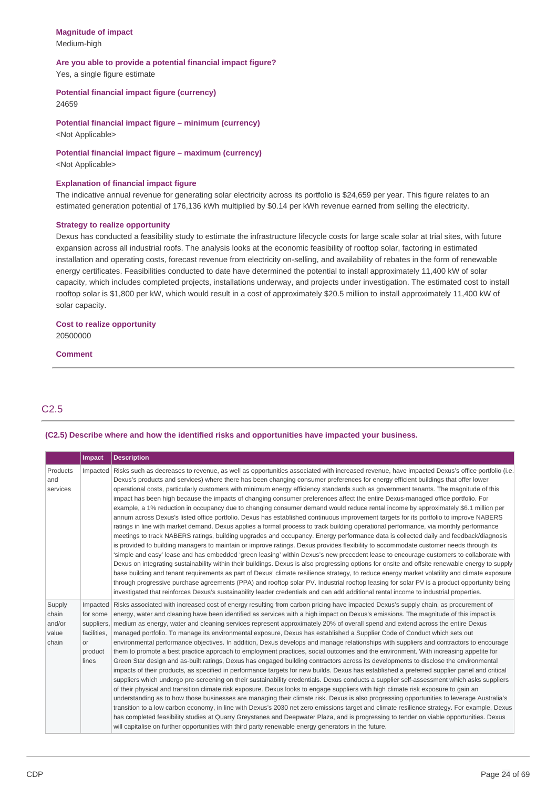# **Magnitude of impact** Medium-high

# **Are you able to provide a potential financial impact figure?**

Yes, a single figure estimate

# **Potential financial impact figure (currency)**

24659

# **Potential financial impact figure – minimum (currency)**

<Not Applicable>

# **Potential financial impact figure – maximum (currency)**

<Not Applicable>

# **Explanation of financial impact figure**

The indicative annual revenue for generating solar electricity across its portfolio is \$24,659 per year. This figure relates to an estimated generation potential of 176,136 kWh multiplied by \$0.14 per kWh revenue earned from selling the electricity.

## **Strategy to realize opportunity**

Dexus has conducted a feasibility study to estimate the infrastructure lifecycle costs for large scale solar at trial sites, with future expansion across all industrial roofs. The analysis looks at the economic feasibility of rooftop solar, factoring in estimated installation and operating costs, forecast revenue from electricity on-selling, and availability of rebates in the form of renewable energy certificates. Feasibilities conducted to date have determined the potential to install approximately 11,400 kW of solar capacity, which includes completed projects, installations underway, and projects under investigation. The estimated cost to install rooftop solar is \$1,800 per kW, which would result in a cost of approximately \$20.5 million to install approximately 11,400 kW of solar capacity.

# **Cost to realize opportunity** 20500000

#### **Comment**

# C2.5

# **(C2.5) Describe where and how the identified risks and opportunities have impacted your business.**

|                                             | <b>Impact</b>                                     | <b>Description</b>                                                                                                                                                                                                                                                                                                                                                                                                                                                                                                                                                                                                                                                                                                                                                                                                                                                                                                                                                                                                                                                                                                                                                                                                                                                                                                                                                                                                                                                                                                                                                                                                                                                                                                                                                                                                                                                                                                                                                                                                  |
|---------------------------------------------|---------------------------------------------------|---------------------------------------------------------------------------------------------------------------------------------------------------------------------------------------------------------------------------------------------------------------------------------------------------------------------------------------------------------------------------------------------------------------------------------------------------------------------------------------------------------------------------------------------------------------------------------------------------------------------------------------------------------------------------------------------------------------------------------------------------------------------------------------------------------------------------------------------------------------------------------------------------------------------------------------------------------------------------------------------------------------------------------------------------------------------------------------------------------------------------------------------------------------------------------------------------------------------------------------------------------------------------------------------------------------------------------------------------------------------------------------------------------------------------------------------------------------------------------------------------------------------------------------------------------------------------------------------------------------------------------------------------------------------------------------------------------------------------------------------------------------------------------------------------------------------------------------------------------------------------------------------------------------------------------------------------------------------------------------------------------------------|
| Products<br>and<br>services                 |                                                   | Impacted Risks such as decreases to revenue, as well as opportunities associated with increased revenue, have impacted Dexus's office portfolio (i.e.<br>Dexus's products and services) where there has been changing consumer preferences for energy efficient buildings that offer lower<br>operational costs, particularly customers with minimum energy efficiency standards such as government tenants. The magnitude of this<br>impact has been high because the impacts of changing consumer preferences affect the entire Dexus-managed office portfolio. For<br>example, a 1% reduction in occupancy due to changing consumer demand would reduce rental income by approximately \$6.1 million per<br>annum across Dexus's listed office portfolio. Dexus has established continuous improvement targets for its portfolio to improve NABERS<br>ratings in line with market demand. Dexus applies a formal process to track building operational performance, via monthly performance<br>meetings to track NABERS ratings, building upgrades and occupancy. Energy performance data is collected daily and feedback/diagnosis<br>is provided to building managers to maintain or improve ratings. Dexus provides flexibility to accommodate customer needs through its<br>'simple and easy' lease and has embedded 'green leasing' within Dexus's new precedent lease to encourage customers to collaborate with<br>Dexus on integrating sustainability within their buildings. Dexus is also progressing options for onsite and offsite renewable energy to supply<br>base building and tenant requirements as part of Dexus' climate resilience strategy, to reduce energy market volatility and climate exposure<br>through progressive purchase agreements (PPA) and rooftop solar PV. Industrial rooftop leasing for solar PV is a product opportunity being<br>investigated that reinforces Dexus's sustainability leader credentials and can add additional rental income to industrial properties. |
| Supply<br>chain<br>and/or<br>value<br>chain | for some<br>facilities.<br>or<br>product<br>lines | Impacted Risks associated with increased cost of energy resulting from carbon pricing have impacted Dexus's supply chain, as procurement of<br>energy, water and cleaning have been identified as services with a high impact on Dexus's emissions. The magnitude of this impact is<br>suppliers, medium as energy, water and cleaning services represent approximately 20% of overall spend and extend across the entire Dexus<br>managed portfolio. To manage its environmental exposure, Dexus has established a Supplier Code of Conduct which sets out<br>environmental performance objectives. In addition, Dexus develops and manage relationships with suppliers and contractors to encourage<br>them to promote a best practice approach to employment practices, social outcomes and the environment. With increasing appetite for<br>Green Star design and as-built ratings, Dexus has engaged building contractors across its developments to disclose the environmental<br>impacts of their products, as specified in performance targets for new builds. Dexus has established a preferred supplier panel and critical<br>suppliers which undergo pre-screening on their sustainability credentials. Dexus conducts a supplier self-assessment which asks suppliers<br>of their physical and transition climate risk exposure. Dexus looks to engage suppliers with high climate risk exposure to gain an<br>understanding as to how those businesses are managing their climate risk. Dexus is also progressing opportunities to leverage Australia's<br>transition to a low carbon economy, in line with Dexus's 2030 net zero emissions target and climate resilience strategy. For example, Dexus<br>has completed feasibility studies at Quarry Greystanes and Deepwater Plaza, and is progressing to tender on viable opportunities. Dexus<br>will capitalise on further opportunities with third party renewable energy generators in the future.                                              |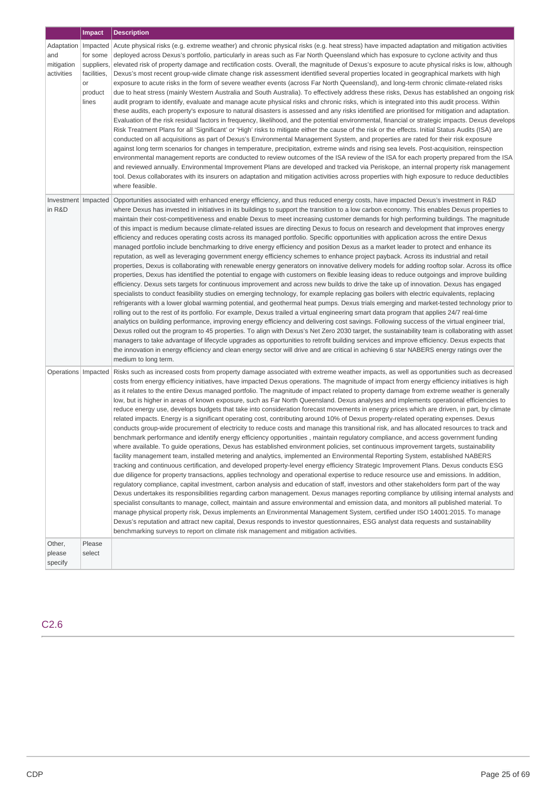|                                                          | Impact                                                          | <b>Description</b>                                                                                                                                                                                                                                                                                                                                                                                                                                                                                                                                                                                                                                                                                                                                                                                                                                                                                                                                                                                                                                                                                                                                                                                                                                                                                                                                                                                                                                                                                                                                                                                                                                                                                                                                                                                                                                                                                                                                                                                                                                                                                                                                                                                                                                                                                                                                                                                                                                                                                                      |
|----------------------------------------------------------|-----------------------------------------------------------------|-------------------------------------------------------------------------------------------------------------------------------------------------------------------------------------------------------------------------------------------------------------------------------------------------------------------------------------------------------------------------------------------------------------------------------------------------------------------------------------------------------------------------------------------------------------------------------------------------------------------------------------------------------------------------------------------------------------------------------------------------------------------------------------------------------------------------------------------------------------------------------------------------------------------------------------------------------------------------------------------------------------------------------------------------------------------------------------------------------------------------------------------------------------------------------------------------------------------------------------------------------------------------------------------------------------------------------------------------------------------------------------------------------------------------------------------------------------------------------------------------------------------------------------------------------------------------------------------------------------------------------------------------------------------------------------------------------------------------------------------------------------------------------------------------------------------------------------------------------------------------------------------------------------------------------------------------------------------------------------------------------------------------------------------------------------------------------------------------------------------------------------------------------------------------------------------------------------------------------------------------------------------------------------------------------------------------------------------------------------------------------------------------------------------------------------------------------------------------------------------------------------------------|
| Adaptation   Impacted<br>and<br>mitigation<br>activities | for some<br>suppliers,<br>facilities,<br>or<br>product<br>lines | Acute physical risks (e.g. extreme weather) and chronic physical risks (e.g. heat stress) have impacted adaptation and mitigation activities<br>deployed across Dexus's portfolio, particularly in areas such as Far North Queensland which has exposure to cyclone activity and thus<br>elevated risk of property damage and rectification costs. Overall, the magnitude of Dexus's exposure to acute physical risks is low, although<br>Dexus's most recent group-wide climate change risk assessment identified several properties located in geographical markets with high<br>exposure to acute risks in the form of severe weather events (across Far North Queensland), and long-term chronic climate-related risks<br>due to heat stress (mainly Western Australia and South Australia). To effectively address these risks, Dexus has established an ongoing risk<br>audit program to identify, evaluate and manage acute physical risks and chronic risks, which is integrated into this audit process. Within<br>these audits, each property's exposure to natural disasters is assessed and any risks identified are prioritised for mitigation and adaptation.<br>Evaluation of the risk residual factors in frequency, likelihood, and the potential environmental, financial or strategic impacts. Dexus develops<br>Risk Treatment Plans for all 'Significant' or 'High' risks to mitigate either the cause of the risk or the effects. Initial Status Audits (ISA) are<br>conducted on all acquisitions as part of Dexus's Environmental Management System, and properties are rated for their risk exposure<br>against long term scenarios for changes in temperature, precipitation, extreme winds and rising sea levels. Post-acquisition, reinspection<br>environmental management reports are conducted to review outcomes of the ISA review of the ISA for each property prepared from the ISA<br>and reviewed annually. Environmental Improvement Plans are developed and tracked via Periskope, an internal property risk management<br>tool. Dexus collaborates with its insurers on adaptation and mitigation activities across properties with high exposure to reduce deductibles<br>where feasible.                                                                                                                                                                                                                                                                                       |
| Investment   Impacted<br>in R&D                          |                                                                 | Opportunities associated with enhanced energy efficiency, and thus reduced energy costs, have impacted Dexus's investment in R&D<br>where Dexus has invested in initiatives in its buildings to support the transition to a low carbon economy. This enables Dexus properties to<br>maintain their cost-competitiveness and enable Dexus to meet increasing customer demands for high performing buildings. The magnitude<br>of this impact is medium because climate-related issues are directing Dexus to focus on research and development that improves energy<br>efficiency and reduces operating costs across its managed portfolio. Specific opportunities with application across the entire Dexus<br>managed portfolio include benchmarking to drive energy efficiency and position Dexus as a market leader to protect and enhance its<br>reputation, as well as leveraging government energy efficiency schemes to enhance project payback. Across its industrial and retail<br>properties, Dexus is collaborating with renewable energy generators on innovative delivery models for adding rooftop solar. Across its office<br>properties, Dexus has identified the potential to engage with customers on flexible leasing ideas to reduce outgoings and improve building<br>efficiency. Dexus sets targets for continuous improvement and across new builds to drive the take up of innovation. Dexus has engaged<br>specialists to conduct feasibility studies on emerging technology, for example replacing gas boilers with electric equivalents, replacing<br>refrigerants with a lower global warming potential, and geothermal heat pumps. Dexus trials emerging and market-tested technology prior to<br>rolling out to the rest of its portfolio. For example, Dexus trailed a virtual engineering smart data program that applies 24/7 real-time<br>analytics on building performance, improving energy efficiency and delivering cost savings. Following success of the virtual engineer trial,<br>Dexus rolled out the program to 45 properties. To align with Dexus's Net Zero 2030 target, the sustainability team is collaborating with asset<br>managers to take advantage of lifecycle upgrades as opportunities to retrofit building services and improve efficiency. Dexus expects that<br>the innovation in energy efficiency and clean energy sector will drive and are critical in achieving 6 star NABERS energy ratings over the<br>medium to long term.                           |
| Operations   Impacted                                    |                                                                 | Risks such as increased costs from property damage associated with extreme weather impacts, as well as opportunities such as decreased<br>costs from energy efficiency initiatives, have impacted Dexus operations. The magnitude of impact from energy efficiency initiatives is high<br>as it relates to the entire Dexus managed portfolio. The magnitude of impact related to property damage from extreme weather is generally<br>low, but is higher in areas of known exposure, such as Far North Queensland. Dexus analyses and implements operational efficiencies to<br>reduce energy use, develops budgets that take into consideration forecast movements in energy prices which are driven, in part, by climate<br>related impacts. Energy is a significant operating cost, contributing around 10% of Dexus property-related operating expenses. Dexus<br>conducts group-wide procurement of electricity to reduce costs and manage this transitional risk, and has allocated resources to track and<br>benchmark performance and identify energy efficiency opportunities, maintain regulatory compliance, and access government funding<br>where available. To guide operations, Dexus has established environment policies, set continuous improvement targets, sustainability<br>facility management team, installed metering and analytics, implemented an Environmental Reporting System, established NABERS<br>tracking and continuous certification, and developed property-level energy efficiency Strategic Improvement Plans. Dexus conducts ESG<br>due diligence for property transactions, applies technology and operational expertise to reduce resource use and emissions. In addition,<br>regulatory compliance, capital investment, carbon analysis and education of staff, investors and other stakeholders form part of the way<br>Dexus undertakes its responsibilities regarding carbon management. Dexus manages reporting compliance by utilising internal analysts and<br>specialist consultants to manage, collect, maintain and assure environmental and emission data, and monitors all published material. To<br>manage physical property risk, Dexus implements an Environmental Management System, certified under ISO 14001:2015. To manage<br>Dexus's reputation and attract new capital, Dexus responds to investor questionnaires, ESG analyst data requests and sustainability<br>benchmarking surveys to report on climate risk management and mitigation activities. |
| Other,<br>please<br>specify                              | Please<br>select                                                |                                                                                                                                                                                                                                                                                                                                                                                                                                                                                                                                                                                                                                                                                                                                                                                                                                                                                                                                                                                                                                                                                                                                                                                                                                                                                                                                                                                                                                                                                                                                                                                                                                                                                                                                                                                                                                                                                                                                                                                                                                                                                                                                                                                                                                                                                                                                                                                                                                                                                                                         |

# C2.6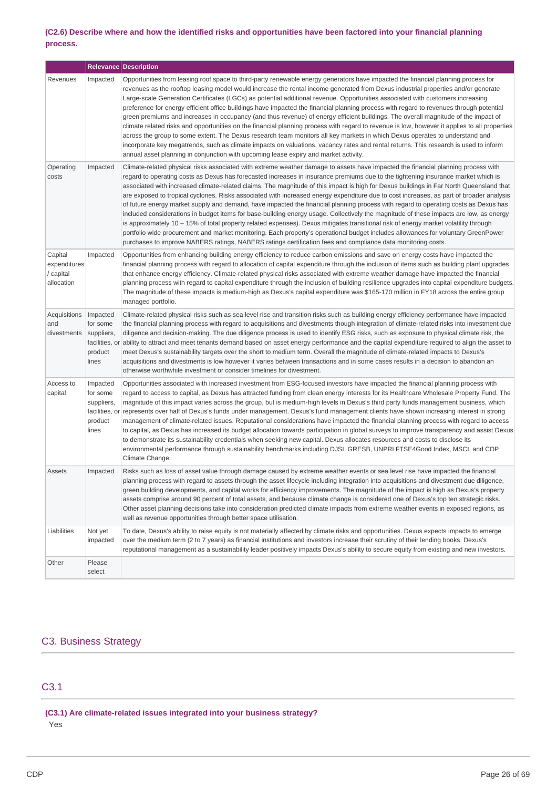# (C2.6) Describe where and how the identified risks and opportunities have been factored into your financial planning **process.**

|                                                    |                                                                          | <b>Relevance Description</b>                                                                                                                                                                                                                                                                                                                                                                                                                                                                                                                                                                                                                                                                                                                                                                                                                                                                                                                                                                                                                                                                                                                                                                                                               |
|----------------------------------------------------|--------------------------------------------------------------------------|--------------------------------------------------------------------------------------------------------------------------------------------------------------------------------------------------------------------------------------------------------------------------------------------------------------------------------------------------------------------------------------------------------------------------------------------------------------------------------------------------------------------------------------------------------------------------------------------------------------------------------------------------------------------------------------------------------------------------------------------------------------------------------------------------------------------------------------------------------------------------------------------------------------------------------------------------------------------------------------------------------------------------------------------------------------------------------------------------------------------------------------------------------------------------------------------------------------------------------------------|
| Revenues                                           | Impacted                                                                 | Opportunities from leasing roof space to third-party renewable energy generators have impacted the financial planning process for<br>revenues as the rooftop leasing model would increase the rental income generated from Dexus industrial properties and/or generate<br>Large-scale Generation Certificates (LGCs) as potential additional revenue. Opportunities associated with customers increasing<br>preference for energy efficient office buildings have impacted the financial planning process with regard to revenues through potential<br>green premiums and increases in occupancy (and thus revenue) of energy efficient buildings. The overall magnitude of the impact of<br>climate related risks and opportunities on the financial planning process with regard to revenue is low, however it applies to all properties<br>across the group to some extent. The Dexus research team monitors all key markets in which Dexus operates to understand and<br>incorporate key megatrends, such as climate impacts on valuations, vacancy rates and rental returns. This research is used to inform<br>annual asset planning in conjunction with upcoming lease expiry and market activity.                                  |
| Operating<br>costs                                 | Impacted                                                                 | Climate-related physical risks associated with extreme weather damage to assets have impacted the financial planning process with<br>regard to operating costs as Dexus has forecasted increases in insurance premiums due to the tightening insurance market which is<br>associated with increased climate-related claims. The magnitude of this impact is high for Dexus buildings in Far North Queensland that<br>are exposed to tropical cyclones. Risks associated with increased energy expenditure due to cost increases, as part of broader analysis<br>of future energy market supply and demand, have impacted the financial planning process with regard to operating costs as Dexus has<br>included considerations in budget items for base-building energy usage. Collectively the magnitude of these impacts are low, as energy<br>is approximately 10 – 15% of total property related expenses). Dexus mitigates transitional risk of energy market volatility through<br>portfolio wide procurement and market monitoring. Each property's operational budget includes allowances for voluntary GreenPower<br>purchases to improve NABERS ratings, NABERS ratings certification fees and compliance data monitoring costs. |
| Capital<br>expenditures<br>/ capital<br>allocation | Impacted                                                                 | Opportunities from enhancing building energy efficiency to reduce carbon emissions and save on energy costs have impacted the<br>financial planning process with regard to allocation of capital expenditure through the inclusion of items such as building plant upgrades<br>that enhance energy efficiency. Climate-related physical risks associated with extreme weather damage have impacted the financial<br>planning process with regard to capital expenditure through the inclusion of building resilience upgrades into capital expenditure budgets.<br>The magnitude of these impacts is medium-high as Dexus's capital expenditure was \$165-170 million in FY18 across the entire group<br>managed portfolio.                                                                                                                                                                                                                                                                                                                                                                                                                                                                                                                |
| Acquisitions<br>and<br>divestments                 | Impacted<br>for some<br>suppliers,<br>facilities, or<br>product<br>lines | Climate-related physical risks such as sea level rise and transition risks such as building energy efficiency performance have impacted<br>the financial planning process with regard to acquisitions and divestments though integration of climate-related risks into investment due<br>diligence and decision-making. The due diligence process is used to identify ESG risks, such as exposure to physical climate risk, the<br>ability to attract and meet tenants demand based on asset energy performance and the capital expenditure required to align the asset to<br>meet Dexus's sustainability targets over the short to medium term. Overall the magnitude of climate-related impacts to Dexus's<br>acquisitions and divestments is low however it varies between transactions and in some cases results in a decision to abandon an<br>otherwise worthwhile investment or consider timelines for divestment.                                                                                                                                                                                                                                                                                                                  |
| Access to<br>capital                               | Impacted<br>for some<br>suppliers,<br>facilities, or<br>product<br>lines | Opportunities associated with increased investment from ESG-focused investors have impacted the financial planning process with<br>regard to access to capital, as Dexus has attracted funding from clean energy interests for its Healthcare Wholesale Property Fund. The<br>magnitude of this impact varies across the group, but is medium-high levels in Dexus's third party funds management business, which<br>represents over half of Dexus's funds under management. Dexus's fund management clients have shown increasing interest in strong<br>management of climate-related issues. Reputational considerations have impacted the financial planning process with regard to access<br>to capital, as Dexus has increased its budget allocation towards participation in global surveys to improve transparency and assist Dexus<br>to demonstrate its sustainability credentials when seeking new capital. Dexus allocates resources and costs to disclose its<br>environmental performance through sustainability benchmarks including DJSI, GRESB, UNPRI FTSE4Good Index, MSCI, and CDP<br>Climate Change.                                                                                                                    |
| Assets                                             | Impacted                                                                 | Risks such as loss of asset value through damage caused by extreme weather events or sea level rise have impacted the financial<br>planning process with regard to assets through the asset lifecycle including integration into acquisitions and divestment due diligence,<br>green building developments, and capital works for efficiency improvements. The magnitude of the impact is high as Dexus's property<br>assets comprise around 90 percent of total assets, and because climate change is considered one of Dexus's top ten strategic risks.<br>Other asset planning decisions take into consideration predicted climate impacts from extreme weather events in exposed regions, as<br>well as revenue opportunities through better space utilisation.                                                                                                                                                                                                                                                                                                                                                                                                                                                                        |
| Liabilities                                        | Not yet<br>impacted                                                      | To date, Dexus's ability to raise equity is not materially affected by climate risks and opportunities. Dexus expects impacts to emerge<br>over the medium term (2 to 7 years) as financial institutions and investors increase their scrutiny of their lending books. Dexus's<br>reputational management as a sustainability leader positively impacts Dexus's ability to secure equity from existing and new investors.                                                                                                                                                                                                                                                                                                                                                                                                                                                                                                                                                                                                                                                                                                                                                                                                                  |
| Other                                              | Please<br>select                                                         |                                                                                                                                                                                                                                                                                                                                                                                                                                                                                                                                                                                                                                                                                                                                                                                                                                                                                                                                                                                                                                                                                                                                                                                                                                            |

# C3. Business Strategy

# C3.1

**(C3.1) Are climate-related issues integrated into your business strategy?** Yes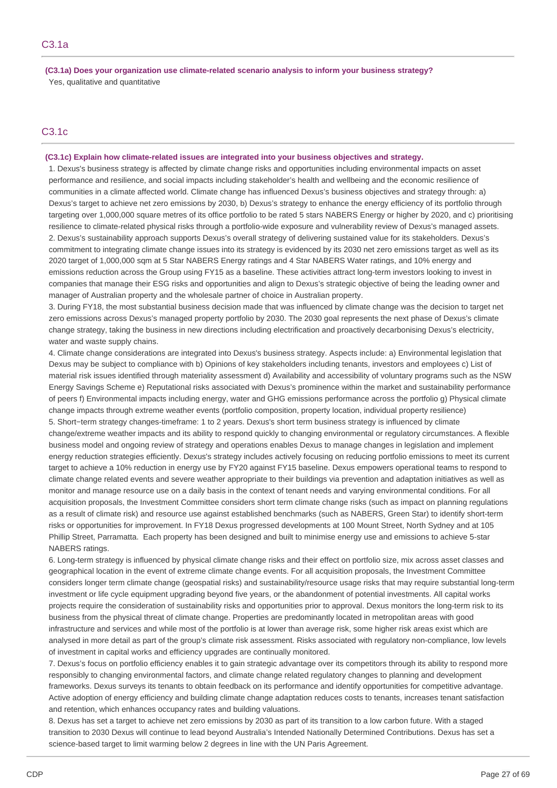**(C3.1a) Does your organization use climate-related scenario analysis to inform your business strategy?** Yes, qualitative and quantitative

# C3.1c

# **(C3.1c) Explain how climate-related issues are integrated into your business objectives and strategy.**

1. Dexus's business strategy is affected by climate change risks and opportunities including environmental impacts on asset performance and resilience, and social impacts including stakeholder's health and wellbeing and the economic resilience of communities in a climate affected world. Climate change has influenced Dexus's business objectives and strategy through: a) Dexus's target to achieve net zero emissions by 2030, b) Dexus's strategy to enhance the energy efficiency of its portfolio through targeting over 1,000,000 square metres of its office portfolio to be rated 5 stars NABERS Energy or higher by 2020, and c) prioritising resilience to climate-related physical risks through a portfolio-wide exposure and vulnerability review of Dexus's managed assets. 2. Dexus's sustainability approach supports Dexus's overall strategy of delivering sustained value for its stakeholders. Dexus's commitment to integrating climate change issues into its strategy is evidenced by its 2030 net zero emissions target as well as its 2020 target of 1,000,000 sqm at 5 Star NABERS Energy ratings and 4 Star NABERS Water ratings, and 10% energy and emissions reduction across the Group using FY15 as a baseline. These activities attract long-term investors looking to invest in companies that manage their ESG risks and opportunities and align to Dexus's strategic objective of being the leading owner and manager of Australian property and the wholesale partner of choice in Australian property.

3. During FY18, the most substantial business decision made that was influenced by climate change was the decision to target net zero emissions across Dexus's managed property portfolio by 2030. The 2030 goal represents the next phase of Dexus's climate change strategy, taking the business in new directions including electrification and proactively decarbonising Dexus's electricity, water and waste supply chains.

4. Climate change considerations are integrated into Dexus's business strategy. Aspects include: a) Environmental legislation that Dexus may be subject to compliance with b) Opinions of key stakeholders including tenants, investors and employees c) List of material risk issues identified through materiality assessment d) Availability and accessibility of voluntary programs such as the NSW Energy Savings Scheme e) Reputational risks associated with Dexus's prominence within the market and sustainability performance of peers f) Environmental impacts including energy, water and GHG emissions performance across the portfolio g) Physical climate change impacts through extreme weather events (portfolio composition, property location, individual property resilience) 5. Short−term strategy changes-timeframe: 1 to 2 years. Dexus's short term business strategy is influenced by climate change/extreme weather impacts and its ability to respond quickly to changing environmental or regulatory circumstances. A flexible business model and ongoing review of strategy and operations enables Dexus to manage changes in legislation and implement energy reduction strategies efficiently. Dexus's strategy includes actively focusing on reducing portfolio emissions to meet its current target to achieve a 10% reduction in energy use by FY20 against FY15 baseline. Dexus empowers operational teams to respond to climate change related events and severe weather appropriate to their buildings via prevention and adaptation initiatives as well as monitor and manage resource use on a daily basis in the context of tenant needs and varying environmental conditions. For all acquisition proposals, the Investment Committee considers short term climate change risks (such as impact on planning regulations as a result of climate risk) and resource use against established benchmarks (such as NABERS, Green Star) to identify short-term risks or opportunities for improvement. In FY18 Dexus progressed developments at 100 Mount Street, North Sydney and at 105 Phillip Street, Parramatta. Each property has been designed and built to minimise energy use and emissions to achieve 5-star NABERS ratings.

6. Long-term strategy is influenced by physical climate change risks and their effect on portfolio size, mix across asset classes and geographical location in the event of extreme climate change events. For all acquisition proposals, the Investment Committee considers longer term climate change (geospatial risks) and sustainability/resource usage risks that may require substantial long-term investment or life cycle equipment upgrading beyond five years, or the abandonment of potential investments. All capital works projects require the consideration of sustainability risks and opportunities prior to approval. Dexus monitors the long-term risk to its business from the physical threat of climate change. Properties are predominantly located in metropolitan areas with good infrastructure and services and while most of the portfolio is at lower than average risk, some higher risk areas exist which are analysed in more detail as part of the group's climate risk assessment. Risks associated with regulatory non-compliance, low levels of investment in capital works and efficiency upgrades are continually monitored.

7. Dexus's focus on portfolio efficiency enables it to gain strategic advantage over its competitors through its ability to respond more responsibly to changing environmental factors, and climate change related regulatory changes to planning and development frameworks. Dexus surveys its tenants to obtain feedback on its performance and identify opportunities for competitive advantage. Active adoption of energy efficiency and building climate change adaptation reduces costs to tenants, increases tenant satisfaction and retention, which enhances occupancy rates and building valuations.

8. Dexus has set a target to achieve net zero emissions by 2030 as part of its transition to a low carbon future. With a staged transition to 2030 Dexus will continue to lead beyond Australia's Intended Nationally Determined Contributions. Dexus has set a science-based target to limit warming below 2 degrees in line with the UN Paris Agreement.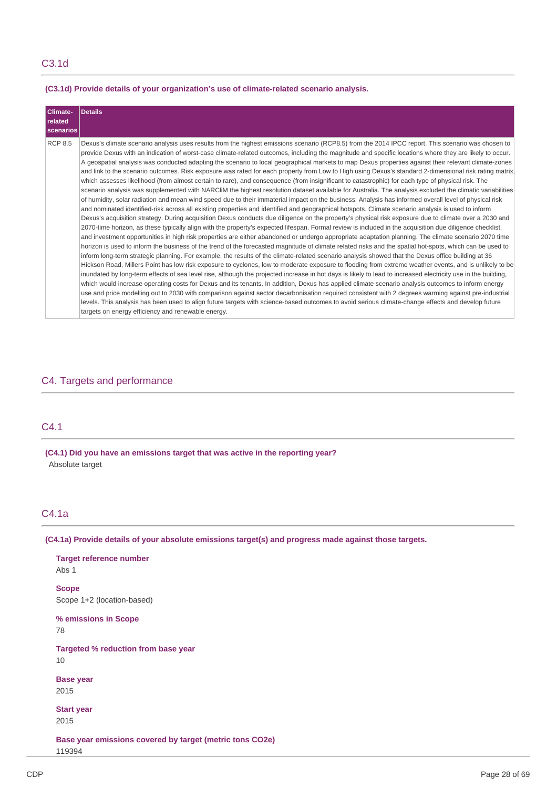**(C3.1d) Provide details of your organization's use of climate-related scenario analysis.**

| Climate-         | Details                                                                                                                                                                                                                                                                                                                                                                                                                                                                                                                                                                                                                                                                                                                                                                                                                                                                                                                                                                                                                                                                                                                                                                                                                                                                                                                                                                                                                                                                                                                                                                                                                                                                                                                                                                                                                                                                                                                                                                                                                                                                                                                                                                                                                                                                                                                                                                                                                                                                                                                                                                                                                                                                                                                                                                                                                                                                                                             |
|------------------|---------------------------------------------------------------------------------------------------------------------------------------------------------------------------------------------------------------------------------------------------------------------------------------------------------------------------------------------------------------------------------------------------------------------------------------------------------------------------------------------------------------------------------------------------------------------------------------------------------------------------------------------------------------------------------------------------------------------------------------------------------------------------------------------------------------------------------------------------------------------------------------------------------------------------------------------------------------------------------------------------------------------------------------------------------------------------------------------------------------------------------------------------------------------------------------------------------------------------------------------------------------------------------------------------------------------------------------------------------------------------------------------------------------------------------------------------------------------------------------------------------------------------------------------------------------------------------------------------------------------------------------------------------------------------------------------------------------------------------------------------------------------------------------------------------------------------------------------------------------------------------------------------------------------------------------------------------------------------------------------------------------------------------------------------------------------------------------------------------------------------------------------------------------------------------------------------------------------------------------------------------------------------------------------------------------------------------------------------------------------------------------------------------------------------------------------------------------------------------------------------------------------------------------------------------------------------------------------------------------------------------------------------------------------------------------------------------------------------------------------------------------------------------------------------------------------------------------------------------------------------------------------------------------------|
| related          |                                                                                                                                                                                                                                                                                                                                                                                                                                                                                                                                                                                                                                                                                                                                                                                                                                                                                                                                                                                                                                                                                                                                                                                                                                                                                                                                                                                                                                                                                                                                                                                                                                                                                                                                                                                                                                                                                                                                                                                                                                                                                                                                                                                                                                                                                                                                                                                                                                                                                                                                                                                                                                                                                                                                                                                                                                                                                                                     |
| <b>scenarios</b> |                                                                                                                                                                                                                                                                                                                                                                                                                                                                                                                                                                                                                                                                                                                                                                                                                                                                                                                                                                                                                                                                                                                                                                                                                                                                                                                                                                                                                                                                                                                                                                                                                                                                                                                                                                                                                                                                                                                                                                                                                                                                                                                                                                                                                                                                                                                                                                                                                                                                                                                                                                                                                                                                                                                                                                                                                                                                                                                     |
| <b>RCP 8.5</b>   | Dexus's climate scenario analysis uses results from the highest emissions scenario (RCP8.5) from the 2014 IPCC report. This scenario was chosen to<br>provide Dexus with an indication of worst-case climate-related outcomes, including the magnitude and specific locations where they are likely to occur.<br>A geospatial analysis was conducted adapting the scenario to local geographical markets to map Dexus properties against their relevant climate-zones<br>and link to the scenario outcomes. Risk exposure was rated for each property from Low to High using Dexus's standard 2-dimensional risk rating matrix,<br>which assesses likelihood (from almost certain to rare), and consequence (from insignificant to catastrophic) for each type of physical risk. The<br>scenario analysis was supplemented with NARCliM the highest resolution dataset available for Australia. The analysis excluded the climatic variabilities<br>of humidity, solar radiation and mean wind speed due to their immaterial impact on the business. Analysis has informed overall level of physical risk<br>and nominated identified-risk across all existing properties and identified and geographical hotspots. Climate scenario analysis is used to inform<br>Dexus's acquisition strategy. During acquisition Dexus conducts due diligence on the property's physical risk exposure due to climate over a 2030 and<br>2070-time horizon, as these typically align with the property's expected lifespan. Formal review is included in the acquisition due diligence checklist,<br>and investment opportunities in high risk properties are either abandoned or undergo appropriate adaptation planning. The climate scenario 2070 time<br>horizon is used to inform the business of the trend of the forecasted magnitude of climate related risks and the spatial hot-spots, which can be used to<br>inform long-term strategic planning. For example, the results of the climate-related scenario analysis showed that the Dexus office building at 36<br>Hickson Road, Millers Point has low risk exposure to cyclones, low to moderate exposure to flooding from extreme weather events, and is unlikely to be<br>inundated by long-term effects of sea level rise, although the projected increase in hot days is likely to lead to increased electricity use in the building,<br>which would increase operating costs for Dexus and its tenants. In addition, Dexus has applied climate scenario analysis outcomes to inform energy<br>use and price modelling out to 2030 with comparison against sector decarbonisation required consistent with 2 degrees warming against pre-industrial<br>levels. This analysis has been used to align future targets with science-based outcomes to avoid serious climate-change effects and develop future<br>targets on energy efficiency and renewable energy. |

# C4. Targets and performance

# C4.1

**(C4.1) Did you have an emissions target that was active in the reporting year?** Absolute target

# C4.1a

**(C4.1a) Provide details of your absolute emissions target(s) and progress made against those targets.**

**Target reference number** Abs 1 **Scope** Scope 1+2 (location-based) **% emissions in Scope** 78 **Targeted % reduction from base year** 10 **Base year** 2015 **Start year** 2015 **Base year emissions covered by target (metric tons CO2e)** 119394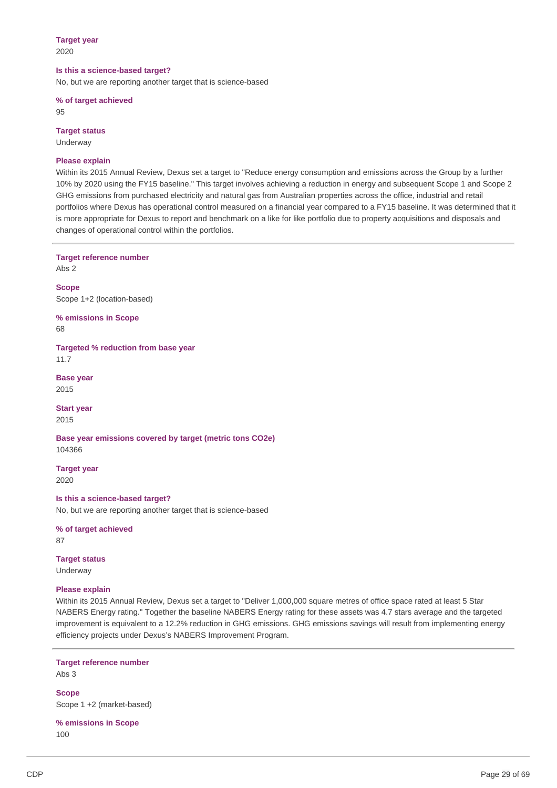# **Target year**

2020

#### **Is this a science-based target?**

No, but we are reporting another target that is science-based

**% of target achieved** 95

**Target status** Underway

# **Please explain**

Within its 2015 Annual Review, Dexus set a target to "Reduce energy consumption and emissions across the Group by a further 10% by 2020 using the FY15 baseline." This target involves achieving a reduction in energy and subsequent Scope 1 and Scope 2 GHG emissions from purchased electricity and natural gas from Australian properties across the office, industrial and retail portfolios where Dexus has operational control measured on a financial year compared to a FY15 baseline. It was determined that it is more appropriate for Dexus to report and benchmark on a like for like portfolio due to property acquisitions and disposals and changes of operational control within the portfolios.

**Target reference number**

Abs 2

**Scope** Scope 1+2 (location-based)

**% emissions in Scope** 68

**Targeted % reduction from base year** 11.7

**Base year** 2015

**Start year** 2015

**Base year emissions covered by target (metric tons CO2e)** 104366

**Target year** 2020

**Is this a science-based target?** No, but we are reporting another target that is science-based

**% of target achieved** 87

**Target status** Underway

# **Please explain**

Within its 2015 Annual Review, Dexus set a target to "Deliver 1,000,000 square metres of office space rated at least 5 Star NABERS Energy rating." Together the baseline NABERS Energy rating for these assets was 4.7 stars average and the targeted improvement is equivalent to a 12.2% reduction in GHG emissions. GHG emissions savings will result from implementing energy efficiency projects under Dexus's NABERS Improvement Program.

**Target reference number**

Abs 3

**Scope** Scope 1 +2 (market-based)

**% emissions in Scope** 100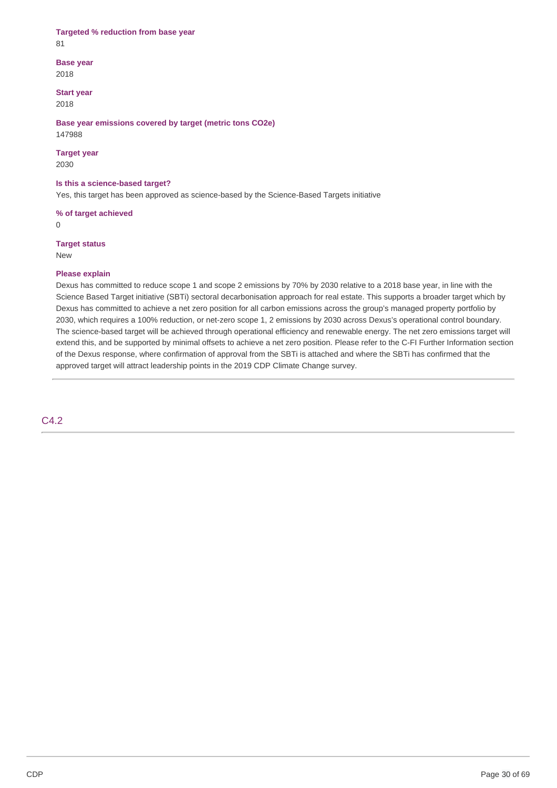# **Targeted % reduction from base year**

81

**Base year**

2018

**Start year** 2018

**Base year emissions covered by target (metric tons CO2e)** 147988

# **Target year**

2030

# **Is this a science-based target?**

Yes, this target has been approved as science-based by the Science-Based Targets initiative

**% of target achieved**

0

# **Target status**

New

# **Please explain**

Dexus has committed to reduce scope 1 and scope 2 emissions by 70% by 2030 relative to a 2018 base year, in line with the Science Based Target initiative (SBTi) sectoral decarbonisation approach for real estate. This supports a broader target which by Dexus has committed to achieve a net zero position for all carbon emissions across the group's managed property portfolio by 2030, which requires a 100% reduction, or net-zero scope 1, 2 emissions by 2030 across Dexus's operational control boundary. The science-based target will be achieved through operational efficiency and renewable energy. The net zero emissions target will extend this, and be supported by minimal offsets to achieve a net zero position. Please refer to the C-FI Further Information section of the Dexus response, where confirmation of approval from the SBTi is attached and where the SBTi has confirmed that the approved target will attract leadership points in the 2019 CDP Climate Change survey.

# C4.2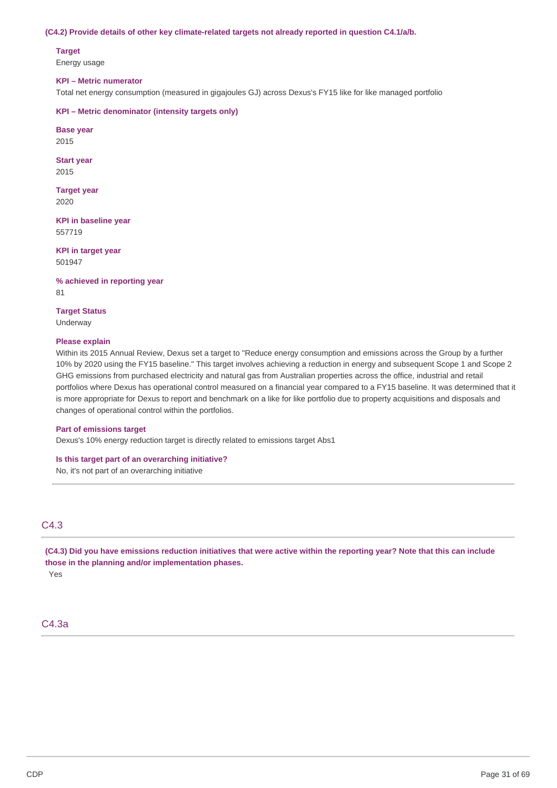#### **(C4.2) Provide details of other key climate-related targets not already reported in question C4.1/a/b.**

**Target** Energy usage

# **KPI – Metric numerator**

Total net energy consumption (measured in gigajoules GJ) across Dexus's FY15 like for like managed portfolio

#### **KPI – Metric denominator (intensity targets only)**

**Base year** 2015

**Start year**

2015

**Target year** 2020

**KPI in baseline year** 557719

**KPI in target year** 501947

**% achieved in reporting year** 81

**Target Status** Underway

### **Please explain**

Within its 2015 Annual Review, Dexus set a target to "Reduce energy consumption and emissions across the Group by a further 10% by 2020 using the FY15 baseline." This target involves achieving a reduction in energy and subsequent Scope 1 and Scope 2 GHG emissions from purchased electricity and natural gas from Australian properties across the office, industrial and retail portfolios where Dexus has operational control measured on a financial year compared to a FY15 baseline. It was determined that it is more appropriate for Dexus to report and benchmark on a like for like portfolio due to property acquisitions and disposals and changes of operational control within the portfolios.

## **Part of emissions target**

Dexus's 10% energy reduction target is directly related to emissions target Abs1

# **Is this target part of an overarching initiative?**

No, it's not part of an overarching initiative

# C4.3

(C4.3) Did you have emissions reduction initiatives that were active within the reporting year? Note that this can include **those in the planning and/or implementation phases.** Yes

# C4.3a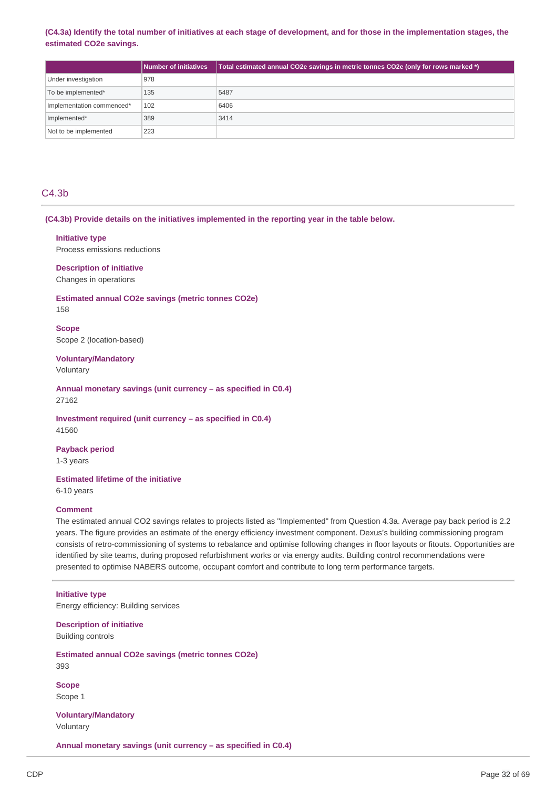# (C4.3a) Identify the total number of initiatives at each stage of development, and for those in the implementation stages, the **estimated CO2e savings.**

|                           | <b>Number of initiatives</b> | Total estimated annual CO2e savings in metric tonnes CO2e (only for rows marked *) |
|---------------------------|------------------------------|------------------------------------------------------------------------------------|
| Under investigation       | 978                          |                                                                                    |
| To be implemented*        | 135                          | 5487                                                                               |
| Implementation commenced* | 102                          | 6406                                                                               |
| Implemented*              | 389                          | 3414                                                                               |
| Not to be implemented     | 223                          |                                                                                    |

# C4.3b

## **(C4.3b) Provide details on the initiatives implemented in the reporting year in the table below.**

#### **Initiative type**

Process emissions reductions

**Description of initiative** Changes in operations

**Estimated annual CO2e savings (metric tonnes CO2e)** 158

**Scope** Scope 2 (location-based)

**Voluntary/Mandatory** Voluntary

**Annual monetary savings (unit currency – as specified in C0.4)** 27162

# **Investment required (unit currency – as specified in C0.4)** 41560

**Payback period**

1-3 years

# **Estimated lifetime of the initiative**

6-10 years

#### **Comment**

The estimated annual CO2 savings relates to projects listed as "Implemented" from Question 4.3a. Average pay back period is 2.2 years. The figure provides an estimate of the energy efficiency investment component. Dexus's building commissioning program consists of retro-commissioning of systems to rebalance and optimise following changes in floor layouts or fitouts. Opportunities are identified by site teams, during proposed refurbishment works or via energy audits. Building control recommendations were presented to optimise NABERS outcome, occupant comfort and contribute to long term performance targets.

### **Initiative type**

Energy efficiency: Building services

**Description of initiative** Building controls

**Estimated annual CO2e savings (metric tonnes CO2e)** 393

**Scope** Scope 1

**Voluntary/Mandatory** Voluntary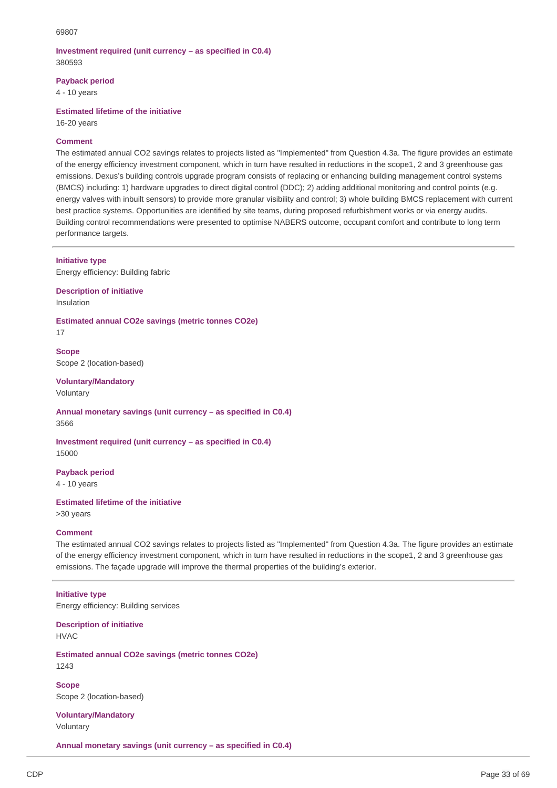## **Investment required (unit currency – as specified in C0.4)** 380593

**Payback period**

4 - 10 years

**Estimated lifetime of the initiative**

16-20 years

# **Comment**

The estimated annual CO2 savings relates to projects listed as "Implemented" from Question 4.3a. The figure provides an estimate of the energy efficiency investment component, which in turn have resulted in reductions in the scope1, 2 and 3 greenhouse gas emissions. Dexus's building controls upgrade program consists of replacing or enhancing building management control systems (BMCS) including: 1) hardware upgrades to direct digital control (DDC); 2) adding additional monitoring and control points (e.g. energy valves with inbuilt sensors) to provide more granular visibility and control; 3) whole building BMCS replacement with current best practice systems. Opportunities are identified by site teams, during proposed refurbishment works or via energy audits. Building control recommendations were presented to optimise NABERS outcome, occupant comfort and contribute to long term performance targets.

**Initiative type**

Energy efficiency: Building fabric

**Description of initiative** Insulation

**Estimated annual CO2e savings (metric tonnes CO2e)** 17

**Scope** Scope 2 (location-based)

**Voluntary/Mandatory** Voluntary

**Annual monetary savings (unit currency – as specified in C0.4)** 3566

**Investment required (unit currency – as specified in C0.4)** 15000

**Payback period** 4 - 10 years

**Estimated lifetime of the initiative**

>30 years

#### **Comment**

The estimated annual CO2 savings relates to projects listed as "Implemented" from Question 4.3a. The figure provides an estimate of the energy efficiency investment component, which in turn have resulted in reductions in the scope1, 2 and 3 greenhouse gas emissions. The façade upgrade will improve the thermal properties of the building's exterior.

### **Initiative type**

Energy efficiency: Building services

**Description of initiative** HVAC

**Estimated annual CO2e savings (metric tonnes CO2e)** 1243

**Scope** Scope 2 (location-based)

**Voluntary/Mandatory** Voluntary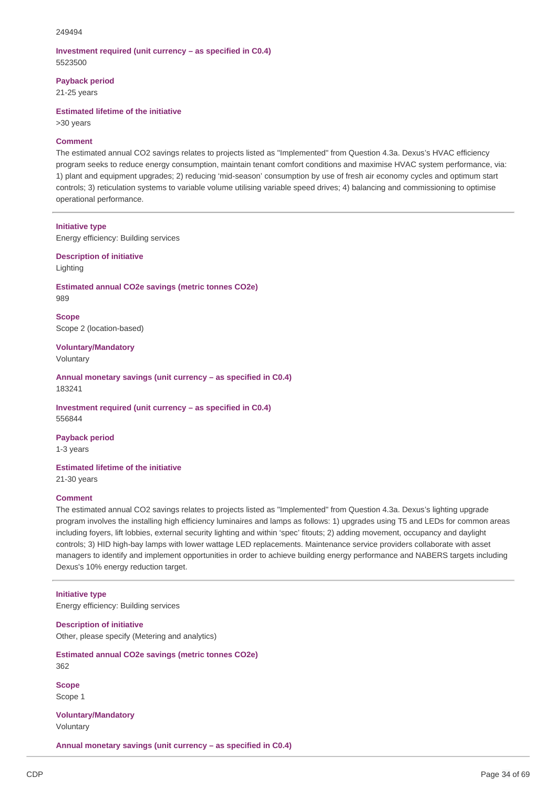## **Investment required (unit currency – as specified in C0.4)** 5523500

**Payback period**

21-25 years

**Estimated lifetime of the initiative**

>30 years

# **Comment**

The estimated annual CO2 savings relates to projects listed as "Implemented" from Question 4.3a. Dexus's HVAC efficiency program seeks to reduce energy consumption, maintain tenant comfort conditions and maximise HVAC system performance, via: 1) plant and equipment upgrades; 2) reducing 'mid-season' consumption by use of fresh air economy cycles and optimum start controls; 3) reticulation systems to variable volume utilising variable speed drives; 4) balancing and commissioning to optimise operational performance.

#### **Initiative type**

Energy efficiency: Building services

**Description of initiative**

Lighting

**Estimated annual CO2e savings (metric tonnes CO2e)** 989

**Scope** Scope 2 (location-based)

**Voluntary/Mandatory** Voluntary

**Annual monetary savings (unit currency – as specified in C0.4)** 183241

**Investment required (unit currency – as specified in C0.4)** 556844

**Payback period** 1-3 years

**Estimated lifetime of the initiative**

21-30 years

## **Comment**

The estimated annual CO2 savings relates to projects listed as "Implemented" from Question 4.3a. Dexus's lighting upgrade program involves the installing high efficiency luminaires and lamps as follows: 1) upgrades using T5 and LEDs for common areas including foyers, lift lobbies, external security lighting and within 'spec' fitouts; 2) adding movement, occupancy and daylight controls; 3) HID high-bay lamps with lower wattage LED replacements. Maintenance service providers collaborate with asset managers to identify and implement opportunities in order to achieve building energy performance and NABERS targets including Dexus's 10% energy reduction target.

#### **Initiative type**

Energy efficiency: Building services

**Description of initiative** Other, please specify (Metering and analytics)

**Estimated annual CO2e savings (metric tonnes CO2e)** 362

**Scope** Scope 1

**Voluntary/Mandatory** Voluntary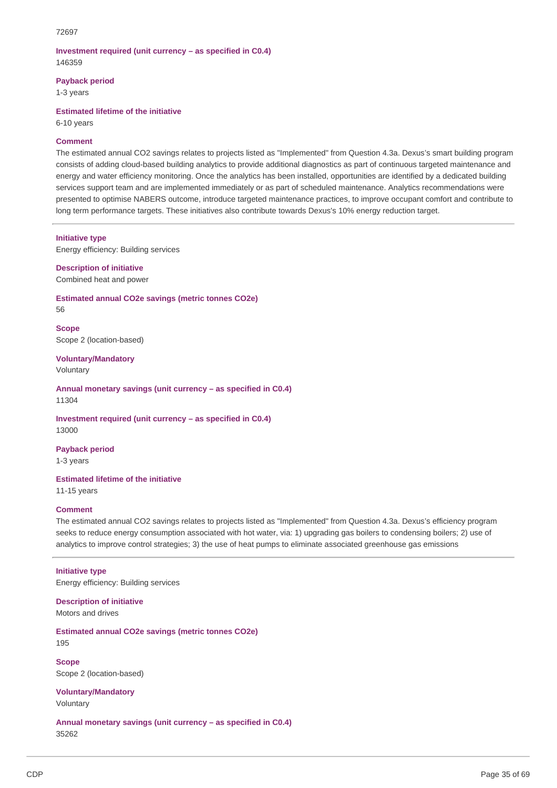# **Investment required (unit currency – as specified in C0.4)** 146359

**Payback period**

1-3 years

**Estimated lifetime of the initiative**

6-10 years

# **Comment**

The estimated annual CO2 savings relates to projects listed as "Implemented" from Question 4.3a. Dexus's smart building program consists of adding cloud-based building analytics to provide additional diagnostics as part of continuous targeted maintenance and energy and water efficiency monitoring. Once the analytics has been installed, opportunities are identified by a dedicated building services support team and are implemented immediately or as part of scheduled maintenance. Analytics recommendations were presented to optimise NABERS outcome, introduce targeted maintenance practices, to improve occupant comfort and contribute to long term performance targets. These initiatives also contribute towards Dexus's 10% energy reduction target.

## **Initiative type**

Energy efficiency: Building services

**Description of initiative** Combined heat and power

**Estimated annual CO2e savings (metric tonnes CO2e)** 56

**Scope** Scope 2 (location-based)

**Voluntary/Mandatory** Voluntary

**Annual monetary savings (unit currency – as specified in C0.4)** 11304

**Investment required (unit currency – as specified in C0.4)** 13000

**Payback period**

1-3 years

**Estimated lifetime of the initiative**

11-15 years

## **Comment**

The estimated annual CO2 savings relates to projects listed as "Implemented" from Question 4.3a. Dexus's efficiency program seeks to reduce energy consumption associated with hot water, via: 1) upgrading gas boilers to condensing boilers; 2) use of analytics to improve control strategies; 3) the use of heat pumps to eliminate associated greenhouse gas emissions

# **Initiative type**

Energy efficiency: Building services

**Description of initiative** Motors and drives

**Estimated annual CO2e savings (metric tonnes CO2e)** 195

**Scope** Scope 2 (location-based)

**Voluntary/Mandatory** Voluntary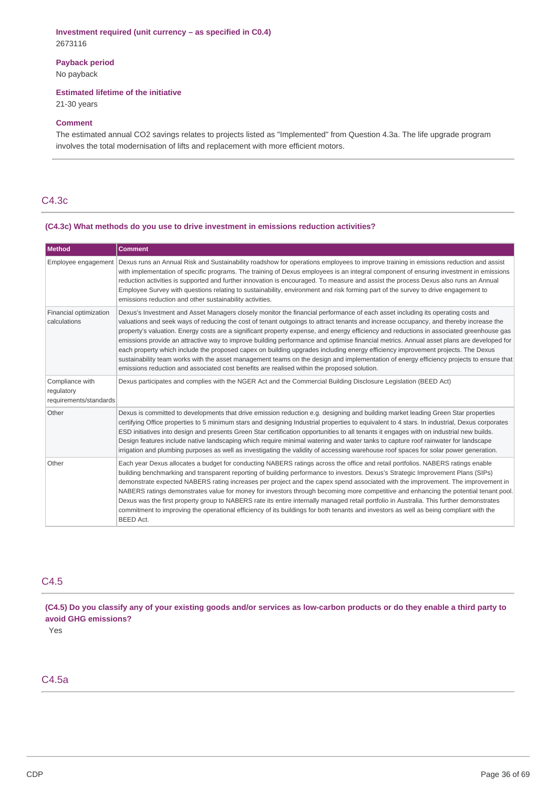# **Investment required (unit currency – as specified in C0.4)** 2673116

**Payback period**

No payback

## **Estimated lifetime of the initiative**

21-30 years

#### **Comment**

The estimated annual CO2 savings relates to projects listed as "Implemented" from Question 4.3a. The life upgrade program involves the total modernisation of lifts and replacement with more efficient motors.

# C4.3c

# **(C4.3c) What methods do you use to drive investment in emissions reduction activities?**

| Method                                                  | <b>Comment</b>                                                                                                                                                                                                                                                                                                                                                                                                                                                                                                                                                                                                                                                                                                                                                                                                                                                                                                                                |
|---------------------------------------------------------|-----------------------------------------------------------------------------------------------------------------------------------------------------------------------------------------------------------------------------------------------------------------------------------------------------------------------------------------------------------------------------------------------------------------------------------------------------------------------------------------------------------------------------------------------------------------------------------------------------------------------------------------------------------------------------------------------------------------------------------------------------------------------------------------------------------------------------------------------------------------------------------------------------------------------------------------------|
| Employee engagement                                     | Dexus runs an Annual Risk and Sustainability roadshow for operations employees to improve training in emissions reduction and assist<br>with implementation of specific programs. The training of Dexus employees is an integral component of ensuring investment in emissions<br>reduction activities is supported and further innovation is encouraged. To measure and assist the process Dexus also runs an Annual<br>Employee Survey with questions relating to sustainability, environment and risk forming part of the survey to drive engagement to<br>emissions reduction and other sustainability activities.                                                                                                                                                                                                                                                                                                                        |
| Financial optimization<br>calculations                  | Dexus's Investment and Asset Managers closely monitor the financial performance of each asset including its operating costs and<br>valuations and seek ways of reducing the cost of tenant outgoings to attract tenants and increase occupancy, and thereby increase the<br>property's valuation. Energy costs are a significant property expense, and energy efficiency and reductions in associated greenhouse gas<br>emissions provide an attractive way to improve building performance and optimise financial metrics. Annual asset plans are developed for<br>each property which include the proposed capex on building upgrades including energy efficiency improvement projects. The Dexus<br>sustainability team works with the asset management teams on the design and implementation of energy efficiency projects to ensure that<br>emissions reduction and associated cost benefits are realised within the proposed solution. |
| Compliance with<br>regulatory<br>requirements/standards | Dexus participates and complies with the NGER Act and the Commercial Building Disclosure Legislation (BEED Act)                                                                                                                                                                                                                                                                                                                                                                                                                                                                                                                                                                                                                                                                                                                                                                                                                               |
| Other                                                   | Dexus is committed to developments that drive emission reduction e.g. designing and building market leading Green Star properties<br>certifying Office properties to 5 minimum stars and designing Industrial properties to equivalent to 4 stars. In industrial, Dexus corporates<br>ESD initiatives into design and presents Green Star certification opportunities to all tenants it engages with on industrial new builds.<br>Design features include native landscaping which require minimal watering and water tanks to capture roof rainwater for landscape<br>irrigation and plumbing purposes as well as investigating the validity of accessing warehouse roof spaces for solar power generation.                                                                                                                                                                                                                                  |
| Other                                                   | Each year Dexus allocates a budget for conducting NABERS ratings across the office and retail portfolios. NABERS ratings enable<br>building benchmarking and transparent reporting of building performance to investors. Dexus's Strategic Improvement Plans (SIPs)<br>demonstrate expected NABERS rating increases per project and the capex spend associated with the improvement. The improvement in<br>NABERS ratings demonstrates value for money for investors through becoming more competitive and enhancing the potential tenant pool.<br>Dexus was the first property group to NABERS rate its entire internally managed retail portfolio in Australia. This further demonstrates<br>commitment to improving the operational efficiency of its buildings for both tenants and investors as well as being compliant with the<br><b>BEED Act.</b>                                                                                     |

# C4.5

(C4.5) Do you classify any of your existing goods and/or services as low-carbon products or do they enable a third party to **avoid GHG emissions?**

Yes

# C4.5a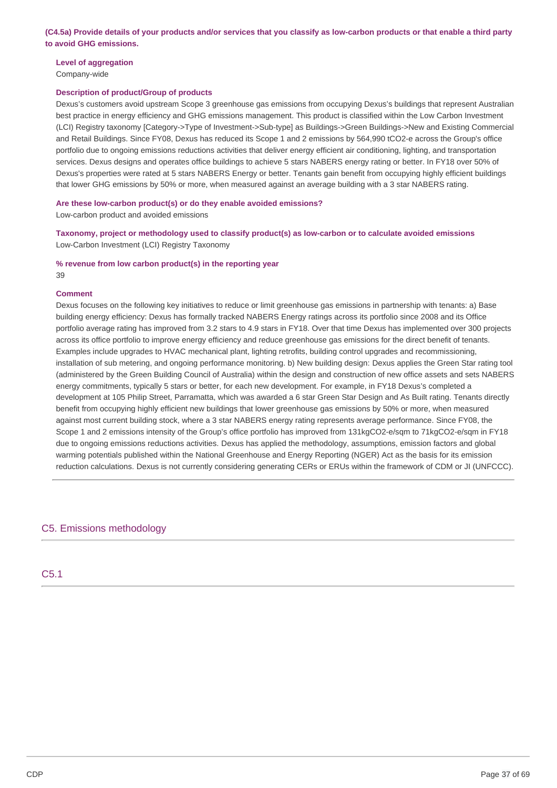(C4.5a) Provide details of your products and/or services that you classify as low-carbon products or that enable a third party **to avoid GHG emissions.**

# **Level of aggregation**

Company-wide

## **Description of product/Group of products**

Dexus's customers avoid upstream Scope 3 greenhouse gas emissions from occupying Dexus's buildings that represent Australian best practice in energy efficiency and GHG emissions management. This product is classified within the Low Carbon Investment (LCI) Registry taxonomy [Category->Type of Investment->Sub-type] as Buildings->Green Buildings->New and Existing Commercial and Retail Buildings. Since FY08, Dexus has reduced its Scope 1 and 2 emissions by 564,990 tCO2-e across the Group's office portfolio due to ongoing emissions reductions activities that deliver energy efficient air conditioning, lighting, and transportation services. Dexus designs and operates office buildings to achieve 5 stars NABERS energy rating or better. In FY18 over 50% of Dexus's properties were rated at 5 stars NABERS Energy or better. Tenants gain benefit from occupying highly efficient buildings that lower GHG emissions by 50% or more, when measured against an average building with a 3 star NABERS rating.

**Are these low-carbon product(s) or do they enable avoided emissions?**

Low-carbon product and avoided emissions

**Taxonomy, project or methodology used to classify product(s) as low-carbon or to calculate avoided emissions** Low-Carbon Investment (LCI) Registry Taxonomy

**% revenue from low carbon product(s) in the reporting year**

## 39

#### **Comment**

Dexus focuses on the following key initiatives to reduce or limit greenhouse gas emissions in partnership with tenants: a) Base building energy efficiency: Dexus has formally tracked NABERS Energy ratings across its portfolio since 2008 and its Office portfolio average rating has improved from 3.2 stars to 4.9 stars in FY18. Over that time Dexus has implemented over 300 projects across its office portfolio to improve energy efficiency and reduce greenhouse gas emissions for the direct benefit of tenants. Examples include upgrades to HVAC mechanical plant, lighting retrofits, building control upgrades and recommissioning, installation of sub metering, and ongoing performance monitoring. b) New building design: Dexus applies the Green Star rating tool (administered by the Green Building Council of Australia) within the design and construction of new office assets and sets NABERS energy commitments, typically 5 stars or better, for each new development. For example, in FY18 Dexus's completed a development at 105 Philip Street, Parramatta, which was awarded a 6 star Green Star Design and As Built rating. Tenants directly benefit from occupying highly efficient new buildings that lower greenhouse gas emissions by 50% or more, when measured against most current building stock, where a 3 star NABERS energy rating represents average performance. Since FY08, the Scope 1 and 2 emissions intensity of the Group's office portfolio has improved from 131kgCO2-e/sqm to 71kgCO2-e/sqm in FY18 due to ongoing emissions reductions activities. Dexus has applied the methodology, assumptions, emission factors and global warming potentials published within the National Greenhouse and Energy Reporting (NGER) Act as the basis for its emission reduction calculations. Dexus is not currently considering generating CERs or ERUs within the framework of CDM or JI (UNFCCC).

# C5. Emissions methodology

# C5.1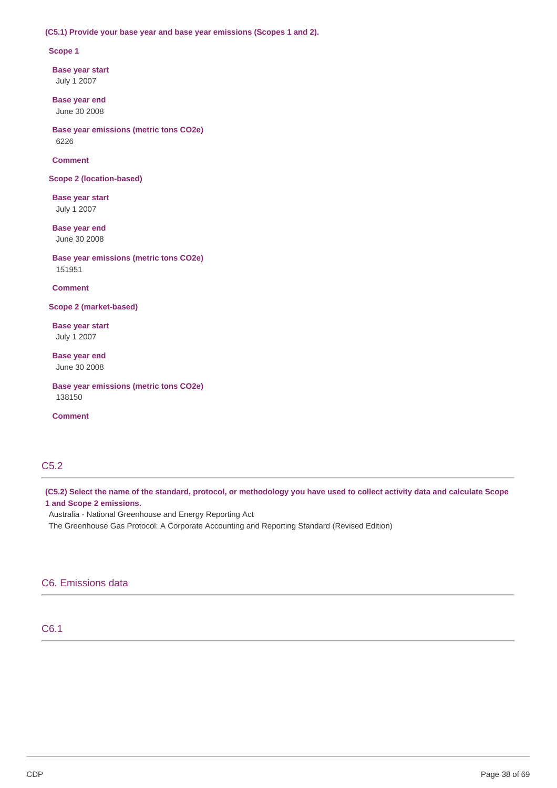## **(C5.1) Provide your base year and base year emissions (Scopes 1 and 2).**

#### **Scope 1**

**Base year start** July 1 2007

**Base year end** June 30 2008

**Base year emissions (metric tons CO2e)** 6226

## **Comment**

**Scope 2 (location-based)**

**Base year start** July 1 2007

**Base year end** June 30 2008

**Base year emissions (metric tons CO2e)** 151951

**Comment**

**Scope 2 (market-based)**

**Base year start** July 1 2007

**Base year end** June 30 2008

**Base year emissions (metric tons CO2e)** 138150

**Comment**

# C5.2

(C5.2) Select the name of the standard, protocol, or methodology you have used to collect activity data and calculate Scope **1 and Scope 2 emissions.**

Australia - National Greenhouse and Energy Reporting Act

The Greenhouse Gas Protocol: A Corporate Accounting and Reporting Standard (Revised Edition)

# C6. Emissions data

# C6.1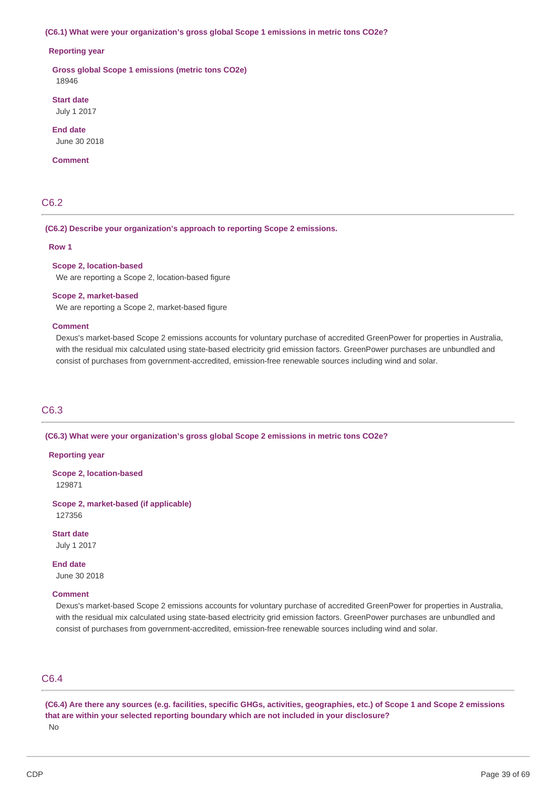#### **(C6.1) What were your organization's gross global Scope 1 emissions in metric tons CO2e?**

#### **Reporting year**

**Gross global Scope 1 emissions (metric tons CO2e)** 18946

# **Start date**

July 1 2017

**End date** June 30 2018

#### **Comment**

# C6.2

#### **(C6.2) Describe your organization's approach to reporting Scope 2 emissions.**

#### **Row 1**

### **Scope 2, location-based**

We are reporting a Scope 2, location-based figure

#### **Scope 2, market-based**

We are reporting a Scope 2, market-based figure

#### **Comment**

Dexus's market-based Scope 2 emissions accounts for voluntary purchase of accredited GreenPower for properties in Australia, with the residual mix calculated using state-based electricity grid emission factors. GreenPower purchases are unbundled and consist of purchases from government-accredited, emission-free renewable sources including wind and solar.

# C6.3

#### **(C6.3) What were your organization's gross global Scope 2 emissions in metric tons CO2e?**

#### **Reporting year**

**Scope 2, location-based** 129871

**Scope 2, market-based (if applicable)** 127356

**Start date** July 1 2017

**End date** June 30 2018

# **Comment**

Dexus's market-based Scope 2 emissions accounts for voluntary purchase of accredited GreenPower for properties in Australia, with the residual mix calculated using state-based electricity grid emission factors. GreenPower purchases are unbundled and consist of purchases from government-accredited, emission-free renewable sources including wind and solar.

# C6.4

(C6.4) Are there any sources (e.g. facilities, specific GHGs, activities, geographies, etc.) of Scope 1 and Scope 2 emissions **that are within your selected reporting boundary which are not included in your disclosure?** No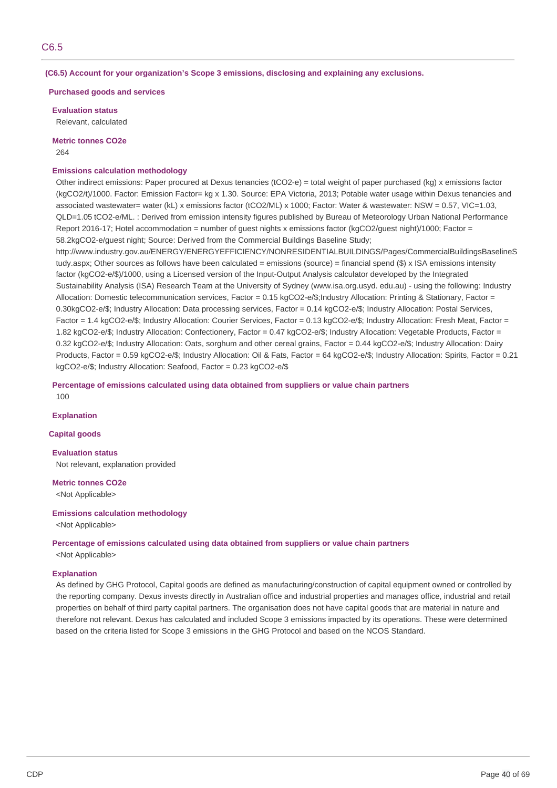**(C6.5) Account for your organization's Scope 3 emissions, disclosing and explaining any exclusions.**

**Purchased goods and services**

**Evaluation status** Relevant, calculated

**Metric tonnes CO2e** 264

# **Emissions calculation methodology**

Other indirect emissions: Paper procured at Dexus tenancies (tCO2-e) = total weight of paper purchased (kg) x emissions factor (kgCO2/t)/1000. Factor: Emission Factor= kg x 1.30. Source: EPA Victoria, 2013; Potable water usage within Dexus tenancies and associated wastewater= water (kL) x emissions factor (tCO2/ML) x 1000; Factor: Water & wastewater: NSW = 0.57, VIC=1.03, QLD=1.05 tCO2-e/ML. : Derived from emission intensity figures published by Bureau of Meteorology Urban National Performance Report 2016-17; Hotel accommodation = number of quest nights x emissions factor (kgCO2/guest night)/1000; Factor = 58.2kgCO2-e/guest night; Source: Derived from the Commercial Buildings Baseline Study;

http://www.industry.gov.au/ENERGY/ENERGYEFFICIENCY/NONRESIDENTIALBUILDINGS/Pages/CommercialBuildingsBaselineS tudy.aspx; Other sources as follows have been calculated = emissions (source) = financial spend (\$) x ISA emissions intensity factor (kgCO2-e/\$)/1000, using a Licensed version of the Input-Output Analysis calculator developed by the Integrated Sustainability Analysis (ISA) Research Team at the University of Sydney (www.isa.org.usyd. edu.au) - using the following: Industry Allocation: Domestic telecommunication services, Factor = 0.15 kgCO2-e/\$;Industry Allocation: Printing & Stationary, Factor = 0.30kgCO2-e/\$; Industry Allocation: Data processing services, Factor = 0.14 kgCO2-e/\$; Industry Allocation: Postal Services, Factor = 1.4 kgCO2-e/\$; Industry Allocation: Courier Services, Factor = 0.13 kgCO2-e/\$; Industry Allocation: Fresh Meat, Factor = 1.82 kgCO2-e/\$; Industry Allocation: Confectionery, Factor = 0.47 kgCO2-e/\$; Industry Allocation: Vegetable Products, Factor = 0.32 kgCO2-e/\$; Industry Allocation: Oats, sorghum and other cereal grains, Factor = 0.44 kgCO2-e/\$; Industry Allocation: Dairy Products, Factor = 0.59 kgCO2-e/\$; Industry Allocation: Oil & Fats, Factor = 64 kgCO2-e/\$; Industry Allocation: Spirits, Factor = 0.21 kgCO2-e/\$; Industry Allocation: Seafood, Factor = 0.23 kgCO2-e/\$

**Percentage of emissions calculated using data obtained from suppliers or value chain partners** 100

**Explanation**

#### **Capital goods**

**Evaluation status** Not relevant, explanation provided

**Metric tonnes CO2e**

<Not Applicable>

#### **Emissions calculation methodology**

<Not Applicable>

**Percentage of emissions calculated using data obtained from suppliers or value chain partners** <Not Applicable>

## **Explanation**

As defined by GHG Protocol, Capital goods are defined as manufacturing/construction of capital equipment owned or controlled by the reporting company. Dexus invests directly in Australian office and industrial properties and manages office, industrial and retail properties on behalf of third party capital partners. The organisation does not have capital goods that are material in nature and therefore not relevant. Dexus has calculated and included Scope 3 emissions impacted by its operations. These were determined based on the criteria listed for Scope 3 emissions in the GHG Protocol and based on the NCOS Standard.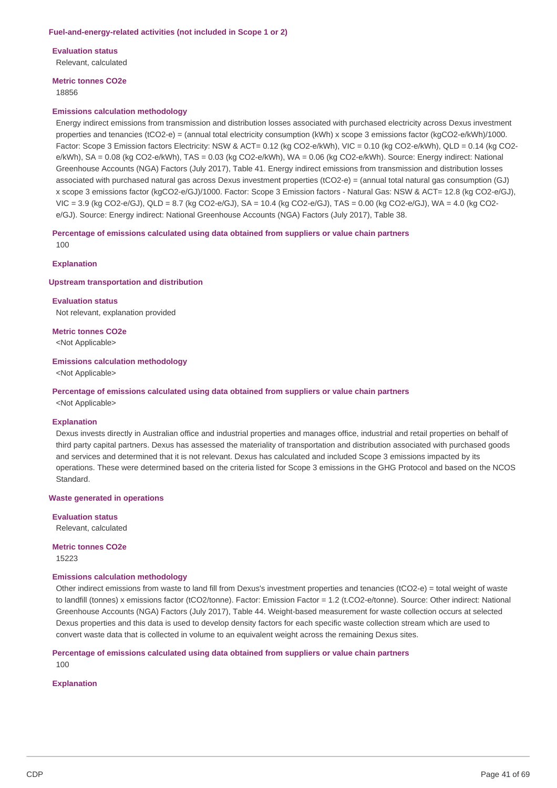**Evaluation status**

Relevant, calculated

# **Metric tonnes CO2e**

18856

#### **Emissions calculation methodology**

Energy indirect emissions from transmission and distribution losses associated with purchased electricity across Dexus investment properties and tenancies (tCO2-e) = (annual total electricity consumption (kWh) x scope 3 emissions factor (kgCO2-e/kWh)/1000. Factor: Scope 3 Emission factors Electricity: NSW & ACT= 0.12 (kg CO2-e/kWh), VIC = 0.10 (kg CO2-e/kWh), QLD = 0.14 (kg CO2e/kWh), SA = 0.08 (kg CO2-e/kWh), TAS = 0.03 (kg CO2-e/kWh), WA = 0.06 (kg CO2-e/kWh). Source: Energy indirect: National Greenhouse Accounts (NGA) Factors (July 2017), Table 41. Energy indirect emissions from transmission and distribution losses associated with purchased natural gas across Dexus investment properties (tCO2-e) = (annual total natural gas consumption (GJ) x scope 3 emissions factor (kgCO2-e/GJ)/1000. Factor: Scope 3 Emission factors - Natural Gas: NSW & ACT= 12.8 (kg CO2-e/GJ), VIC = 3.9 (kg CO2-e/GJ), QLD = 8.7 (kg CO2-e/GJ), SA = 10.4 (kg CO2-e/GJ), TAS = 0.00 (kg CO2-e/GJ), WA = 4.0 (kg CO2 e/GJ). Source: Energy indirect: National Greenhouse Accounts (NGA) Factors (July 2017), Table 38.

**Percentage of emissions calculated using data obtained from suppliers or value chain partners**  $100$ 

### **Explanation**

#### **Upstream transportation and distribution**

**Evaluation status** Not relevant, explanation provided

#### **Metric tonnes CO2e**

<Not Applicable>

#### **Emissions calculation methodology**

<Not Applicable>

# **Percentage of emissions calculated using data obtained from suppliers or value chain partners**

<Not Applicable>

#### **Explanation**

Dexus invests directly in Australian office and industrial properties and manages office, industrial and retail properties on behalf of third party capital partners. Dexus has assessed the materiality of transportation and distribution associated with purchased goods and services and determined that it is not relevant. Dexus has calculated and included Scope 3 emissions impacted by its operations. These were determined based on the criteria listed for Scope 3 emissions in the GHG Protocol and based on the NCOS Standard.

#### **Waste generated in operations**

**Evaluation status**

Relevant, calculated

**Metric tonnes CO2e** 15223

#### **Emissions calculation methodology**

Other indirect emissions from waste to land fill from Dexus's investment properties and tenancies (tCO2-e) = total weight of waste to landfill (tonnes) x emissions factor (tCO2/tonne). Factor: Emission Factor = 1.2 (t.CO2-e/tonne). Source: Other indirect: National Greenhouse Accounts (NGA) Factors (July 2017), Table 44. Weight-based measurement for waste collection occurs at selected Dexus properties and this data is used to develop density factors for each specific waste collection stream which are used to convert waste data that is collected in volume to an equivalent weight across the remaining Dexus sites.

## **Percentage of emissions calculated using data obtained from suppliers or value chain partners**

 $100$ 

# **Explanation**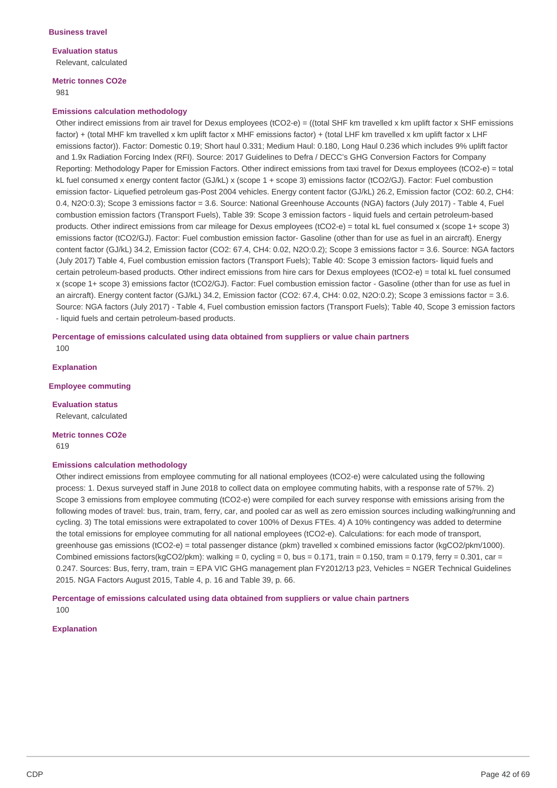# **Evaluation status**

Relevant, calculated

# **Metric tonnes CO2e**

981

# **Emissions calculation methodology**

Other indirect emissions from air travel for Dexus employees (tCO2-e) = ((total SHF km travelled x km uplift factor x SHF emissions factor) + (total MHF km travelled x km uplift factor x MHF emissions factor) + (total LHF km travelled x km uplift factor x LHF emissions factor)). Factor: Domestic 0.19; Short haul 0.331; Medium Haul: 0.180, Long Haul 0.236 which includes 9% uplift factor and 1.9x Radiation Forcing Index (RFI). Source: 2017 Guidelines to Defra / DECC's GHG Conversion Factors for Company Reporting: Methodology Paper for Emission Factors. Other indirect emissions from taxi travel for Dexus employees (tCO2-e) = total kL fuel consumed x energy content factor (GJ/kL) x (scope 1 + scope 3) emissions factor (tCO2/GJ). Factor: Fuel combustion emission factor- Liquefied petroleum gas-Post 2004 vehicles. Energy content factor (GJ/kL) 26.2, Emission factor (CO2: 60.2, CH4: 0.4, N2O:0.3); Scope 3 emissions factor = 3.6. Source: National Greenhouse Accounts (NGA) factors (July 2017) - Table 4, Fuel combustion emission factors (Transport Fuels), Table 39: Scope 3 emission factors - liquid fuels and certain petroleum-based products. Other indirect emissions from car mileage for Dexus employees (tCO2-e) = total kL fuel consumed x (scope 1+ scope 3) emissions factor (tCO2/GJ). Factor: Fuel combustion emission factor- Gasoline (other than for use as fuel in an aircraft). Energy content factor (GJ/kL) 34.2, Emission factor (CO2: 67.4, CH4: 0.02, N2O:0.2); Scope 3 emissions factor = 3.6. Source: NGA factors (July 2017) Table 4, Fuel combustion emission factors (Transport Fuels); Table 40: Scope 3 emission factors- liquid fuels and certain petroleum-based products. Other indirect emissions from hire cars for Dexus employees (tCO2-e) = total kL fuel consumed x (scope 1+ scope 3) emissions factor (tCO2/GJ). Factor: Fuel combustion emission factor - Gasoline (other than for use as fuel in an aircraft). Energy content factor (GJ/kL) 34.2, Emission factor (CO2: 67.4, CH4: 0.02, N2O:0.2); Scope 3 emissions factor = 3.6. Source: NGA factors (July 2017) - Table 4, Fuel combustion emission factors (Transport Fuels); Table 40, Scope 3 emission factors - liquid fuels and certain petroleum-based products.

**Percentage of emissions calculated using data obtained from suppliers or value chain partners** 100

**Explanation**

**Employee commuting**

**Evaluation status** Relevant, calculated

**Metric tonnes CO2e** 619

## **Emissions calculation methodology**

Other indirect emissions from employee commuting for all national employees (tCO2-e) were calculated using the following process: 1. Dexus surveyed staff in June 2018 to collect data on employee commuting habits, with a response rate of 57%. 2) Scope 3 emissions from employee commuting (tCO2-e) were compiled for each survey response with emissions arising from the following modes of travel: bus, train, tram, ferry, car, and pooled car as well as zero emission sources including walking/running and cycling. 3) The total emissions were extrapolated to cover 100% of Dexus FTEs. 4) A 10% contingency was added to determine the total emissions for employee commuting for all national employees (tCO2-e). Calculations: for each mode of transport, greenhouse gas emissions (tCO2-e) = total passenger distance (pkm) travelled x combined emissions factor (kgCO2/pkm/1000). Combined emissions factors(kgCO2/pkm): walking = 0, cycling = 0, bus = 0.171, train = 0.150, tram = 0.179, ferry = 0.301, car = 0.247. Sources: Bus, ferry, tram, train = EPA VIC GHG management plan FY2012/13 p23, Vehicles = NGER Technical Guidelines 2015. NGA Factors August 2015, Table 4, p. 16 and Table 39, p. 66.

**Percentage of emissions calculated using data obtained from suppliers or value chain partners** 100

#### **Explanation**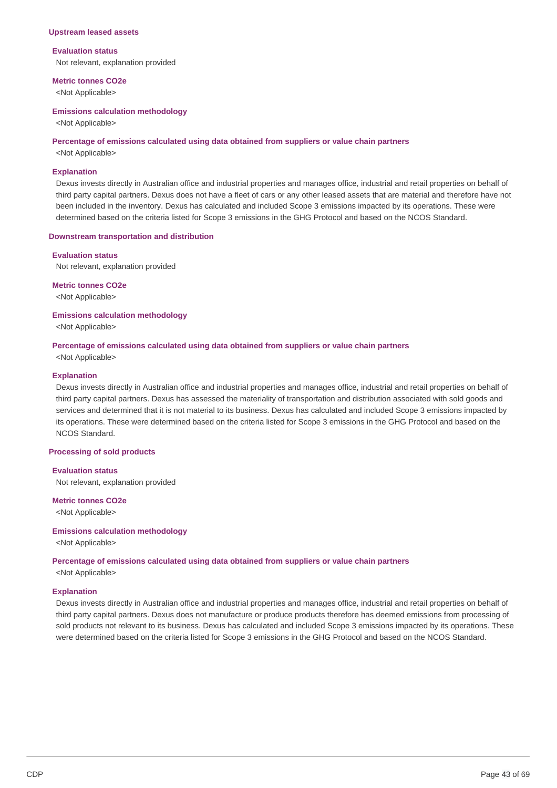#### **Upstream leased assets**

#### **Evaluation status**

Not relevant, explanation provided

#### **Metric tonnes CO2e**

<Not Applicable>

#### **Emissions calculation methodology**

<Not Applicable>

#### **Percentage of emissions calculated using data obtained from suppliers or value chain partners**

<Not Applicable>

#### **Explanation**

Dexus invests directly in Australian office and industrial properties and manages office, industrial and retail properties on behalf of third party capital partners. Dexus does not have a fleet of cars or any other leased assets that are material and therefore have not been included in the inventory. Dexus has calculated and included Scope 3 emissions impacted by its operations. These were determined based on the criteria listed for Scope 3 emissions in the GHG Protocol and based on the NCOS Standard.

#### **Downstream transportation and distribution**

#### **Evaluation status**

Not relevant, explanation provided

**Metric tonnes CO2e** <Not Applicable>

**Emissions calculation methodology**

<Not Applicable>

#### **Percentage of emissions calculated using data obtained from suppliers or value chain partners** <Not Applicable>

#### **Explanation**

Dexus invests directly in Australian office and industrial properties and manages office, industrial and retail properties on behalf of third party capital partners. Dexus has assessed the materiality of transportation and distribution associated with sold goods and services and determined that it is not material to its business. Dexus has calculated and included Scope 3 emissions impacted by its operations. These were determined based on the criteria listed for Scope 3 emissions in the GHG Protocol and based on the NCOS Standard.

#### **Processing of sold products**

**Evaluation status** Not relevant, explanation provided

**Metric tonnes CO2e**

<Not Applicable>

### **Emissions calculation methodology**

<Not Applicable>

**Percentage of emissions calculated using data obtained from suppliers or value chain partners** <Not Applicable>

## **Explanation**

Dexus invests directly in Australian office and industrial properties and manages office, industrial and retail properties on behalf of third party capital partners. Dexus does not manufacture or produce products therefore has deemed emissions from processing of sold products not relevant to its business. Dexus has calculated and included Scope 3 emissions impacted by its operations. These were determined based on the criteria listed for Scope 3 emissions in the GHG Protocol and based on the NCOS Standard.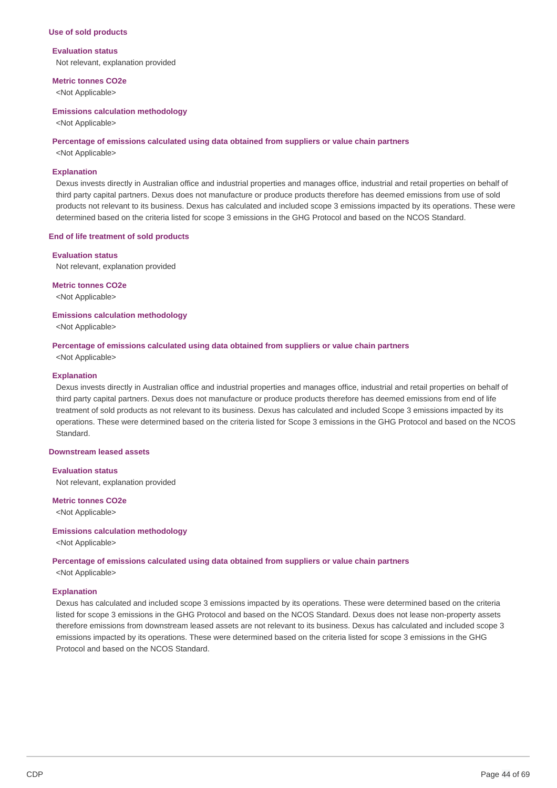#### **Use of sold products**

#### **Evaluation status**

Not relevant, explanation provided

#### **Metric tonnes CO2e**

<Not Applicable>

#### **Emissions calculation methodology**

<Not Applicable>

#### **Percentage of emissions calculated using data obtained from suppliers or value chain partners**

<Not Applicable>

#### **Explanation**

Dexus invests directly in Australian office and industrial properties and manages office, industrial and retail properties on behalf of third party capital partners. Dexus does not manufacture or produce products therefore has deemed emissions from use of sold products not relevant to its business. Dexus has calculated and included scope 3 emissions impacted by its operations. These were determined based on the criteria listed for scope 3 emissions in the GHG Protocol and based on the NCOS Standard.

#### **End of life treatment of sold products**

#### **Evaluation status**

Not relevant, explanation provided

**Metric tonnes CO2e** <Not Applicable>

**Emissions calculation methodology**

<Not Applicable>

#### **Percentage of emissions calculated using data obtained from suppliers or value chain partners** <Not Applicable>

#### **Explanation**

Dexus invests directly in Australian office and industrial properties and manages office, industrial and retail properties on behalf of third party capital partners. Dexus does not manufacture or produce products therefore has deemed emissions from end of life treatment of sold products as not relevant to its business. Dexus has calculated and included Scope 3 emissions impacted by its operations. These were determined based on the criteria listed for Scope 3 emissions in the GHG Protocol and based on the NCOS Standard.

#### **Downstream leased assets**

**Evaluation status** Not relevant, explanation provided

**Metric tonnes CO2e**

<Not Applicable>

### **Emissions calculation methodology**

<Not Applicable>

**Percentage of emissions calculated using data obtained from suppliers or value chain partners** <Not Applicable>

## **Explanation**

Dexus has calculated and included scope 3 emissions impacted by its operations. These were determined based on the criteria listed for scope 3 emissions in the GHG Protocol and based on the NCOS Standard. Dexus does not lease non-property assets therefore emissions from downstream leased assets are not relevant to its business. Dexus has calculated and included scope 3 emissions impacted by its operations. These were determined based on the criteria listed for scope 3 emissions in the GHG Protocol and based on the NCOS Standard.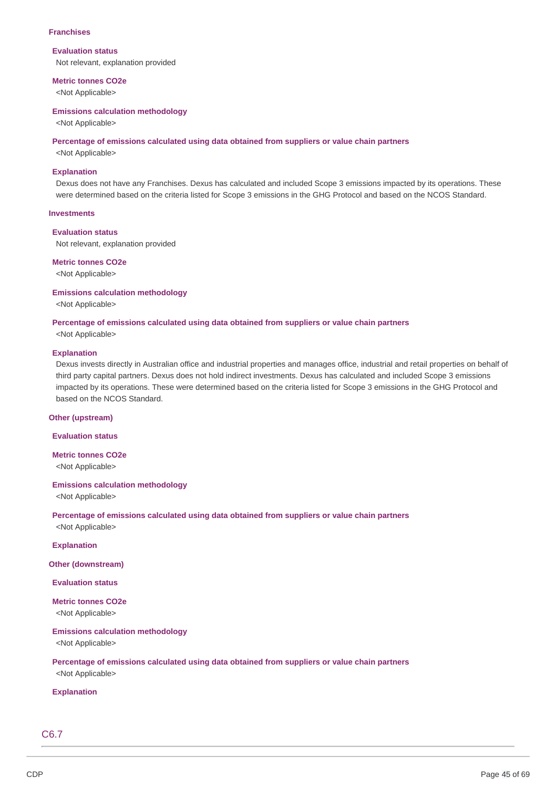#### **Franchises**

#### **Evaluation status**

Not relevant, explanation provided

#### **Metric tonnes CO2e**

<Not Applicable>

#### **Emissions calculation methodology**

<Not Applicable>

#### **Percentage of emissions calculated using data obtained from suppliers or value chain partners**

<Not Applicable>

## **Explanation**

Dexus does not have any Franchises. Dexus has calculated and included Scope 3 emissions impacted by its operations. These were determined based on the criteria listed for Scope 3 emissions in the GHG Protocol and based on the NCOS Standard.

# **Investments**

## **Evaluation status**

Not relevant, explanation provided

# **Metric tonnes CO2e**

<Not Applicable>

#### **Emissions calculation methodology**

<Not Applicable>

# **Percentage of emissions calculated using data obtained from suppliers or value chain partners**

<Not Applicable>

## **Explanation**

Dexus invests directly in Australian office and industrial properties and manages office, industrial and retail properties on behalf of third party capital partners. Dexus does not hold indirect investments. Dexus has calculated and included Scope 3 emissions impacted by its operations. These were determined based on the criteria listed for Scope 3 emissions in the GHG Protocol and based on the NCOS Standard.

## **Other (upstream)**

## **Evaluation status**

# **Metric tonnes CO2e**

<Not Applicable>

## **Emissions calculation methodology**

<Not Applicable>

# **Percentage of emissions calculated using data obtained from suppliers or value chain partners**

<Not Applicable>

#### **Explanation**

**Other (downstream)**

#### **Evaluation status**

# **Metric tonnes CO2e**

<Not Applicable>

# **Emissions calculation methodology**

<Not Applicable>

# **Percentage of emissions calculated using data obtained from suppliers or value chain partners** <Not Applicable>

# **Explanation**

C6.7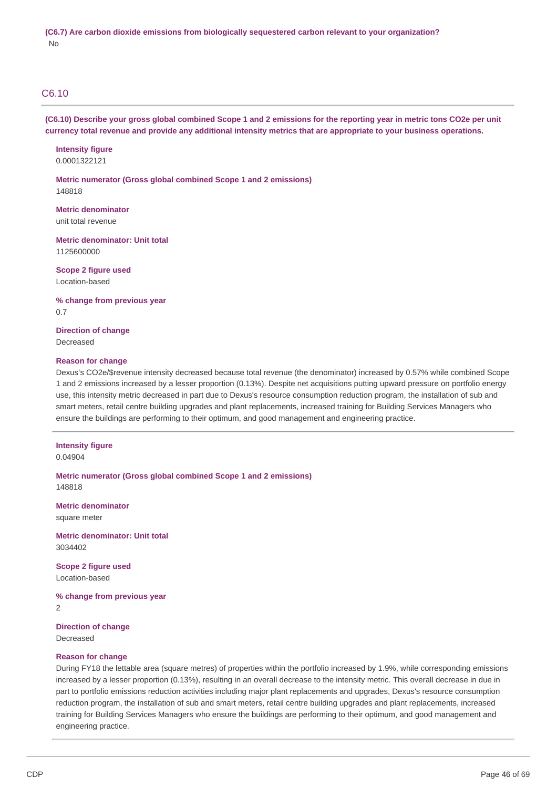# C6.10

(C6.10) Describe your gross global combined Scope 1 and 2 emissions for the reporting year in metric tons CO2e per unit currency total revenue and provide any additional intensity metrics that are appropriate to your business operations.

**Intensity figure** 0.0001322121

**Metric numerator (Gross global combined Scope 1 and 2 emissions)** 148818

**Metric denominator** unit total revenue

**Metric denominator: Unit total** 1125600000

**Scope 2 figure used** Location-based

**% change from previous year** 0.7

**Direction of change** Decreased

#### **Reason for change**

Dexus's CO2e/\$revenue intensity decreased because total revenue (the denominator) increased by 0.57% while combined Scope 1 and 2 emissions increased by a lesser proportion (0.13%). Despite net acquisitions putting upward pressure on portfolio energy use, this intensity metric decreased in part due to Dexus's resource consumption reduction program, the installation of sub and smart meters, retail centre building upgrades and plant replacements, increased training for Building Services Managers who ensure the buildings are performing to their optimum, and good management and engineering practice.

## **Intensity figure** 0.04904

**Metric numerator (Gross global combined Scope 1 and 2 emissions)** 148818

**Metric denominator** square meter

**Metric denominator: Unit total** 3034402

**Scope 2 figure used** Location-based

**% change from previous year**  $\overline{2}$ 

**Direction of change** Decreased

# **Reason for change**

During FY18 the lettable area (square metres) of properties within the portfolio increased by 1.9%, while corresponding emissions increased by a lesser proportion (0.13%), resulting in an overall decrease to the intensity metric. This overall decrease in due in part to portfolio emissions reduction activities including major plant replacements and upgrades, Dexus's resource consumption reduction program, the installation of sub and smart meters, retail centre building upgrades and plant replacements, increased training for Building Services Managers who ensure the buildings are performing to their optimum, and good management and engineering practice.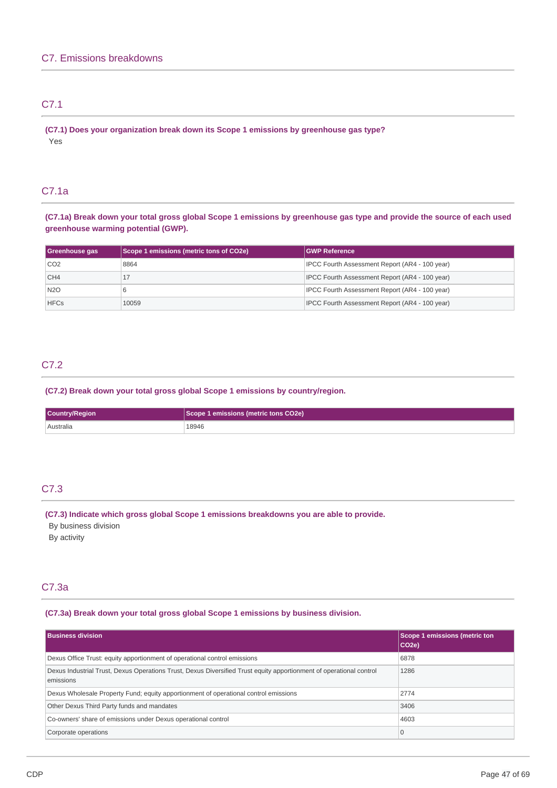# C7.1

**(C7.1) Does your organization break down its Scope 1 emissions by greenhouse gas type?** Yes

# C7.1a

(C7.1a) Break down your total gross global Scope 1 emissions by greenhouse gas type and provide the source of each used **greenhouse warming potential (GWP).**

| Greenhouse gas  | Scope 1 emissions (metric tons of CO2e) | <b>GWP Reference</b>                                  |  |
|-----------------|-----------------------------------------|-------------------------------------------------------|--|
| CO <sub>2</sub> | 8864                                    | IPCC Fourth Assessment Report (AR4 - 100 year)        |  |
| CH <sub>4</sub> |                                         | <b>IPCC Fourth Assessment Report (AR4 - 100 year)</b> |  |
| <b>N2O</b>      |                                         | IPCC Fourth Assessment Report (AR4 - 100 year)        |  |
| <b>HFCs</b>     | 10059                                   | <b>IPCC Fourth Assessment Report (AR4 - 100 year)</b> |  |

# C7.2

**(C7.2) Break down your total gross global Scope 1 emissions by country/region.**

| Country/Region | Scope 1 emissions (metric tons CO2e) |  |
|----------------|--------------------------------------|--|
| Australia      | 18946                                |  |

# C7.3

**(C7.3) Indicate which gross global Scope 1 emissions breakdowns you are able to provide.**

By business division By activity

# C7.3a

# **(C7.3a) Break down your total gross global Scope 1 emissions by business division.**

| <b>Business division</b>                                                                                                         | <b>Scope 1 emissions (metric ton</b><br>CO <sub>2e</sub> ) |
|----------------------------------------------------------------------------------------------------------------------------------|------------------------------------------------------------|
| Dexus Office Trust: equity apportionment of operational control emissions                                                        | 6878                                                       |
| Dexus Industrial Trust, Dexus Operations Trust, Dexus Diversified Trust equity apportionment of operational control<br>emissions | 1286                                                       |
| Dexus Wholesale Property Fund; equity apportionment of operational control emissions                                             | 2774                                                       |
| Other Dexus Third Party funds and mandates                                                                                       | 3406                                                       |
| Co-owners' share of emissions under Dexus operational control                                                                    | 4603                                                       |
| Corporate operations                                                                                                             | $\overline{0}$                                             |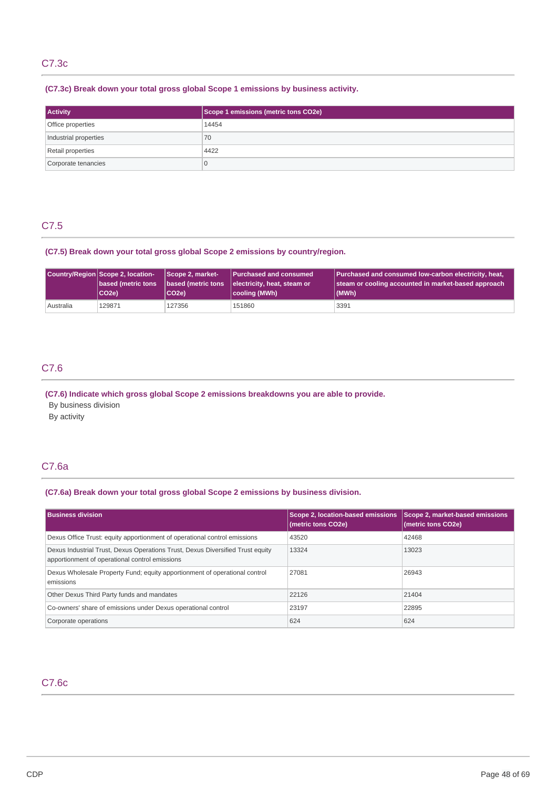# C7.3c

# **(C7.3c) Break down your total gross global Scope 1 emissions by business activity.**

| <b>Activity</b>       | Scope 1 emissions (metric tons CO2e) |  |
|-----------------------|--------------------------------------|--|
| Office properties     | 14454                                |  |
| Industrial properties | 70                                   |  |
| Retail properties     | 4422                                 |  |
| Corporate tenancies   | $\mathbf 0$                          |  |

# C7.5

# **(C7.5) Break down your total gross global Scope 2 emissions by country/region.**

|                           | Country/Region Scope 2, location-<br>Scope 2, market- |                    | <b>Purchased and consumed</b> | Purchased and consumed low-carbon electricity, heat, |  |
|---------------------------|-------------------------------------------------------|--------------------|-------------------------------|------------------------------------------------------|--|
| <b>based (metric tons</b> |                                                       | based (metric tons | electricity, heat, steam or   | steam or cooling accounted in market-based approach  |  |
|                           | CO <sub>2e</sub> )                                    | CO <sub>2e</sub> ) | cooling (MWh)                 | (MWh)                                                |  |
| Australia                 | 129871                                                | 127356             | 151860                        | 3391                                                 |  |

# C7.6

**(C7.6) Indicate which gross global Scope 2 emissions breakdowns you are able to provide.**

By business division

By activity

# C7.6a

# **(C7.6a) Break down your total gross global Scope 2 emissions by business division.**

| <b>Business division</b>                                                                                                         | Scope 2, location-based emissions<br>(metric tons CO2e) | Scope 2, market-based emissions<br>(metric tons CO2e) |
|----------------------------------------------------------------------------------------------------------------------------------|---------------------------------------------------------|-------------------------------------------------------|
| Dexus Office Trust: equity apportionment of operational control emissions                                                        | 43520                                                   | 42468                                                 |
| Dexus Industrial Trust, Dexus Operations Trust, Dexus Diversified Trust equity<br>apportionment of operational control emissions | 13324                                                   | 13023                                                 |
| Dexus Wholesale Property Fund; equity apportionment of operational control<br>emissions                                          | 27081                                                   | 26943                                                 |
| Other Dexus Third Party funds and mandates                                                                                       | 22126                                                   | 21404                                                 |
| Co-owners' share of emissions under Dexus operational control                                                                    | 23197                                                   | 22895                                                 |
| Corporate operations                                                                                                             | 624                                                     | 624                                                   |

# C7.6c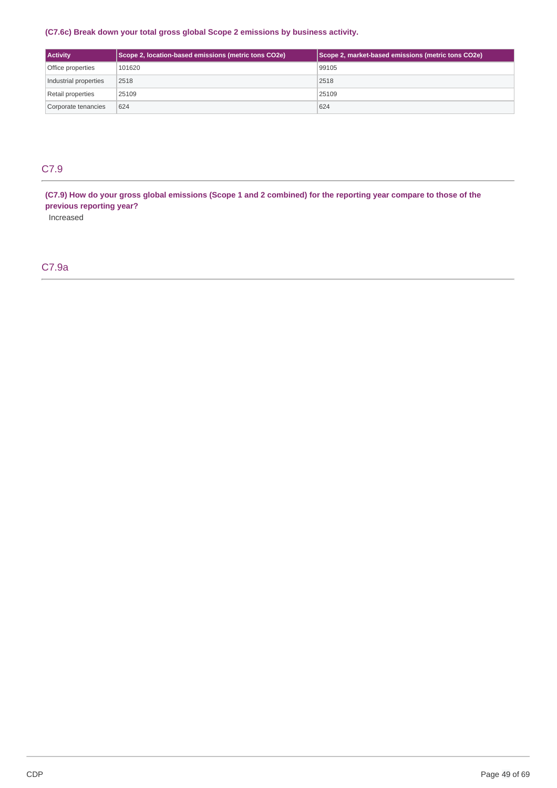# **(C7.6c) Break down your total gross global Scope 2 emissions by business activity.**

| <b>Activity</b>       | Scope 2, location-based emissions (metric tons CO2e) | Scope 2, market-based emissions (metric tons CO2e) |
|-----------------------|------------------------------------------------------|----------------------------------------------------|
| Office properties     | 101620                                               | 99105                                              |
| Industrial properties | 2518                                                 | 2518                                               |
| Retail properties     | 25109                                                | 25109                                              |
| Corporate tenancies   | 624                                                  | 624                                                |

# C7.9

(C7.9) How do your gross global emissions (Scope 1 and 2 combined) for the reporting year compare to those of the **previous reporting year?**

Increased

# C7.9a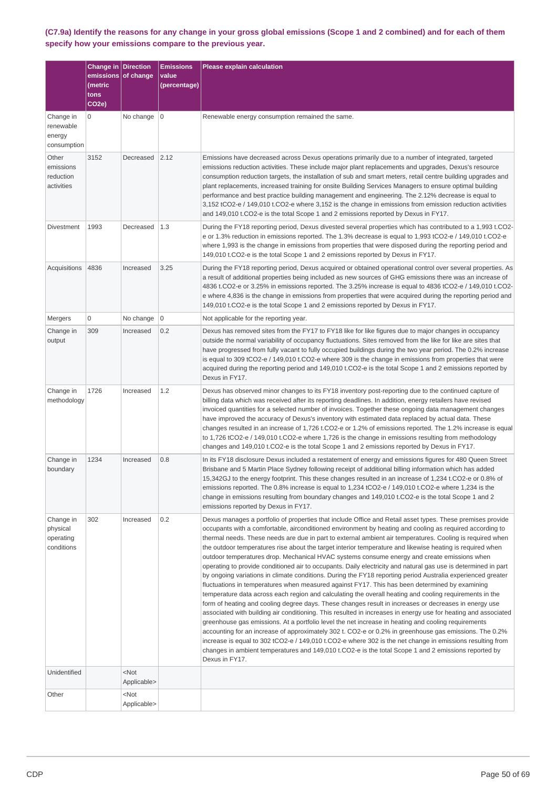(C7.9a) Identify the reasons for any change in your gross global emissions (Scope 1 and 2 combined) and for each of them **specify how your emissions compare to the previous year.**

|                                                  | <b>Change in Direction</b><br>emissions <br>(metric<br>tons<br>CO <sub>2e</sub> ) | of change                                      | <b>Emissions</b><br>value<br>(percentage) | <b>Please explain calculation</b>                                                                                                                                                                                                                                                                                                                                                                                                                                                                                                                                                                                                                                                                                                                                                                                                                                                                                                                                                                                                                                                                                                                                                                                                                                                                                                                                                                                                                                                                                                                                                                                                                                                |
|--------------------------------------------------|-----------------------------------------------------------------------------------|------------------------------------------------|-------------------------------------------|----------------------------------------------------------------------------------------------------------------------------------------------------------------------------------------------------------------------------------------------------------------------------------------------------------------------------------------------------------------------------------------------------------------------------------------------------------------------------------------------------------------------------------------------------------------------------------------------------------------------------------------------------------------------------------------------------------------------------------------------------------------------------------------------------------------------------------------------------------------------------------------------------------------------------------------------------------------------------------------------------------------------------------------------------------------------------------------------------------------------------------------------------------------------------------------------------------------------------------------------------------------------------------------------------------------------------------------------------------------------------------------------------------------------------------------------------------------------------------------------------------------------------------------------------------------------------------------------------------------------------------------------------------------------------------|
| Change in<br>renewable<br>energy<br>consumption  | 0                                                                                 | No change $ 0$                                 |                                           | Renewable energy consumption remained the same.                                                                                                                                                                                                                                                                                                                                                                                                                                                                                                                                                                                                                                                                                                                                                                                                                                                                                                                                                                                                                                                                                                                                                                                                                                                                                                                                                                                                                                                                                                                                                                                                                                  |
| Other<br>emissions<br>reduction<br>activities    | 3152                                                                              | Decreased                                      | 2.12                                      | Emissions have decreased across Dexus operations primarily due to a number of integrated, targeted<br>emissions reduction activities. These include major plant replacements and upgrades, Dexus's resource<br>consumption reduction targets, the installation of sub and smart meters, retail centre building upgrades and<br>plant replacements, increased training for onsite Building Services Managers to ensure optimal building<br>performance and best practice building management and engineering. The 2.12% decrease is equal to<br>3,152 tCO2-e / 149,010 t.CO2-e where 3,152 is the change in emissions from emission reduction activities<br>and 149,010 t.CO2-e is the total Scope 1 and 2 emissions reported by Dexus in FY17.                                                                                                                                                                                                                                                                                                                                                                                                                                                                                                                                                                                                                                                                                                                                                                                                                                                                                                                                   |
| <b>Divestment</b>                                | 1993                                                                              | Decreased                                      | 1.3                                       | During the FY18 reporting period, Dexus divested several properties which has contributed to a 1,993 t.CO2-<br>e or 1.3% reduction in emissions reported. The 1.3% decrease is equal to 1,993 tCO2-e / 149,010 t.CO2-e<br>where 1,993 is the change in emissions from properties that were disposed during the reporting period and<br>149,010 t.CO2-e is the total Scope 1 and 2 emissions reported by Dexus in FY17.                                                                                                                                                                                                                                                                                                                                                                                                                                                                                                                                                                                                                                                                                                                                                                                                                                                                                                                                                                                                                                                                                                                                                                                                                                                           |
| Acquisitions                                     | 4836                                                                              | Increased                                      | 3.25                                      | During the FY18 reporting period, Dexus acquired or obtained operational control over several properties. As<br>a result of additional properties being included as new sources of GHG emissions there was an increase of<br>4836 t.CO2-e or 3.25% in emissions reported. The 3.25% increase is equal to 4836 tCO2-e / 149,010 t.CO2-<br>e where 4,836 is the change in emissions from properties that were acquired during the reporting period and<br>149,010 t.CO2-e is the total Scope 1 and 2 emissions reported by Dexus in FY17.                                                                                                                                                                                                                                                                                                                                                                                                                                                                                                                                                                                                                                                                                                                                                                                                                                                                                                                                                                                                                                                                                                                                          |
| Mergers                                          | 0                                                                                 | No change                                      | 0                                         | Not applicable for the reporting year.                                                                                                                                                                                                                                                                                                                                                                                                                                                                                                                                                                                                                                                                                                                                                                                                                                                                                                                                                                                                                                                                                                                                                                                                                                                                                                                                                                                                                                                                                                                                                                                                                                           |
| Change in<br>output                              | 309                                                                               | Increased                                      | 0.2                                       | Dexus has removed sites from the FY17 to FY18 like for like figures due to major changes in occupancy<br>outside the normal variability of occupancy fluctuations. Sites removed from the like for like are sites that<br>have progressed from fully vacant to fully occupied buildings during the two year period. The 0.2% increase<br>is equal to 309 tCO2-e / 149,010 t.CO2-e where 309 is the change in emissions from properties that were<br>acquired during the reporting period and 149,010 t.CO2-e is the total Scope 1 and 2 emissions reported by<br>Dexus in FY17.                                                                                                                                                                                                                                                                                                                                                                                                                                                                                                                                                                                                                                                                                                                                                                                                                                                                                                                                                                                                                                                                                                  |
| Change in<br>methodology                         | 1726                                                                              | Increased                                      | 1.2                                       | Dexus has observed minor changes to its FY18 inventory post-reporting due to the continued capture of<br>billing data which was received after its reporting deadlines. In addition, energy retailers have revised<br>invoiced quantities for a selected number of invoices. Together these ongoing data management changes<br>have improved the accuracy of Dexus's inventory with estimated data replaced by actual data. These<br>changes resulted in an increase of 1,726 t.CO2-e or 1.2% of emissions reported. The 1.2% increase is equal<br>to 1,726 tCO2-e / 149,010 t.CO2-e where 1,726 is the change in emissions resulting from methodology<br>changes and 149,010 t.CO2-e is the total Scope 1 and 2 emissions reported by Dexus in FY17.                                                                                                                                                                                                                                                                                                                                                                                                                                                                                                                                                                                                                                                                                                                                                                                                                                                                                                                            |
| Change in<br>boundary                            | 1234                                                                              | Increased                                      | 0.8                                       | In its FY18 disclosure Dexus included a restatement of energy and emissions figures for 480 Queen Street<br>Brisbane and 5 Martin Place Sydney following receipt of additional billing information which has added<br>15,342GJ to the energy footprint. This these changes resulted in an increase of 1,234 t.CO2-e or 0.8% of<br>emissions reported. The 0.8% increase is equal to 1,234 tCO2-e / 149,010 t.CO2-e where 1,234 is the<br>change in emissions resulting from boundary changes and 149,010 t.CO2-e is the total Scope 1 and 2<br>emissions reported by Dexus in FY17.                                                                                                                                                                                                                                                                                                                                                                                                                                                                                                                                                                                                                                                                                                                                                                                                                                                                                                                                                                                                                                                                                              |
| Change in<br>physical<br>operating<br>conditions | 302                                                                               | Increased                                      | 0.2                                       | Dexus manages a portfolio of properties that include Office and Retail asset types. These premises provide<br>occupants with a comfortable, airconditioned environment by heating and cooling as required according to<br>thermal needs. These needs are due in part to external ambient air temperatures. Cooling is required when<br>the outdoor temperatures rise about the target interior temperature and likewise heating is required when<br>outdoor temperatures drop. Mechanical HVAC systems consume energy and create emissions when<br>operating to provide conditioned air to occupants. Daily electricity and natural gas use is determined in part<br>by ongoing variations in climate conditions. During the FY18 reporting period Australia experienced greater<br>fluctuations in temperatures when measured against FY17. This has been determined by examining<br>temperature data across each region and calculating the overall heating and cooling requirements in the<br>form of heating and cooling degree days. These changes result in increases or decreases in energy use<br>associated with building air conditioning. This resulted in increases in energy use for heating and associated<br>greenhouse gas emissions. At a portfolio level the net increase in heating and cooling requirements<br>accounting for an increase of approximately 302 t. CO2-e or 0.2% in greenhouse gas emissions. The 0.2%<br>increase is equal to 302 tCO2-e / 149,010 t.CO2-e where 302 is the net change in emissions resulting from<br>changes in ambient temperatures and 149,010 t.CO2-e is the total Scope 1 and 2 emissions reported by<br>Dexus in FY17. |
| Unidentified                                     |                                                                                   | $<$ Not                                        |                                           |                                                                                                                                                                                                                                                                                                                                                                                                                                                                                                                                                                                                                                                                                                                                                                                                                                                                                                                                                                                                                                                                                                                                                                                                                                                                                                                                                                                                                                                                                                                                                                                                                                                                                  |
| Other                                            |                                                                                   | Applicable><br><not<br>Applicable&gt;</not<br> |                                           |                                                                                                                                                                                                                                                                                                                                                                                                                                                                                                                                                                                                                                                                                                                                                                                                                                                                                                                                                                                                                                                                                                                                                                                                                                                                                                                                                                                                                                                                                                                                                                                                                                                                                  |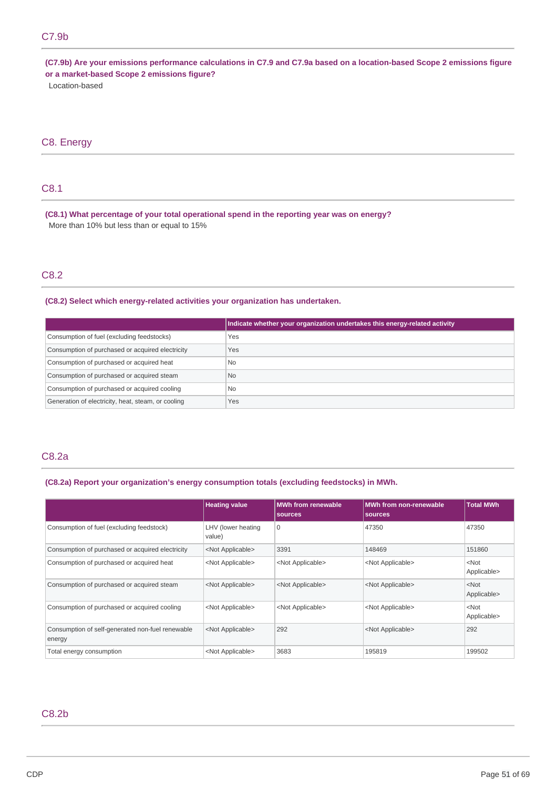(C7.9b) Are your emissions performance calculations in C7.9 and C7.9a based on a location-based Scope 2 emissions figure **or a market-based Scope 2 emissions figure?**

Location-based

# C8. Energy

# C8.1

**(C8.1) What percentage of your total operational spend in the reporting year was on energy?** More than 10% but less than or equal to 15%

# C8.2

**(C8.2) Select which energy-related activities your organization has undertaken.**

|                                                    | Indicate whether your organization undertakes this energy-related activity |
|----------------------------------------------------|----------------------------------------------------------------------------|
| Consumption of fuel (excluding feedstocks)         | Yes                                                                        |
| Consumption of purchased or acquired electricity   | Yes                                                                        |
| Consumption of purchased or acquired heat          | No.                                                                        |
| Consumption of purchased or acquired steam         | <b>No</b>                                                                  |
| Consumption of purchased or acquired cooling       | No.                                                                        |
| Generation of electricity, heat, steam, or cooling | Yes                                                                        |

# C8.2a

# **(C8.2a) Report your organization's energy consumption totals (excluding feedstocks) in MWh.**

|                                                            | <b>Heating value</b>         | <b>MWh from renewable</b><br><b>sources</b> | <b>MWh from non-renewable</b><br>sources | <b>Total MWh</b>       |
|------------------------------------------------------------|------------------------------|---------------------------------------------|------------------------------------------|------------------------|
| Consumption of fuel (excluding feedstock)                  | LHV (lower heating<br>value) | 0                                           | 47350                                    | 47350                  |
| Consumption of purchased or acquired electricity           | <not applicable=""></not>    | 3391                                        | 148469                                   | 151860                 |
| Consumption of purchased or acquired heat                  | <not applicable=""></not>    | <not applicable=""></not>                   | <not applicable=""></not>                | $<$ Not<br>Applicable> |
| Consumption of purchased or acquired steam                 | <not applicable=""></not>    | <not applicable=""></not>                   | <not applicable=""></not>                | $<$ Not<br>Applicable> |
| Consumption of purchased or acquired cooling               | <not applicable=""></not>    | <not applicable=""></not>                   | <not applicable=""></not>                | $<$ Not<br>Applicable> |
| Consumption of self-generated non-fuel renewable<br>energy | <not applicable=""></not>    | 292                                         | <not applicable=""></not>                | 292                    |
| Total energy consumption                                   | <not applicable=""></not>    | 3683                                        | 195819                                   | 199502                 |

# C8.2b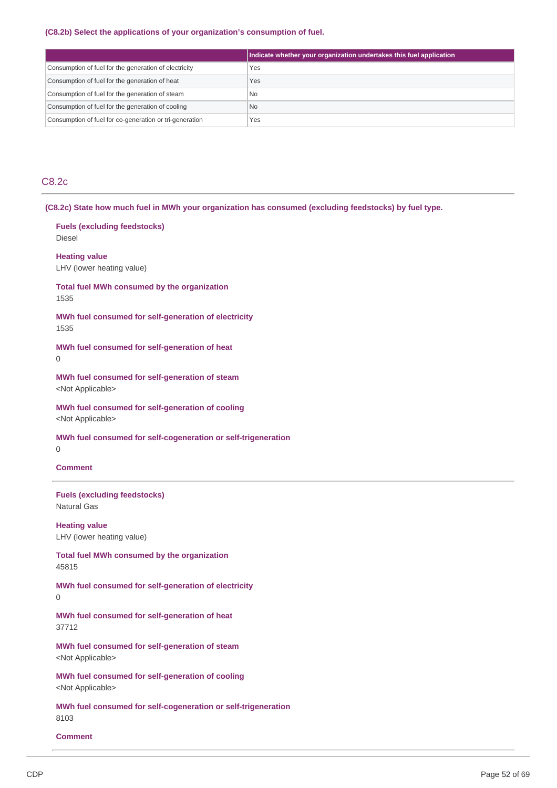# **(C8.2b) Select the applications of your organization's consumption of fuel.**

|                                                         | Indicate whether your organization undertakes this fuel application |
|---------------------------------------------------------|---------------------------------------------------------------------|
| Consumption of fuel for the generation of electricity   | Yes                                                                 |
| Consumption of fuel for the generation of heat          | Yes                                                                 |
| Consumption of fuel for the generation of steam         | <b>No</b>                                                           |
| Consumption of fuel for the generation of cooling       | <b>No</b>                                                           |
| Consumption of fuel for co-generation or tri-generation | Yes                                                                 |

# C8.2c

**(C8.2c) State how much fuel in MWh your organization has consumed (excluding feedstocks) by fuel type.**

| <b>Fuels (excluding feedstocks)</b><br><b>Diesel</b>                          |
|-------------------------------------------------------------------------------|
| <b>Heating value</b><br>LHV (lower heating value)                             |
| Total fuel MWh consumed by the organization<br>1535                           |
| MWh fuel consumed for self-generation of electricity<br>1535                  |
| MWh fuel consumed for self-generation of heat<br><sup>0</sup>                 |
| MWh fuel consumed for self-generation of steam<br><not applicable=""></not>   |
| MWh fuel consumed for self-generation of cooling<br><not applicable=""></not> |
| MWh fuel consumed for self-cogeneration or self-trigeneration<br>0            |
| <b>Comment</b>                                                                |
|                                                                               |
| <b>Fuels (excluding feedstocks)</b><br><b>Natural Gas</b>                     |
| <b>Heating value</b><br>LHV (lower heating value)                             |
| <b>Total fuel MWh consumed by the organization</b><br>45815                   |
| MWh fuel consumed for self-generation of electricity<br>$\Omega$              |
| MWh fuel consumed for self-generation of heat<br>37712                        |

**MWh fuel consumed for self-generation of cooling** <Not Applicable>

**MWh fuel consumed for self-cogeneration or self-trigeneration** 8103

# **Comment**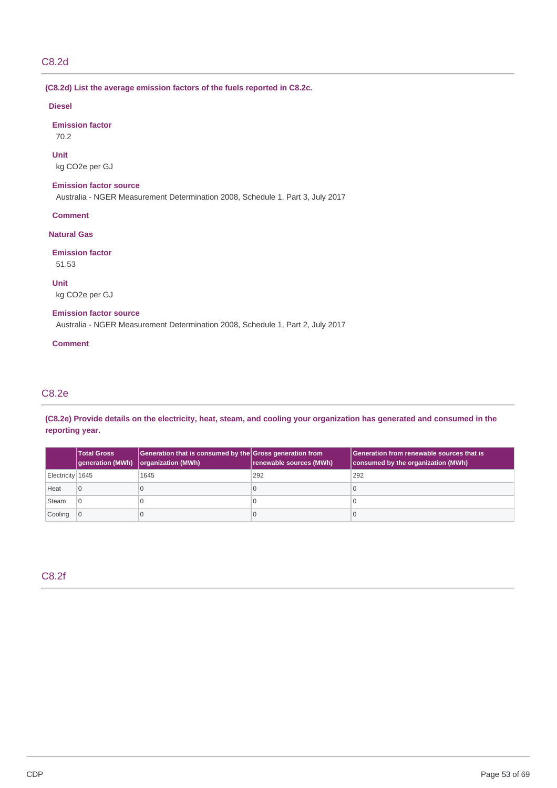# C8.2d

**(C8.2d) List the average emission factors of the fuels reported in C8.2c.**

# **Diesel**

**Emission factor**

70.2

## **Unit**

kg CO2e per GJ

# **Emission factor source**

Australia - NGER Measurement Determination 2008, Schedule 1, Part 3, July 2017

**Comment**

# **Natural Gas**

# **Emission factor**

51.53

**Unit**

kg CO2e per GJ

# **Emission factor source**

Australia - NGER Measurement Determination 2008, Schedule 1, Part 2, July 2017

# **Comment**

# C8.2e

(C8.2e) Provide details on the electricity, heat, steam, and cooling your organization has generated and consumed in the **reporting year.**

|                  | <b>Total Gross</b><br><b>generation (MWh)</b> | Generation that is consumed by the Gross generation from<br>organization (MWh) | renewable sources (MWh) | Generation from renewable sources that is<br>consumed by the organization (MWh) |
|------------------|-----------------------------------------------|--------------------------------------------------------------------------------|-------------------------|---------------------------------------------------------------------------------|
| Electricity 1645 |                                               | 1645                                                                           | 292                     | 292                                                                             |
| Heat             | $\cap$                                        |                                                                                |                         |                                                                                 |
| Steam            | $\overline{6}$                                |                                                                                |                         |                                                                                 |
| Cooling          |                                               |                                                                                |                         |                                                                                 |

# C8.2f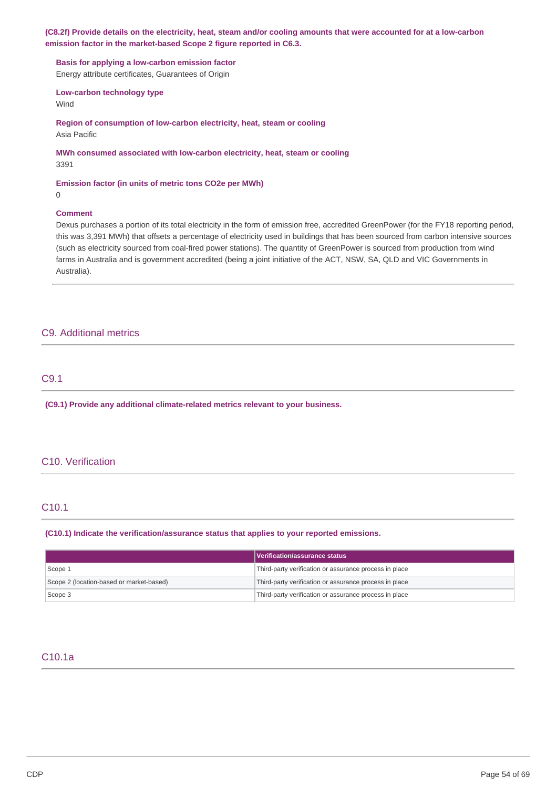(C8.2f) Provide details on the electricity, heat, steam and/or cooling amounts that were accounted for at a low-carbon **emission factor in the market-based Scope 2 figure reported in C6.3.**

**Basis for applying a low-carbon emission factor**

Energy attribute certificates, Guarantees of Origin

**Low-carbon technology type**

Wind

**Region of consumption of low-carbon electricity, heat, steam or cooling** Asia Pacific

**MWh consumed associated with low-carbon electricity, heat, steam or cooling** 3391

**Emission factor (in units of metric tons CO2e per MWh)**

0

## **Comment**

Dexus purchases a portion of its total electricity in the form of emission free, accredited GreenPower (for the FY18 reporting period, this was 3,391 MWh) that offsets a percentage of electricity used in buildings that has been sourced from carbon intensive sources (such as electricity sourced from coal-fired power stations). The quantity of GreenPower is sourced from production from wind farms in Australia and is government accredited (being a joint initiative of the ACT, NSW, SA, QLD and VIC Governments in Australia).

# C9. Additional metrics

# C9.1

**(C9.1) Provide any additional climate-related metrics relevant to your business.**

# C10. Verification

# C10.1

**(C10.1) Indicate the verification/assurance status that applies to your reported emissions.**

|                                          | Verification/assurance status                          |
|------------------------------------------|--------------------------------------------------------|
| Scope 1                                  | Third-party verification or assurance process in place |
| Scope 2 (location-based or market-based) | Third-party verification or assurance process in place |
| Scope 3                                  | Third-party verification or assurance process in place |

# C10.1a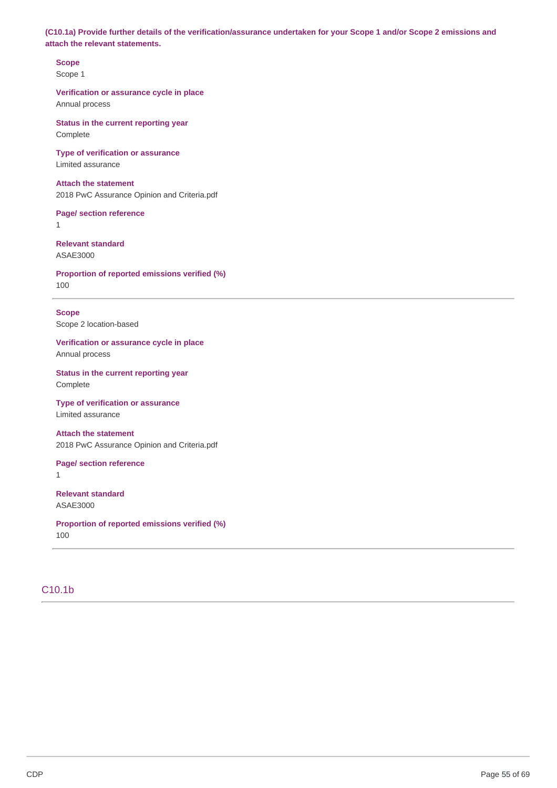(C10.1a) Provide further details of the verification/assurance undertaken for your Scope 1 and/or Scope 2 emissions and **attach the relevant statements.**

**Scope** Scope 1

**Verification or assurance cycle in place** Annual process

**Status in the current reporting year** Complete

**Type of verification or assurance** Limited assurance

# **Attach the statement**

2018 PwC Assurance Opinion and Criteria.pdf

**Page/ section reference**

1

**Relevant standard** ASAE3000

**Proportion of reported emissions verified (%)** 100

**Scope**

Scope 2 location-based

**Verification or assurance cycle in place** Annual process

**Status in the current reporting year** Complete

**Type of verification or assurance** Limited assurance

**Attach the statement** 2018 PwC Assurance Opinion and Criteria.pdf

**Page/ section reference** 1

**Relevant standard** ASAE3000

**Proportion of reported emissions verified (%)** 100

# C10.1b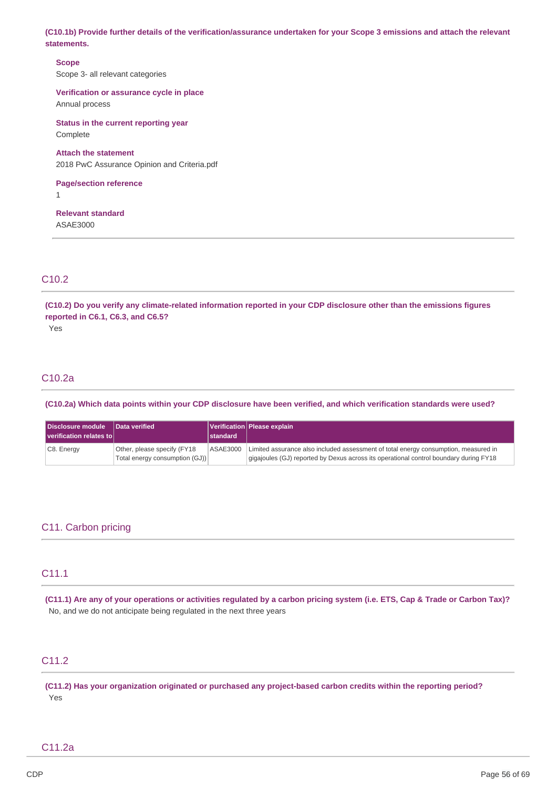(C10.1b) Provide further details of the verification/assurance undertaken for your Scope 3 emissions and attach the relevant **statements.**

**Scope** Scope 3- all relevant categories

**Verification or assurance cycle in place** Annual process

**Status in the current reporting year** Complete

## **Attach the statement**

2018 PwC Assurance Opinion and Criteria.pdf

# **Page/section reference**

1

**Relevant standard** ASAE3000

# C10.2

(C10.2) Do you verify any climate-related information reported in your CDP disclosure other than the emissions figures **reported in C6.1, C6.3, and C6.5?**

Yes

# C10.2a

(C10.2a) Which data points within your CDP disclosure have been verified, and which verification standards were used?

| Disclosure module<br>verification relates to | Data verified                                                 | standard | Verification   Please explain                                                                                                                                                |
|----------------------------------------------|---------------------------------------------------------------|----------|------------------------------------------------------------------------------------------------------------------------------------------------------------------------------|
| $ C8.$ Energy                                | Other, please specify (FY18<br>Total energy consumption (GJ)) | ASAE3000 | Limited assurance also included assessment of total energy consumption, measured in<br>gigajoules (GJ) reported by Dexus across its operational control boundary during FY18 |

# C11. Carbon pricing

# C11.1

(C11.1) Are any of your operations or activities regulated by a carbon pricing system (i.e. ETS, Cap & Trade or Carbon Tax)? No, and we do not anticipate being regulated in the next three years

# C11.2

**(C11.2) Has your organization originated or purchased any project-based carbon credits within the reporting period?** Yes

# C11.2a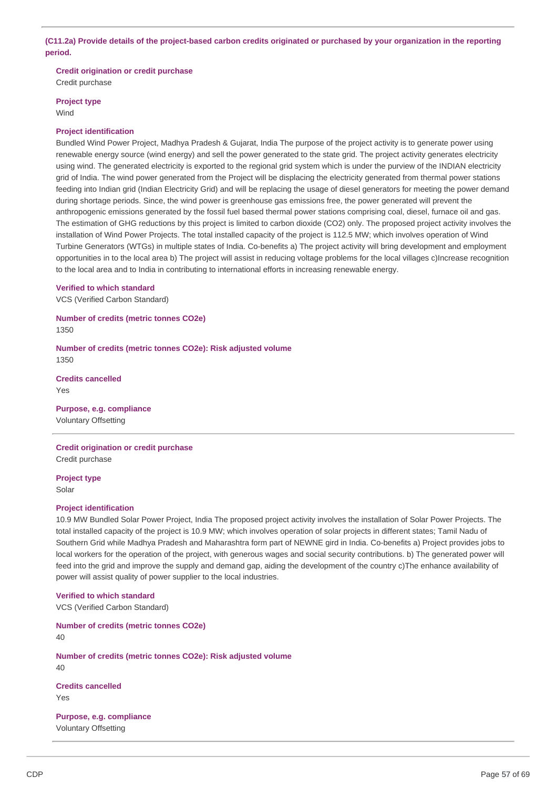# (C11.2a) Provide details of the project-based carbon credits originated or purchased by your organization in the reporting **period.**

**Credit origination or credit purchase**

Credit purchase

**Project type**

Wind

# **Project identification**

Bundled Wind Power Project, Madhya Pradesh & Gujarat, India The purpose of the project activity is to generate power using renewable energy source (wind energy) and sell the power generated to the state grid. The project activity generates electricity using wind. The generated electricity is exported to the regional grid system which is under the purview of the INDIAN electricity grid of India. The wind power generated from the Project will be displacing the electricity generated from thermal power stations feeding into Indian grid (Indian Electricity Grid) and will be replacing the usage of diesel generators for meeting the power demand during shortage periods. Since, the wind power is greenhouse gas emissions free, the power generated will prevent the anthropogenic emissions generated by the fossil fuel based thermal power stations comprising coal, diesel, furnace oil and gas. The estimation of GHG reductions by this project is limited to carbon dioxide (CO2) only. The proposed project activity involves the installation of Wind Power Projects. The total installed capacity of the project is 112.5 MW; which involves operation of Wind Turbine Generators (WTGs) in multiple states of India. Co-benefits a) The project activity will bring development and employment opportunities in to the local area b) The project will assist in reducing voltage problems for the local villages c)Increase recognition to the local area and to India in contributing to international efforts in increasing renewable energy.

## **Verified to which standard**

VCS (Verified Carbon Standard)

**Number of credits (metric tonnes CO2e)** 1350

**Number of credits (metric tonnes CO2e): Risk adjusted volume** 1350

**Credits cancelled** Yes

**Purpose, e.g. compliance** Voluntary Offsetting

# **Credit origination or credit purchase**

Credit purchase

**Project type** Solar

## **Project identification**

10.9 MW Bundled Solar Power Project, India The proposed project activity involves the installation of Solar Power Projects. The total installed capacity of the project is 10.9 MW; which involves operation of solar projects in different states; Tamil Nadu of Southern Grid while Madhya Pradesh and Maharashtra form part of NEWNE gird in India. Co-benefits a) Project provides jobs to local workers for the operation of the project, with generous wages and social security contributions. b) The generated power will feed into the grid and improve the supply and demand gap, aiding the development of the country c)The enhance availability of power will assist quality of power supplier to the local industries.

**Verified to which standard**

VCS (Verified Carbon Standard)

**Number of credits (metric tonnes CO2e)** 40 **Number of credits (metric tonnes CO2e): Risk adjusted volume** 40

**Credits cancelled** Yes

**Purpose, e.g. compliance** Voluntary Offsetting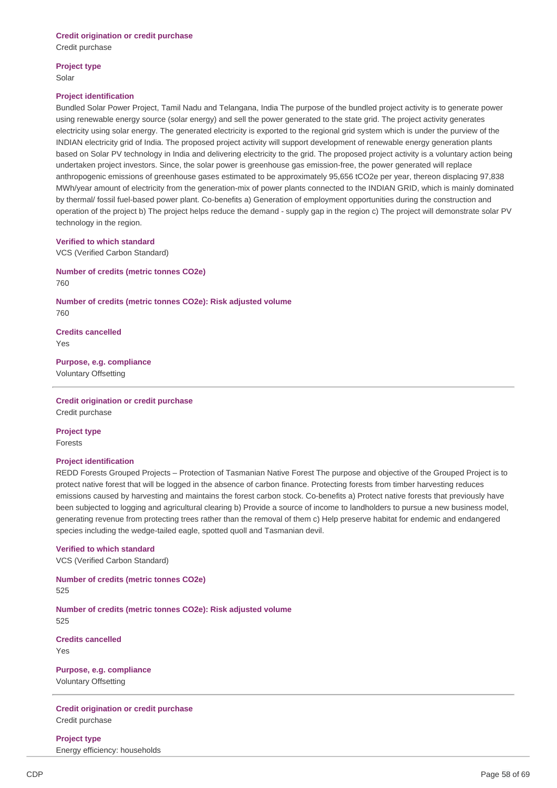## **Credit origination or credit purchase** Credit purchase

**Project type** Solar

## **Project identification**

Bundled Solar Power Project, Tamil Nadu and Telangana, India The purpose of the bundled project activity is to generate power using renewable energy source (solar energy) and sell the power generated to the state grid. The project activity generates electricity using solar energy. The generated electricity is exported to the regional grid system which is under the purview of the INDIAN electricity grid of India. The proposed project activity will support development of renewable energy generation plants based on Solar PV technology in India and delivering electricity to the grid. The proposed project activity is a voluntary action being undertaken project investors. Since, the solar power is greenhouse gas emission-free, the power generated will replace anthropogenic emissions of greenhouse gases estimated to be approximately 95,656 tCO2e per year, thereon displacing 97,838 MWh/year amount of electricity from the generation-mix of power plants connected to the INDIAN GRID, which is mainly dominated by thermal/ fossil fuel-based power plant. Co-benefits a) Generation of employment opportunities during the construction and operation of the project b) The project helps reduce the demand - supply gap in the region c) The project will demonstrate solar PV technology in the region.

## **Verified to which standard**

VCS (Verified Carbon Standard)

**Number of credits (metric tonnes CO2e)** 760

**Number of credits (metric tonnes CO2e): Risk adjusted volume** 760

**Credits cancelled** Yes

**Purpose, e.g. compliance** Voluntary Offsetting

**Credit origination or credit purchase** Credit purchase

**Project type** Forests

## **Project identification**

REDD Forests Grouped Projects – Protection of Tasmanian Native Forest The purpose and objective of the Grouped Project is to protect native forest that will be logged in the absence of carbon finance. Protecting forests from timber harvesting reduces emissions caused by harvesting and maintains the forest carbon stock. Co-benefits a) Protect native forests that previously have been subjected to logging and agricultural clearing b) Provide a source of income to landholders to pursue a new business model, generating revenue from protecting trees rather than the removal of them c) Help preserve habitat for endemic and endangered species including the wedge-tailed eagle, spotted quoll and Tasmanian devil.

#### **Verified to which standard**

VCS (Verified Carbon Standard)

**Number of credits (metric tonnes CO2e)** 525

**Number of credits (metric tonnes CO2e): Risk adjusted volume** 525

**Credits cancelled** Yes

**Purpose, e.g. compliance** Voluntary Offsetting

**Credit origination or credit purchase** Credit purchase

**Project type** Energy efficiency: households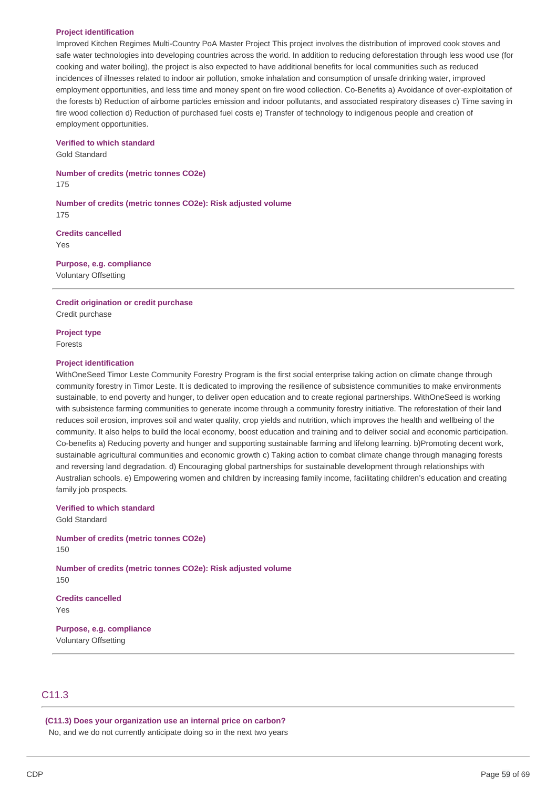#### **Project identification**

Improved Kitchen Regimes Multi-Country PoA Master Project This project involves the distribution of improved cook stoves and safe water technologies into developing countries across the world. In addition to reducing deforestation through less wood use (for cooking and water boiling), the project is also expected to have additional benefits for local communities such as reduced incidences of illnesses related to indoor air pollution, smoke inhalation and consumption of unsafe drinking water, improved employment opportunities, and less time and money spent on fire wood collection. Co-Benefits a) Avoidance of over-exploitation of the forests b) Reduction of airborne particles emission and indoor pollutants, and associated respiratory diseases c) Time saving in fire wood collection d) Reduction of purchased fuel costs e) Transfer of technology to indigenous people and creation of employment opportunities.

#### **Verified to which standard**

Gold Standard

**Number of credits (metric tonnes CO2e)** 175

**Number of credits (metric tonnes CO2e): Risk adjusted volume** 175

**Credits cancelled** Yes

**Purpose, e.g. compliance** Voluntary Offsetting

**Credit origination or credit purchase**

Credit purchase

**Project type** Forests

## **Project identification**

WithOneSeed Timor Leste Community Forestry Program is the first social enterprise taking action on climate change through community forestry in Timor Leste. It is dedicated to improving the resilience of subsistence communities to make environments sustainable, to end poverty and hunger, to deliver open education and to create regional partnerships. WithOneSeed is working with subsistence farming communities to generate income through a community forestry initiative. The reforestation of their land reduces soil erosion, improves soil and water quality, crop yields and nutrition, which improves the health and wellbeing of the community. It also helps to build the local economy, boost education and training and to deliver social and economic participation. Co-benefits a) Reducing poverty and hunger and supporting sustainable farming and lifelong learning. b)Promoting decent work, sustainable agricultural communities and economic growth c) Taking action to combat climate change through managing forests and reversing land degradation. d) Encouraging global partnerships for sustainable development through relationships with Australian schools. e) Empowering women and children by increasing family income, facilitating children's education and creating family job prospects.

# **Verified to which standard**

Gold Standard

**Number of credits (metric tonnes CO2e)** 150

**Number of credits (metric tonnes CO2e): Risk adjusted volume** 150

**Credits cancelled** Yes

**Purpose, e.g. compliance** Voluntary Offsetting

# C<sub>11</sub>.3

**(C11.3) Does your organization use an internal price on carbon?** No, and we do not currently anticipate doing so in the next two years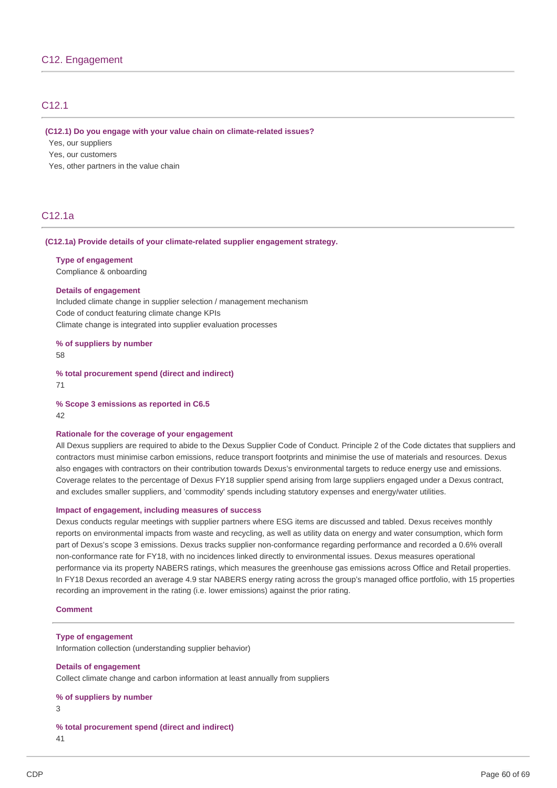# C12.1

#### **(C12.1) Do you engage with your value chain on climate-related issues?**

Yes, our suppliers

Yes, our customers

Yes, other partners in the value chain

# C12.1a

## **(C12.1a) Provide details of your climate-related supplier engagement strategy.**

### **Type of engagement**

Compliance & onboarding

#### **Details of engagement**

Included climate change in supplier selection / management mechanism Code of conduct featuring climate change KPIs Climate change is integrated into supplier evaluation processes

# **% of suppliers by number**

58

**% total procurement spend (direct and indirect)** 71

## **% Scope 3 emissions as reported in C6.5** 42

#### **Rationale for the coverage of your engagement**

All Dexus suppliers are required to abide to the Dexus Supplier Code of Conduct. Principle 2 of the Code dictates that suppliers and contractors must minimise carbon emissions, reduce transport footprints and minimise the use of materials and resources. Dexus also engages with contractors on their contribution towards Dexus's environmental targets to reduce energy use and emissions. Coverage relates to the percentage of Dexus FY18 supplier spend arising from large suppliers engaged under a Dexus contract, and excludes smaller suppliers, and 'commodity' spends including statutory expenses and energy/water utilities.

#### **Impact of engagement, including measures of success**

Dexus conducts regular meetings with supplier partners where ESG items are discussed and tabled. Dexus receives monthly reports on environmental impacts from waste and recycling, as well as utility data on energy and water consumption, which form part of Dexus's scope 3 emissions. Dexus tracks supplier non-conformance regarding performance and recorded a 0.6% overall non-conformance rate for FY18, with no incidences linked directly to environmental issues. Dexus measures operational performance via its property NABERS ratings, which measures the greenhouse gas emissions across Office and Retail properties. In FY18 Dexus recorded an average 4.9 star NABERS energy rating across the group's managed office portfolio, with 15 properties recording an improvement in the rating (i.e. lower emissions) against the prior rating.

## **Comment**

#### **Type of engagement**

Information collection (understanding supplier behavior)

# **Details of engagement**

Collect climate change and carbon information at least annually from suppliers

```
% of suppliers by number
```
3

**% total procurement spend (direct and indirect)** 41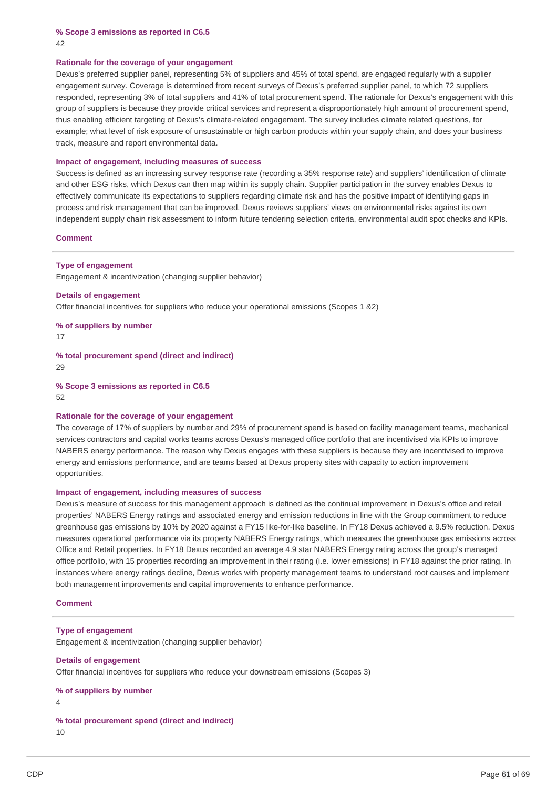**% Scope 3 emissions as reported in C6.5** 42

#### **Rationale for the coverage of your engagement**

Dexus's preferred supplier panel, representing 5% of suppliers and 45% of total spend, are engaged regularly with a supplier engagement survey. Coverage is determined from recent surveys of Dexus's preferred supplier panel, to which 72 suppliers responded, representing 3% of total suppliers and 41% of total procurement spend. The rationale for Dexus's engagement with this group of suppliers is because they provide critical services and represent a disproportionately high amount of procurement spend, thus enabling efficient targeting of Dexus's climate-related engagement. The survey includes climate related questions, for example; what level of risk exposure of unsustainable or high carbon products within your supply chain, and does your business track, measure and report environmental data.

#### **Impact of engagement, including measures of success**

Success is defined as an increasing survey response rate (recording a 35% response rate) and suppliers' identification of climate and other ESG risks, which Dexus can then map within its supply chain. Supplier participation in the survey enables Dexus to effectively communicate its expectations to suppliers regarding climate risk and has the positive impact of identifying gaps in process and risk management that can be improved. Dexus reviews suppliers' views on environmental risks against its own independent supply chain risk assessment to inform future tendering selection criteria, environmental audit spot checks and KPIs.

#### **Comment**

**Type of engagement**

Engagement & incentivization (changing supplier behavior)

**Details of engagement** Offer financial incentives for suppliers who reduce your operational emissions (Scopes 1 &2)

**% of suppliers by number**

17

**% total procurement spend (direct and indirect)** 29

**% Scope 3 emissions as reported in C6.5** 52

#### **Rationale for the coverage of your engagement**

The coverage of 17% of suppliers by number and 29% of procurement spend is based on facility management teams, mechanical services contractors and capital works teams across Dexus's managed office portfolio that are incentivised via KPIs to improve NABERS energy performance. The reason why Dexus engages with these suppliers is because they are incentivised to improve energy and emissions performance, and are teams based at Dexus property sites with capacity to action improvement opportunities.

#### **Impact of engagement, including measures of success**

Dexus's measure of success for this management approach is defined as the continual improvement in Dexus's office and retail properties' NABERS Energy ratings and associated energy and emission reductions in line with the Group commitment to reduce greenhouse gas emissions by 10% by 2020 against a FY15 like-for-like baseline. In FY18 Dexus achieved a 9.5% reduction. Dexus measures operational performance via its property NABERS Energy ratings, which measures the greenhouse gas emissions across Office and Retail properties. In FY18 Dexus recorded an average 4.9 star NABERS Energy rating across the group's managed office portfolio, with 15 properties recording an improvement in their rating (i.e. lower emissions) in FY18 against the prior rating. In instances where energy ratings decline, Dexus works with property management teams to understand root causes and implement both management improvements and capital improvements to enhance performance.

#### **Comment**

## **Type of engagement**

Engagement & incentivization (changing supplier behavior)

#### **Details of engagement**

Offer financial incentives for suppliers who reduce your downstream emissions (Scopes 3)

```
% of suppliers by number
```

```
4
```

```
% total procurement spend (direct and indirect)
```
10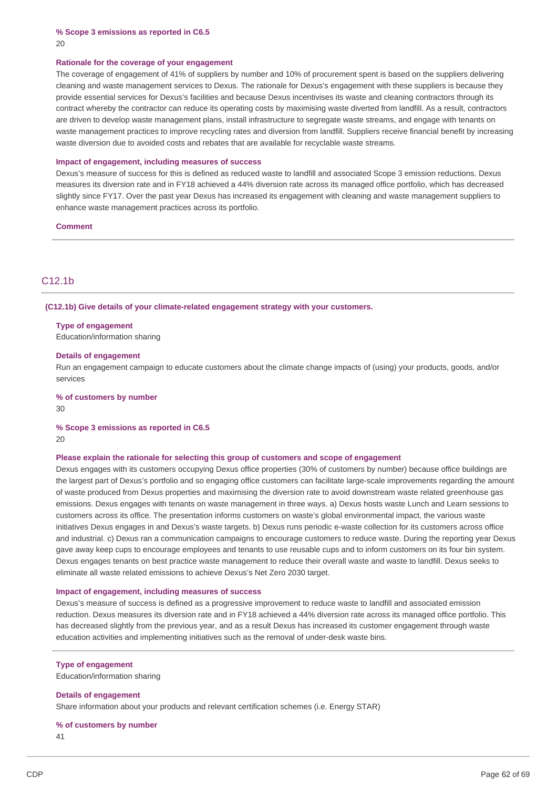**% Scope 3 emissions as reported in C6.5** 20

#### **Rationale for the coverage of your engagement**

The coverage of engagement of 41% of suppliers by number and 10% of procurement spent is based on the suppliers delivering cleaning and waste management services to Dexus. The rationale for Dexus's engagement with these suppliers is because they provide essential services for Dexus's facilities and because Dexus incentivises its waste and cleaning contractors through its contract whereby the contractor can reduce its operating costs by maximising waste diverted from landfill. As a result, contractors are driven to develop waste management plans, install infrastructure to segregate waste streams, and engage with tenants on waste management practices to improve recycling rates and diversion from landfill. Suppliers receive financial benefit by increasing waste diversion due to avoided costs and rebates that are available for recyclable waste streams.

#### **Impact of engagement, including measures of success**

Dexus's measure of success for this is defined as reduced waste to landfill and associated Scope 3 emission reductions. Dexus measures its diversion rate and in FY18 achieved a 44% diversion rate across its managed office portfolio, which has decreased slightly since FY17. Over the past year Dexus has increased its engagement with cleaning and waste management suppliers to enhance waste management practices across its portfolio.

**Comment**

# C12.1b

#### **(C12.1b) Give details of your climate-related engagement strategy with your customers.**

#### **Type of engagement**

Education/information sharing

#### **Details of engagement**

Run an engagement campaign to educate customers about the climate change impacts of (using) your products, goods, and/or services

**% of customers by number**

30

#### **% Scope 3 emissions as reported in C6.5**

20

## **Please explain the rationale for selecting this group of customers and scope of engagement**

Dexus engages with its customers occupying Dexus office properties (30% of customers by number) because office buildings are the largest part of Dexus's portfolio and so engaging office customers can facilitate large-scale improvements regarding the amount of waste produced from Dexus properties and maximising the diversion rate to avoid downstream waste related greenhouse gas emissions. Dexus engages with tenants on waste management in three ways. a) Dexus hosts waste Lunch and Learn sessions to customers across its office. The presentation informs customers on waste's global environmental impact, the various waste initiatives Dexus engages in and Dexus's waste targets. b) Dexus runs periodic e-waste collection for its customers across office and industrial. c) Dexus ran a communication campaigns to encourage customers to reduce waste. During the reporting year Dexus gave away keep cups to encourage employees and tenants to use reusable cups and to inform customers on its four bin system. Dexus engages tenants on best practice waste management to reduce their overall waste and waste to landfill. Dexus seeks to eliminate all waste related emissions to achieve Dexus's Net Zero 2030 target.

## **Impact of engagement, including measures of success**

Dexus's measure of success is defined as a progressive improvement to reduce waste to landfill and associated emission reduction. Dexus measures its diversion rate and in FY18 achieved a 44% diversion rate across its managed office portfolio. This has decreased slightly from the previous year, and as a result Dexus has increased its customer engagement through waste education activities and implementing initiatives such as the removal of under-desk waste bins.

#### **Type of engagement**

Education/information sharing

#### **Details of engagement**

Share information about your products and relevant certification schemes (i.e. Energy STAR)

#### **% of customers by number**

41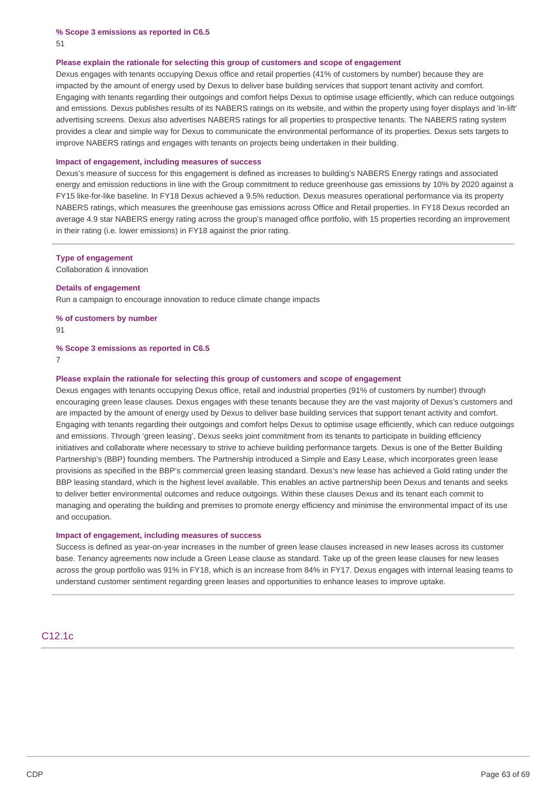**% Scope 3 emissions as reported in C6.5** 51

#### **Please explain the rationale for selecting this group of customers and scope of engagement**

Dexus engages with tenants occupying Dexus office and retail properties (41% of customers by number) because they are impacted by the amount of energy used by Dexus to deliver base building services that support tenant activity and comfort. Engaging with tenants regarding their outgoings and comfort helps Dexus to optimise usage efficiently, which can reduce outgoings and emissions. Dexus publishes results of its NABERS ratings on its website, and within the property using foyer displays and 'in-lift' advertising screens. Dexus also advertises NABERS ratings for all properties to prospective tenants. The NABERS rating system provides a clear and simple way for Dexus to communicate the environmental performance of its properties. Dexus sets targets to improve NABERS ratings and engages with tenants on projects being undertaken in their building.

#### **Impact of engagement, including measures of success**

Dexus's measure of success for this engagement is defined as increases to building's NABERS Energy ratings and associated energy and emission reductions in line with the Group commitment to reduce greenhouse gas emissions by 10% by 2020 against a FY15 like-for-like baseline. In FY18 Dexus achieved a 9.5% reduction. Dexus measures operational performance via its property NABERS ratings, which measures the greenhouse gas emissions across Office and Retail properties. In FY18 Dexus recorded an average 4.9 star NABERS energy rating across the group's managed office portfolio, with 15 properties recording an improvement in their rating (i.e. lower emissions) in FY18 against the prior rating.

#### **Type of engagement**

Collaboration & innovation

#### **Details of engagement**

Run a campaign to encourage innovation to reduce climate change impacts

**% of customers by number** 91

#### **% Scope 3 emissions as reported in C6.5**

7

#### **Please explain the rationale for selecting this group of customers and scope of engagement**

Dexus engages with tenants occupying Dexus office, retail and industrial properties (91% of customers by number) through encouraging green lease clauses. Dexus engages with these tenants because they are the vast majority of Dexus's customers and are impacted by the amount of energy used by Dexus to deliver base building services that support tenant activity and comfort. Engaging with tenants regarding their outgoings and comfort helps Dexus to optimise usage efficiently, which can reduce outgoings and emissions. Through 'green leasing', Dexus seeks joint commitment from its tenants to participate in building efficiency initiatives and collaborate where necessary to strive to achieve building performance targets. Dexus is one of the Better Building Partnership's (BBP) founding members. The Partnership introduced a Simple and Easy Lease, which incorporates green lease provisions as specified in the BBP's commercial green leasing standard. Dexus's new lease has achieved a Gold rating under the BBP leasing standard, which is the highest level available. This enables an active partnership been Dexus and tenants and seeks to deliver better environmental outcomes and reduce outgoings. Within these clauses Dexus and its tenant each commit to managing and operating the building and premises to promote energy efficiency and minimise the environmental impact of its use and occupation.

#### **Impact of engagement, including measures of success**

Success is defined as year-on-year increases in the number of green lease clauses increased in new leases across its customer base. Tenancy agreements now include a Green Lease clause as standard. Take up of the green lease clauses for new leases across the group portfolio was 91% in FY18, which is an increase from 84% in FY17. Dexus engages with internal leasing teams to understand customer sentiment regarding green leases and opportunities to enhance leases to improve uptake.

# C12.1c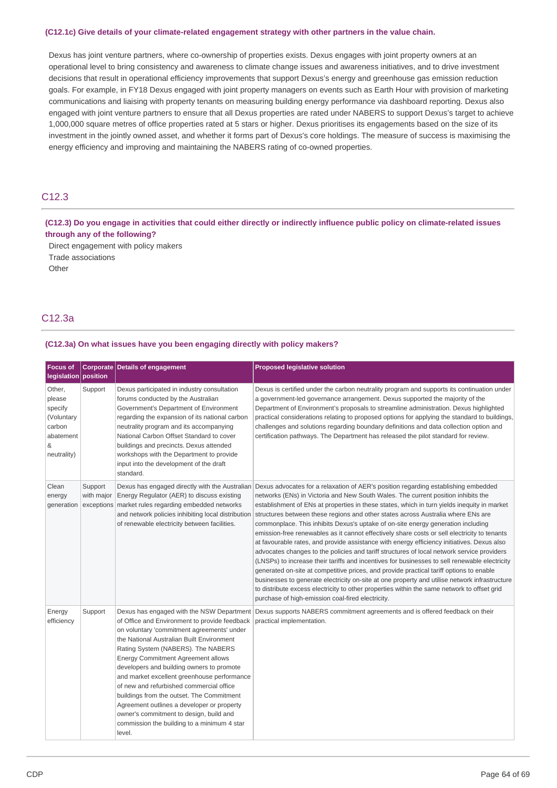# **(C12.1c) Give details of your climate-related engagement strategy with other partners in the value chain.**

Dexus has joint venture partners, where co-ownership of properties exists. Dexus engages with joint property owners at an operational level to bring consistency and awareness to climate change issues and awareness initiatives, and to drive investment decisions that result in operational efficiency improvements that support Dexus's energy and greenhouse gas emission reduction goals. For example, in FY18 Dexus engaged with joint property managers on events such as Earth Hour with provision of marketing communications and liaising with property tenants on measuring building energy performance via dashboard reporting. Dexus also engaged with joint venture partners to ensure that all Dexus properties are rated under NABERS to support Dexus's target to achieve 1,000,000 square metres of office properties rated at 5 stars or higher. Dexus prioritises its engagements based on the size of its investment in the jointly owned asset, and whether it forms part of Dexus's core holdings. The measure of success is maximising the energy efficiency and improving and maintaining the NABERS rating of co-owned properties.

# C12.3

(C12.3) Do you engage in activities that could either directly or indirectly influence public policy on climate-related issues **through any of the following?**

Direct engagement with policy makers

Trade associations

Other

# C12.3a

## **(C12.3a) On what issues have you been engaging directly with policy makers?**

| <b>Focus of</b><br>legislation position                                              |                       | Corporate Details of engagement                                                                                                                                                                                                                                                                                                                                                                                                                                                                                                                                                                          | <b>Proposed legislative solution</b>                                                                                                                                                                                                                                                                                                                                                                                                                                                                                                                                                                                                                                                                                                                                                                                                                                                                                                                                                                                                                                                                                                                                                                                                       |
|--------------------------------------------------------------------------------------|-----------------------|----------------------------------------------------------------------------------------------------------------------------------------------------------------------------------------------------------------------------------------------------------------------------------------------------------------------------------------------------------------------------------------------------------------------------------------------------------------------------------------------------------------------------------------------------------------------------------------------------------|--------------------------------------------------------------------------------------------------------------------------------------------------------------------------------------------------------------------------------------------------------------------------------------------------------------------------------------------------------------------------------------------------------------------------------------------------------------------------------------------------------------------------------------------------------------------------------------------------------------------------------------------------------------------------------------------------------------------------------------------------------------------------------------------------------------------------------------------------------------------------------------------------------------------------------------------------------------------------------------------------------------------------------------------------------------------------------------------------------------------------------------------------------------------------------------------------------------------------------------------|
| Other,<br>please<br>specify<br>(Voluntary<br>carbon<br>abatement<br>&<br>neutrality) | Support               | Dexus participated in industry consultation<br>forums conducted by the Australian<br>Government's Department of Environment<br>regarding the expansion of its national carbon<br>neutrality program and its accompanying<br>National Carbon Offset Standard to cover<br>buildings and precincts. Dexus attended<br>workshops with the Department to provide<br>input into the development of the draft<br>standard.                                                                                                                                                                                      | Dexus is certified under the carbon neutrality program and supports its continuation under<br>a government-led governance arrangement. Dexus supported the majority of the<br>Department of Environment's proposals to streamline administration. Dexus highlighted<br>practical considerations relating to proposed options for applying the standard to buildings,<br>challenges and solutions regarding boundary definitions and data collection option and<br>certification pathways. The Department has released the pilot standard for review.                                                                                                                                                                                                                                                                                                                                                                                                                                                                                                                                                                                                                                                                                       |
| Clean<br>energy                                                                      | Support<br>with major | Energy Regulator (AER) to discuss existing<br>generation exceptions market rules regarding embedded networks<br>and network policies inhibiting local distribution<br>of renewable electricity between facilities.                                                                                                                                                                                                                                                                                                                                                                                       | Dexus has engaged directly with the Australian Dexus advocates for a relaxation of AER's position regarding establishing embedded<br>networks (ENs) in Victoria and New South Wales. The current position inhibits the<br>establishment of ENs at properties in these states, which in turn yields inequity in market<br>structures between these regions and other states across Australia where ENs are<br>commonplace. This inhibits Dexus's uptake of on-site energy generation including<br>emission-free renewables as it cannot effectively share costs or sell electricity to tenants<br>at favourable rates, and provide assistance with energy efficiency initiatives. Dexus also<br>advocates changes to the policies and tariff structures of local network service providers<br>(LNSPs) to increase their tariffs and incentives for businesses to sell renewable electricity<br>generated on-site at competitive prices, and provide practical tariff options to enable<br>businesses to generate electricity on-site at one property and utilise network infrastructure<br>to distribute excess electricity to other properties within the same network to offset grid<br>purchase of high-emission coal-fired electricity. |
| Energy<br>efficiency                                                                 | Support               | Dexus has engaged with the NSW Department<br>of Office and Environment to provide feedback<br>on voluntary 'commitment agreements' under<br>the National Australian Built Environment<br>Rating System (NABERS). The NABERS<br>Energy Commitment Agreement allows<br>developers and building owners to promote<br>and market excellent greenhouse performance<br>of new and refurbished commercial office<br>buildings from the outset. The Commitment<br>Agreement outlines a developer or property<br>owner's commitment to design, build and<br>commission the building to a minimum 4 star<br>level. | Dexus supports NABERS commitment agreements and is offered feedback on their<br>practical implementation.                                                                                                                                                                                                                                                                                                                                                                                                                                                                                                                                                                                                                                                                                                                                                                                                                                                                                                                                                                                                                                                                                                                                  |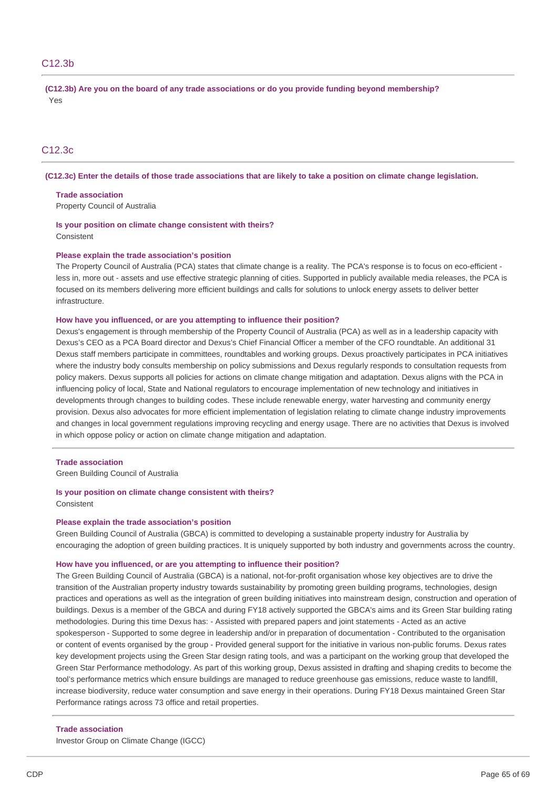# C12.3b

**(C12.3b) Are you on the board of any trade associations or do you provide funding beyond membership?** Yes

# C12.3c

(C12.3c) Enter the details of those trade associations that are likely to take a position on climate change legislation.

**Trade association**

Property Council of Australia

**Is your position on climate change consistent with theirs? Consistent** 

#### **Please explain the trade association's position**

The Property Council of Australia (PCA) states that climate change is a reality. The PCA's response is to focus on eco-efficient less in, more out - assets and use effective strategic planning of cities. Supported in publicly available media releases, the PCA is focused on its members delivering more efficient buildings and calls for solutions to unlock energy assets to deliver better infrastructure.

#### **How have you influenced, or are you attempting to influence their position?**

Dexus's engagement is through membership of the Property Council of Australia (PCA) as well as in a leadership capacity with Dexus's CEO as a PCA Board director and Dexus's Chief Financial Officer a member of the CFO roundtable. An additional 31 Dexus staff members participate in committees, roundtables and working groups. Dexus proactively participates in PCA initiatives where the industry body consults membership on policy submissions and Dexus regularly responds to consultation requests from policy makers. Dexus supports all policies for actions on climate change mitigation and adaptation. Dexus aligns with the PCA in influencing policy of local, State and National regulators to encourage implementation of new technology and initiatives in developments through changes to building codes. These include renewable energy, water harvesting and community energy provision. Dexus also advocates for more efficient implementation of legislation relating to climate change industry improvements and changes in local government regulations improving recycling and energy usage. There are no activities that Dexus is involved in which oppose policy or action on climate change mitigation and adaptation.

#### **Trade association**

Green Building Council of Australia

#### **Is your position on climate change consistent with theirs?** Consistent

## **Please explain the trade association's position**

Green Building Council of Australia (GBCA) is committed to developing a sustainable property industry for Australia by encouraging the adoption of green building practices. It is uniquely supported by both industry and governments across the country.

#### **How have you influenced, or are you attempting to influence their position?**

The Green Building Council of Australia (GBCA) is a national, not-for-profit organisation whose key objectives are to drive the transition of the Australian property industry towards sustainability by promoting green building programs, technologies, design practices and operations as well as the integration of green building initiatives into mainstream design, construction and operation of buildings. Dexus is a member of the GBCA and during FY18 actively supported the GBCA's aims and its Green Star building rating methodologies. During this time Dexus has: - Assisted with prepared papers and joint statements - Acted as an active spokesperson - Supported to some degree in leadership and/or in preparation of documentation - Contributed to the organisation or content of events organised by the group - Provided general support for the initiative in various non-public forums. Dexus rates key development projects using the Green Star design rating tools, and was a participant on the working group that developed the Green Star Performance methodology. As part of this working group, Dexus assisted in drafting and shaping credits to become the tool's performance metrics which ensure buildings are managed to reduce greenhouse gas emissions, reduce waste to landfill, increase biodiversity, reduce water consumption and save energy in their operations. During FY18 Dexus maintained Green Star Performance ratings across 73 office and retail properties.

#### **Trade association**

Investor Group on Climate Change (IGCC)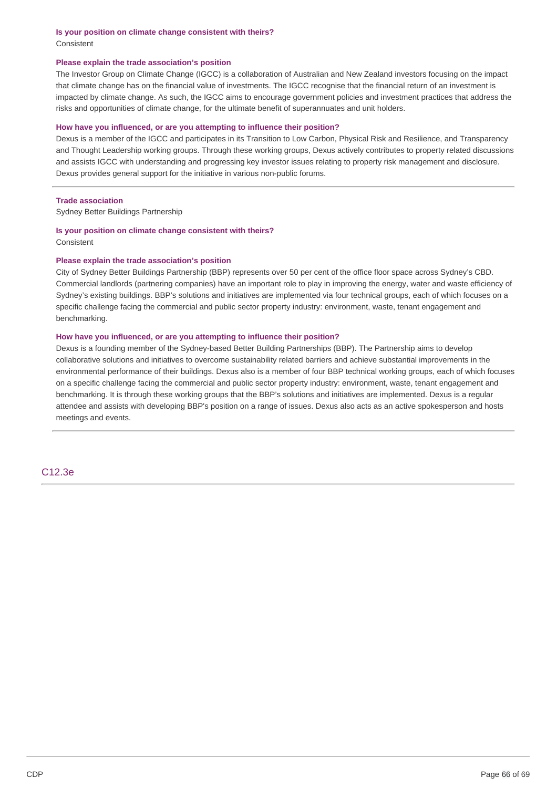**Is your position on climate change consistent with theirs?** Consistent

## **Please explain the trade association's position**

The Investor Group on Climate Change (IGCC) is a collaboration of Australian and New Zealand investors focusing on the impact that climate change has on the financial value of investments. The IGCC recognise that the financial return of an investment is impacted by climate change. As such, the IGCC aims to encourage government policies and investment practices that address the risks and opportunities of climate change, for the ultimate benefit of superannuates and unit holders.

## **How have you influenced, or are you attempting to influence their position?**

Dexus is a member of the IGCC and participates in its Transition to Low Carbon, Physical Risk and Resilience, and Transparency and Thought Leadership working groups. Through these working groups, Dexus actively contributes to property related discussions and assists IGCC with understanding and progressing key investor issues relating to property risk management and disclosure. Dexus provides general support for the initiative in various non-public forums.

#### **Trade association**

Sydney Better Buildings Partnership

## **Is your position on climate change consistent with theirs?** Consistent

## **Please explain the trade association's position**

City of Sydney Better Buildings Partnership (BBP) represents over 50 per cent of the office floor space across Sydney's CBD. Commercial landlords (partnering companies) have an important role to play in improving the energy, water and waste efficiency of Sydney's existing buildings. BBP's solutions and initiatives are implemented via four technical groups, each of which focuses on a specific challenge facing the commercial and public sector property industry: environment, waste, tenant engagement and benchmarking.

# **How have you influenced, or are you attempting to influence their position?**

Dexus is a founding member of the Sydney-based Better Building Partnerships (BBP). The Partnership aims to develop collaborative solutions and initiatives to overcome sustainability related barriers and achieve substantial improvements in the environmental performance of their buildings. Dexus also is a member of four BBP technical working groups, each of which focuses on a specific challenge facing the commercial and public sector property industry: environment, waste, tenant engagement and benchmarking. It is through these working groups that the BBP's solutions and initiatives are implemented. Dexus is a regular attendee and assists with developing BBP's position on a range of issues. Dexus also acts as an active spokesperson and hosts meetings and events.

C12.3e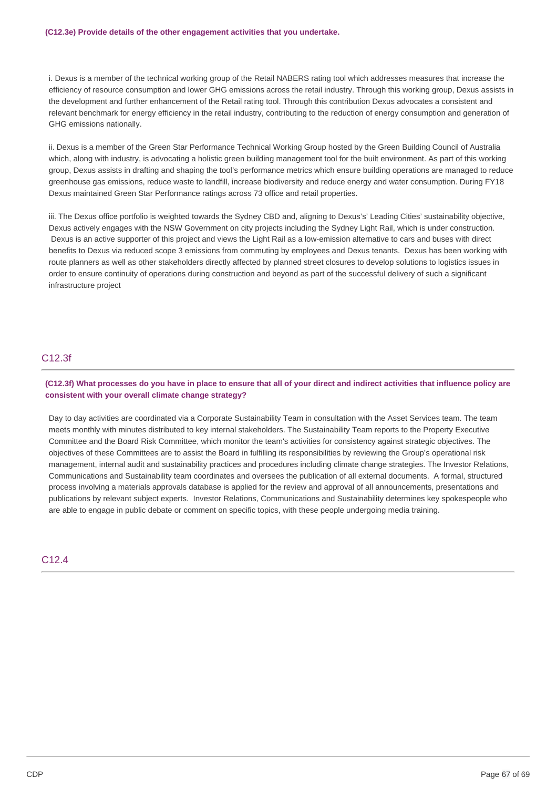i. Dexus is a member of the technical working group of the Retail NABERS rating tool which addresses measures that increase the efficiency of resource consumption and lower GHG emissions across the retail industry. Through this working group, Dexus assists in the development and further enhancement of the Retail rating tool. Through this contribution Dexus advocates a consistent and relevant benchmark for energy efficiency in the retail industry, contributing to the reduction of energy consumption and generation of GHG emissions nationally.

ii. Dexus is a member of the Green Star Performance Technical Working Group hosted by the Green Building Council of Australia which, along with industry, is advocating a holistic green building management tool for the built environment. As part of this working group, Dexus assists in drafting and shaping the tool's performance metrics which ensure building operations are managed to reduce greenhouse gas emissions, reduce waste to landfill, increase biodiversity and reduce energy and water consumption. During FY18 Dexus maintained Green Star Performance ratings across 73 office and retail properties.

iii. The Dexus office portfolio is weighted towards the Sydney CBD and, aligning to Dexus's' Leading Cities' sustainability objective, Dexus actively engages with the NSW Government on city projects including the Sydney Light Rail, which is under construction. Dexus is an active supporter of this project and views the Light Rail as a low-emission alternative to cars and buses with direct benefits to Dexus via reduced scope 3 emissions from commuting by employees and Dexus tenants. Dexus has been working with route planners as well as other stakeholders directly affected by planned street closures to develop solutions to logistics issues in order to ensure continuity of operations during construction and beyond as part of the successful delivery of such a significant infrastructure project

# C12.3f

(C12.3f) What processes do you have in place to ensure that all of your direct and indirect activities that influence policy are **consistent with your overall climate change strategy?**

Day to day activities are coordinated via a Corporate Sustainability Team in consultation with the Asset Services team. The team meets monthly with minutes distributed to key internal stakeholders. The Sustainability Team reports to the Property Executive Committee and the Board Risk Committee, which monitor the team's activities for consistency against strategic objectives. The objectives of these Committees are to assist the Board in fulfilling its responsibilities by reviewing the Group's operational risk management, internal audit and sustainability practices and procedures including climate change strategies. The Investor Relations, Communications and Sustainability team coordinates and oversees the publication of all external documents. A formal, structured process involving a materials approvals database is applied for the review and approval of all announcements, presentations and publications by relevant subject experts. Investor Relations, Communications and Sustainability determines key spokespeople who are able to engage in public debate or comment on specific topics, with these people undergoing media training.

# C12.4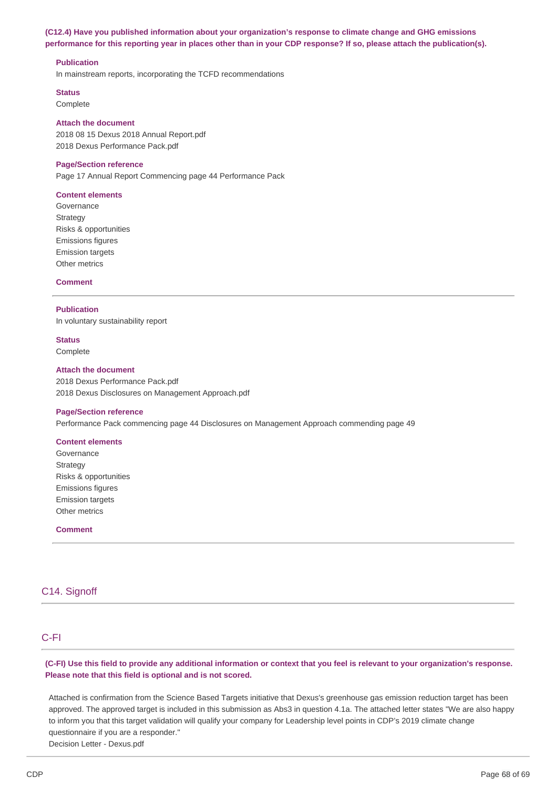# **(C12.4) Have you published information about your organization's response to climate change and GHG emissions** performance for this reporting year in places other than in your CDP response? If so, please attach the publication(s).

## **Publication**

In mainstream reports, incorporating the TCFD recommendations

#### **Status**

Complete

#### **Attach the document**

2018 08 15 Dexus 2018 Annual Report.pdf 2018 Dexus Performance Pack.pdf

#### **Page/Section reference**

Page 17 Annual Report Commencing page 44 Performance Pack

#### **Content elements**

Governance **Strategy** Risks & opportunities Emissions figures Emission targets Other metrics

## **Comment**

#### **Publication**

In voluntary sustainability report

**Status** Complete

#### **Attach the document**

2018 Dexus Performance Pack.pdf 2018 Dexus Disclosures on Management Approach.pdf

#### **Page/Section reference**

Performance Pack commencing page 44 Disclosures on Management Approach commending page 49

#### **Content elements**

Governance Strategy Risks & opportunities Emissions figures Emission targets Other metrics

**Comment**

# C14. Signoff

# C-FI

(C-FI) Use this field to provide any additional information or context that you feel is relevant to your organization's response. **Please note that this field is optional and is not scored.**

Attached is confirmation from the Science Based Targets initiative that Dexus's greenhouse gas emission reduction target has been approved. The approved target is included in this submission as Abs3 in question 4.1a. The attached letter states "We are also happy to inform you that this target validation will qualify your company for Leadership level points in CDP's 2019 climate change questionnaire if you are a responder." Decision Letter - Dexus.pdf